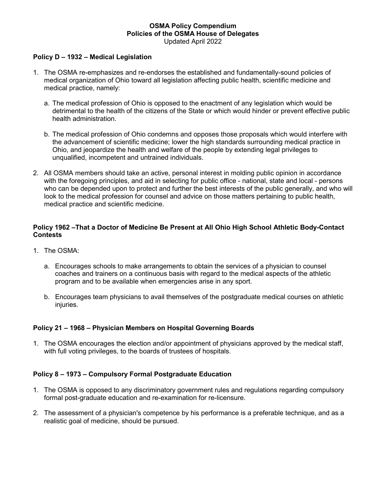#### **OSMA Policy Compendium Policies of the OSMA House of Delegates** Updated April 2022

#### **Policy D – 1932 – Medical Legislation**

- 1. The OSMA re-emphasizes and re-endorses the established and fundamentally-sound policies of medical organization of Ohio toward all legislation affecting public health, scientific medicine and medical practice, namely:
	- a. The medical profession of Ohio is opposed to the enactment of any legislation which would be detrimental to the health of the citizens of the State or which would hinder or prevent effective public health administration.
	- b. The medical profession of Ohio condemns and opposes those proposals which would interfere with the advancement of scientific medicine; lower the high standards surrounding medical practice in Ohio, and jeopardize the health and welfare of the people by extending legal privileges to unqualified, incompetent and untrained individuals.
- 2. All OSMA members should take an active, personal interest in molding public opinion in accordance with the foregoing principles, and aid in selecting for public office - national, state and local - persons who can be depended upon to protect and further the best interests of the public generally, and who will look to the medical profession for counsel and advice on those matters pertaining to public health, medical practice and scientific medicine.

### **Policy 1962 –That a Doctor of Medicine Be Present at All Ohio High School Athletic Body-Contact Contests**

- 1. The OSMA:
	- a. Encourages schools to make arrangements to obtain the services of a physician to counsel coaches and trainers on a continuous basis with regard to the medical aspects of the athletic program and to be available when emergencies arise in any sport.
	- b. Encourages team physicians to avail themselves of the postgraduate medical courses on athletic injuries.

### **Policy 21 – 1968 – Physician Members on Hospital Governing Boards**

1. The OSMA encourages the election and/or appointment of physicians approved by the medical staff, with full voting privileges, to the boards of trustees of hospitals.

### **Policy 8 – 1973 – Compulsory Formal Postgraduate Education**

- 1. The OSMA is opposed to any discriminatory government rules and regulations regarding compulsory formal post-graduate education and re-examination for re-licensure.
- 2. The assessment of a physician's competence by his performance is a preferable technique, and as a realistic goal of medicine, should be pursued.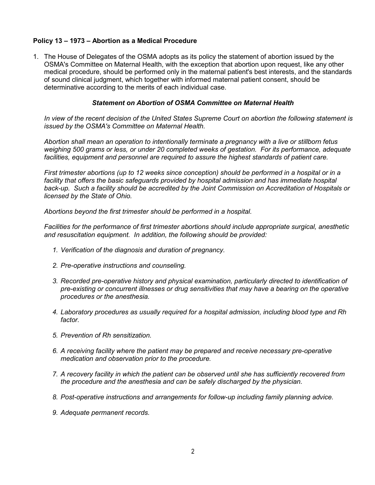## **Policy 13 – 1973 – Abortion as a Medical Procedure**

1. The House of Delegates of the OSMA adopts as its policy the statement of abortion issued by the OSMA's Committee on Maternal Health, with the exception that abortion upon request, like any other medical procedure, should be performed only in the maternal patient's best interests, and the standards of sound clinical judgment, which together with informed maternal patient consent, should be determinative according to the merits of each individual case.

#### *Statement on Abortion of OSMA Committee on Maternal Health*

*In view of the recent decision of the United States Supreme Court on abortion the following statement is issued by the OSMA's Committee on Maternal Health.*

*Abortion shall mean an operation to intentionally terminate a pregnancy with a live or stillborn fetus weighing 500 grams or less, or under 20 completed weeks of gestation. For its performance, adequate facilities, equipment and personnel are required to assure the highest standards of patient care.*

*First trimester abortions (up to 12 weeks since conception) should be performed in a hospital or in a*  facility that offers the basic safeguards provided by hospital admission and has immediate hospital *back-up. Such a facility should be accredited by the Joint Commission on Accreditation of Hospitals or licensed by the State of Ohio.*

*Abortions beyond the first trimester should be performed in a hospital.*

*Facilities for the performance of first trimester abortions should include appropriate surgical, anesthetic and resuscitation equipment. In addition, the following should be provided:*

- *1. Verification of the diagnosis and duration of pregnancy.*
- *2. Pre-operative instructions and counseling.*
- *3. Recorded pre-operative history and physical examination, particularly directed to identification of pre-existing or concurrent illnesses or drug sensitivities that may have a bearing on the operative procedures or the anesthesia.*
- *4. Laboratory procedures as usually required for a hospital admission, including blood type and Rh factor.*
- *5. Prevention of Rh sensitization.*
- *6. A receiving facility where the patient may be prepared and receive necessary pre-operative medication and observation prior to the procedure.*
- *7. A recovery facility in which the patient can be observed until she has sufficiently recovered from the procedure and the anesthesia and can be safely discharged by the physician.*
- *8. Post-operative instructions and arrangements for follow-up including family planning advice.*
- *9. Adequate permanent records.*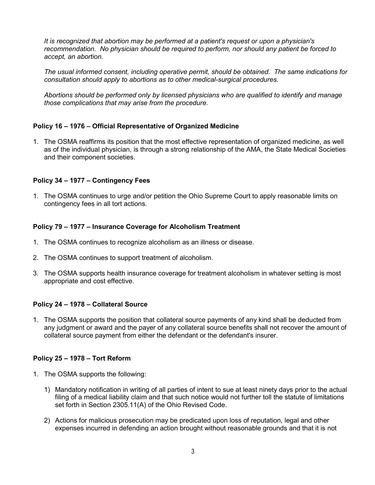*It is recognized that abortion may be performed at a patient's request or upon a physician's recommendation. No physician should be required to perform, nor should any patient be forced to accept, an abortion.*

*The usual informed consent, including operative permit, should be obtained. The same indications for consultation should apply to abortions as to other medical-surgical procedures.*

*Abortions should be performed only by licensed physicians who are qualified to identify and manage those complications that may arise from the procedure.*

## **Policy 16 – 1976 – Official Representative of Organized Medicine**

1. The OSMA reaffirms its position that the most effective representation of organized medicine, as well as of the individual physician, is through a strong relationship of the AMA, the State Medical Societies and their component societies.

### **Policy 34 – 1977 – Contingency Fees**

1. The OSMA continues to urge and/or petition the Ohio Supreme Court to apply reasonable limits on contingency fees in all tort actions.

## **Policy 79 – 1977 – Insurance Coverage for Alcoholism Treatment**

- 1. The OSMA continues to recognize alcoholism as an illness or disease.
- 2. The OSMA continues to support treatment of alcoholism.
- 3. The OSMA supports health insurance coverage for treatment alcoholism in whatever setting is most appropriate and cost effective.

### **Policy 24 – 1978 – Collateral Source**

1. The OSMA supports the position that collateral source payments of any kind shall be deducted from any judgment or award and the payer of any collateral source benefits shall not recover the amount of collateral source payment from either the defendant or the defendant's insurer.

### **Policy 25 – 1978 – Tort Reform**

- 1. The OSMA supports the following:
	- 1) Mandatory notification in writing of all parties of intent to sue at least ninety days prior to the actual filing of a medical liability claim and that such notice would not further toll the statute of limitations set forth in Section 2305.11(A) of the Ohio Revised Code.
	- 2) Actions for malicious prosecution may be predicated upon loss of reputation, legal and other expenses incurred in defending an action brought without reasonable grounds and that it is not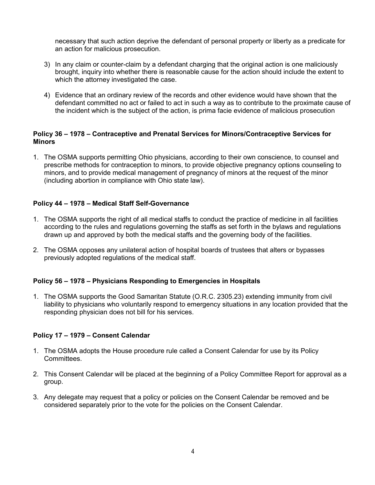necessary that such action deprive the defendant of personal property or liberty as a predicate for an action for malicious prosecution.

- 3) In any claim or counter-claim by a defendant charging that the original action is one maliciously brought, inquiry into whether there is reasonable cause for the action should include the extent to which the attorney investigated the case.
- 4) Evidence that an ordinary review of the records and other evidence would have shown that the defendant committed no act or failed to act in such a way as to contribute to the proximate cause of the incident which is the subject of the action, is prima facie evidence of malicious prosecution

### **Policy 36 – 1978 – Contraceptive and Prenatal Services for Minors/Contraceptive Services for Minors**

1. The OSMA supports permitting Ohio physicians, according to their own conscience, to counsel and prescribe methods for contraception to minors, to provide objective pregnancy options counseling to minors, and to provide medical management of pregnancy of minors at the request of the minor (including abortion in compliance with Ohio state law).

### **Policy 44 – 1978 – Medical Staff Self-Governance**

- 1. The OSMA supports the right of all medical staffs to conduct the practice of medicine in all facilities according to the rules and regulations governing the staffs as set forth in the bylaws and regulations drawn up and approved by both the medical staffs and the governing body of the facilities.
- 2. The OSMA opposes any unilateral action of hospital boards of trustees that alters or bypasses previously adopted regulations of the medical staff.

#### **Policy 56 – 1978 – Physicians Responding to Emergencies in Hospitals**

1. The OSMA supports the Good Samaritan Statute (O.R.C. 2305.23) extending immunity from civil liability to physicians who voluntarily respond to emergency situations in any location provided that the responding physician does not bill for his services.

### **Policy 17 – 1979 – Consent Calendar**

- 1. The OSMA adopts the House procedure rule called a Consent Calendar for use by its Policy Committees.
- 2. This Consent Calendar will be placed at the beginning of a Policy Committee Report for approval as a group.
- 3. Any delegate may request that a policy or policies on the Consent Calendar be removed and be considered separately prior to the vote for the policies on the Consent Calendar.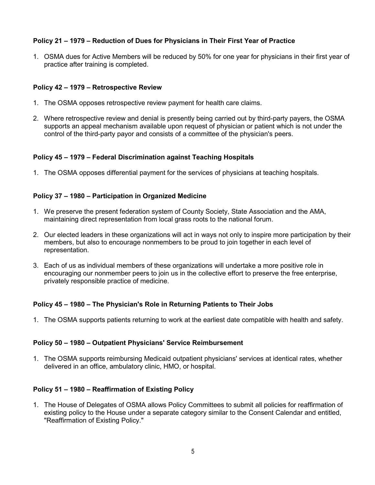# **Policy 21 – 1979 – Reduction of Dues for Physicians in Their First Year of Practice**

1. OSMA dues for Active Members will be reduced by 50% for one year for physicians in their first year of practice after training is completed.

## **Policy 42 – 1979 – Retrospective Review**

- 1. The OSMA opposes retrospective review payment for health care claims.
- 2. Where retrospective review and denial is presently being carried out by third-party payers, the OSMA supports an appeal mechanism available upon request of physician or patient which is not under the control of the third-party payor and consists of a committee of the physician's peers.

### **Policy 45 – 1979 – Federal Discrimination against Teaching Hospitals**

1. The OSMA opposes differential payment for the services of physicians at teaching hospitals.

### **Policy 37 – 1980 – Participation in Organized Medicine**

- 1. We preserve the present federation system of County Society, State Association and the AMA, maintaining direct representation from local grass roots to the national forum.
- 2. Our elected leaders in these organizations will act in ways not only to inspire more participation by their members, but also to encourage nonmembers to be proud to join together in each level of representation.
- 3. Each of us as individual members of these organizations will undertake a more positive role in encouraging our nonmember peers to join us in the collective effort to preserve the free enterprise, privately responsible practice of medicine.

# **Policy 45 – 1980 – The Physician's Role in Returning Patients to Their Jobs**

1. The OSMA supports patients returning to work at the earliest date compatible with health and safety.

### **Policy 50 – 1980 – Outpatient Physicians' Service Reimbursement**

1. The OSMA supports reimbursing Medicaid outpatient physicians' services at identical rates, whether delivered in an office, ambulatory clinic, HMO, or hospital.

### **Policy 51 – 1980 – Reaffirmation of Existing Policy**

1. The House of Delegates of OSMA allows Policy Committees to submit all policies for reaffirmation of existing policy to the House under a separate category similar to the Consent Calendar and entitled, "Reaffirmation of Existing Policy."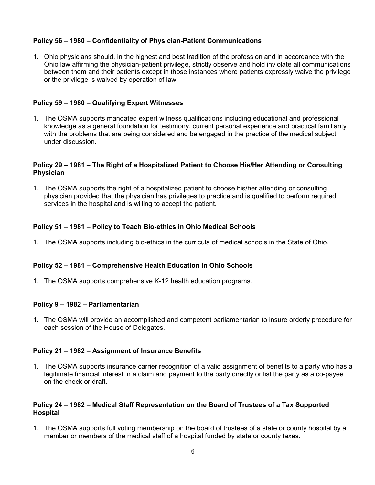# **Policy 56 – 1980 – Confidentiality of Physician-Patient Communications**

1. Ohio physicians should, in the highest and best tradition of the profession and in accordance with the Ohio law affirming the physician-patient privilege, strictly observe and hold inviolate all communications between them and their patients except in those instances where patients expressly waive the privilege or the privilege is waived by operation of law.

### **Policy 59 – 1980 – Qualifying Expert Witnesses**

1. The OSMA supports mandated expert witness qualifications including educational and professional knowledge as a general foundation for testimony, current personal experience and practical familiarity with the problems that are being considered and be engaged in the practice of the medical subject under discussion.

#### **Policy 29 – 1981 – The Right of a Hospitalized Patient to Choose His/Her Attending or Consulting Physician**

1. The OSMA supports the right of a hospitalized patient to choose his/her attending or consulting physician provided that the physician has privileges to practice and is qualified to perform required services in the hospital and is willing to accept the patient.

### **Policy 51 – 1981 – Policy to Teach Bio-ethics in Ohio Medical Schools**

1. The OSMA supports including bio-ethics in the curricula of medical schools in the State of Ohio.

### **Policy 52 – 1981 – Comprehensive Health Education in Ohio Schools**

1. The OSMA supports comprehensive K-12 health education programs.

#### **Policy 9 – 1982 – Parliamentarian**

1. The OSMA will provide an accomplished and competent parliamentarian to insure orderly procedure for each session of the House of Delegates.

### **Policy 21 – 1982 – Assignment of Insurance Benefits**

1. The OSMA supports insurance carrier recognition of a valid assignment of benefits to a party who has a legitimate financial interest in a claim and payment to the party directly or list the party as a co-payee on the check or draft.

#### **Policy 24 – 1982 – Medical Staff Representation on the Board of Trustees of a Tax Supported Hospital**

1. The OSMA supports full voting membership on the board of trustees of a state or county hospital by a member or members of the medical staff of a hospital funded by state or county taxes.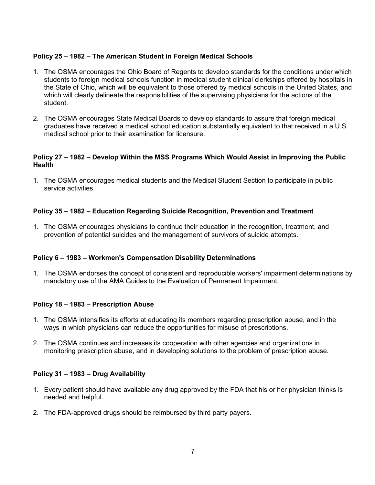## **Policy 25 – 1982 – The American Student in Foreign Medical Schools**

- 1. The OSMA encourages the Ohio Board of Regents to develop standards for the conditions under which students to foreign medical schools function in medical student clinical clerkships offered by hospitals in the State of Ohio, which will be equivalent to those offered by medical schools in the United States, and which will clearly delineate the responsibilities of the supervising physicians for the actions of the student.
- 2. The OSMA encourages State Medical Boards to develop standards to assure that foreign medical graduates have received a medical school education substantially equivalent to that received in a U.S. medical school prior to their examination for licensure.

### **Policy 27 – 1982 – Develop Within the MSS Programs Which Would Assist in Improving the Public Health**

1. The OSMA encourages medical students and the Medical Student Section to participate in public service activities.

## **Policy 35 – 1982 – Education Regarding Suicide Recognition, Prevention and Treatment**

1. The OSMA encourages physicians to continue their education in the recognition, treatment, and prevention of potential suicides and the management of survivors of suicide attempts.

### **Policy 6 – 1983 – Workmen's Compensation Disability Determinations**

1. The OSMA endorses the concept of consistent and reproducible workers' impairment determinations by mandatory use of the AMA Guides to the Evaluation of Permanent Impairment.

### **Policy 18 – 1983 – Prescription Abuse**

- 1. The OSMA intensifies its efforts at educating its members regarding prescription abuse, and in the ways in which physicians can reduce the opportunities for misuse of prescriptions.
- 2. The OSMA continues and increases its cooperation with other agencies and organizations in monitoring prescription abuse, and in developing solutions to the problem of prescription abuse.

### **Policy 31 – 1983 – Drug Availability**

- 1. Every patient should have available any drug approved by the FDA that his or her physician thinks is needed and helpful.
- 2. The FDA-approved drugs should be reimbursed by third party payers.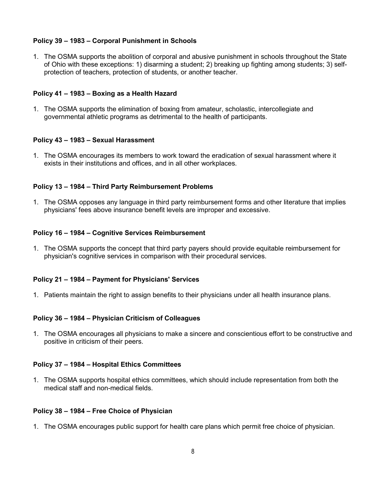# **Policy 39 – 1983 – Corporal Punishment in Schools**

1. The OSMA supports the abolition of corporal and abusive punishment in schools throughout the State of Ohio with these exceptions: 1) disarming a student; 2) breaking up fighting among students; 3) selfprotection of teachers, protection of students, or another teacher.

### **Policy 41 – 1983 – Boxing as a Health Hazard**

1. The OSMA supports the elimination of boxing from amateur, scholastic, intercollegiate and governmental athletic programs as detrimental to the health of participants.

### **Policy 43 – 1983 – Sexual Harassment**

1. The OSMA encourages its members to work toward the eradication of sexual harassment where it exists in their institutions and offices, and in all other workplaces.

## **Policy 13 – 1984 – Third Party Reimbursement Problems**

1. The OSMA opposes any language in third party reimbursement forms and other literature that implies physicians' fees above insurance benefit levels are improper and excessive.

## **Policy 16 – 1984 – Cognitive Services Reimbursement**

1. The OSMA supports the concept that third party payers should provide equitable reimbursement for physician's cognitive services in comparison with their procedural services.

### **Policy 21 – 1984 – Payment for Physicians' Services**

1. Patients maintain the right to assign benefits to their physicians under all health insurance plans.

### **Policy 36 – 1984 – Physician Criticism of Colleagues**

1. The OSMA encourages all physicians to make a sincere and conscientious effort to be constructive and positive in criticism of their peers.

### **Policy 37 – 1984 – Hospital Ethics Committees**

1. The OSMA supports hospital ethics committees, which should include representation from both the medical staff and non-medical fields.

### **Policy 38 – 1984 – Free Choice of Physician**

1. The OSMA encourages public support for health care plans which permit free choice of physician.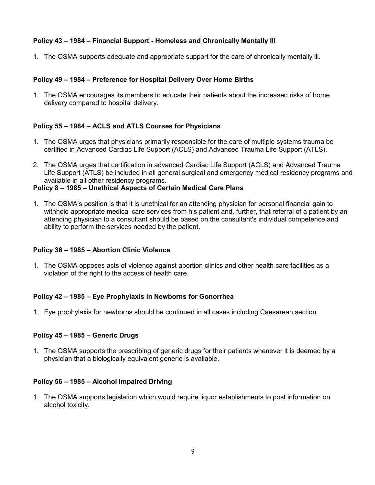# **Policy 43 – 1984 – Financial Support - Homeless and Chronically Mentally Ill**

1. The OSMA supports adequate and appropriate support for the care of chronically mentally ill.

# **Policy 49 – 1984 – Preference for Hospital Delivery Over Home Births**

1. The OSMA encourages its members to educate their patients about the increased risks of home delivery compared to hospital delivery.

# **Policy 55 – 1984 – ACLS and ATLS Courses for Physicians**

- 1. The OSMA urges that physicians primarily responsible for the care of multiple systems trauma be certified in Advanced Cardiac Life Support (ACLS) and Advanced Trauma Life Support (ATLS).
- 2. The OSMA urges that certification in advanced Cardiac Life Support (ACLS) and Advanced Trauma Life Support (ATLS) be included in all general surgical and emergency medical residency programs and available in all other residency programs.

## **Policy 8 – 1985 – Unethical Aspects of Certain Medical Care Plans**

1. The OSMA's position is that it is unethical for an attending physician for personal financial gain to withhold appropriate medical care services from his patient and, further, that referral of a patient by an attending physician to a consultant should be based on the consultant's individual competence and ability to perform the services needed by the patient.

# **Policy 36 – 1985 – Abortion Clinic Violence**

1. The OSMA opposes acts of violence against abortion clinics and other health care facilities as a violation of the right to the access of health care.

# **Policy 42 – 1985 – Eye Prophylaxis in Newborns for Gonorrhea**

1. Eye prophylaxis for newborns should be continued in all cases including Caesarean section.

# **Policy 45 – 1985 – Generic Drugs**

1. The OSMA supports the prescribing of generic drugs for their patients whenever it is deemed by a physician that a biologically equivalent generic is available.

# **Policy 56 – 1985 – Alcohol Impaired Driving**

1. The OSMA supports legislation which would require liquor establishments to post information on alcohol toxicity.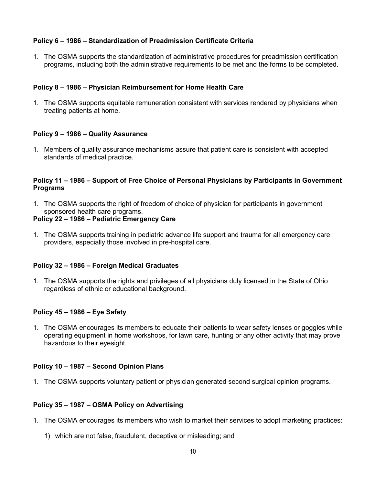## **Policy 6 – 1986 – Standardization of Preadmission Certificate Criteria**

1. The OSMA supports the standardization of administrative procedures for preadmission certification programs, including both the administrative requirements to be met and the forms to be completed.

## **Policy 8 – 1986 – Physician Reimbursement for Home Health Care**

1. The OSMA supports equitable remuneration consistent with services rendered by physicians when treating patients at home.

### **Policy 9 – 1986 – Quality Assurance**

1. Members of quality assurance mechanisms assure that patient care is consistent with accepted standards of medical practice.

### **Policy 11 – 1986 – Support of Free Choice of Personal Physicians by Participants in Government Programs**

1. The OSMA supports the right of freedom of choice of physician for participants in government sponsored health care programs.

### **Policy 22 – 1986 – Pediatric Emergency Care**

1. The OSMA supports training in pediatric advance life support and trauma for all emergency care providers, especially those involved in pre-hospital care.

### **Policy 32 – 1986 – Foreign Medical Graduates**

1. The OSMA supports the rights and privileges of all physicians duly licensed in the State of Ohio regardless of ethnic or educational background.

### **Policy 45 – 1986 – Eye Safety**

1. The OSMA encourages its members to educate their patients to wear safety lenses or goggles while operating equipment in home workshops, for lawn care, hunting or any other activity that may prove hazardous to their eyesight.

### **Policy 10 – 1987 – Second Opinion Plans**

1. The OSMA supports voluntary patient or physician generated second surgical opinion programs.

### **Policy 35 – 1987 – OSMA Policy on Advertising**

- 1. The OSMA encourages its members who wish to market their services to adopt marketing practices:
	- 1) which are not false, fraudulent, deceptive or misleading; and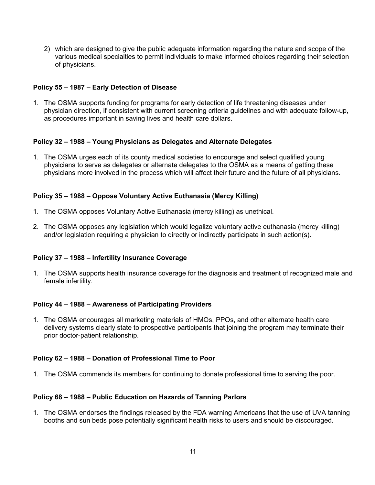2) which are designed to give the public adequate information regarding the nature and scope of the various medical specialties to permit individuals to make informed choices regarding their selection of physicians.

### **Policy 55 – 1987 – Early Detection of Disease**

1. The OSMA supports funding for programs for early detection of life threatening diseases under physician direction, if consistent with current screening criteria guidelines and with adequate follow-up, as procedures important in saving lives and health care dollars.

### **Policy 32 – 1988 – Young Physicians as Delegates and Alternate Delegates**

1. The OSMA urges each of its county medical societies to encourage and select qualified young physicians to serve as delegates or alternate delegates to the OSMA as a means of getting these physicians more involved in the process which will affect their future and the future of all physicians.

### **Policy 35 – 1988 – Oppose Voluntary Active Euthanasia (Mercy Killing)**

- 1. The OSMA opposes Voluntary Active Euthanasia (mercy killing) as unethical.
- 2. The OSMA opposes any legislation which would legalize voluntary active euthanasia (mercy killing) and/or legislation requiring a physician to directly or indirectly participate in such action(s).

### **Policy 37 – 1988 – Infertility Insurance Coverage**

1. The OSMA supports health insurance coverage for the diagnosis and treatment of recognized male and female infertility.

### **Policy 44 – 1988 – Awareness of Participating Providers**

1. The OSMA encourages all marketing materials of HMOs, PPOs, and other alternate health care delivery systems clearly state to prospective participants that joining the program may terminate their prior doctor-patient relationship.

### **Policy 62 – 1988 – Donation of Professional Time to Poor**

1. The OSMA commends its members for continuing to donate professional time to serving the poor.

### **Policy 68 – 1988 – Public Education on Hazards of Tanning Parlors**

1. The OSMA endorses the findings released by the FDA warning Americans that the use of UVA tanning booths and sun beds pose potentially significant health risks to users and should be discouraged.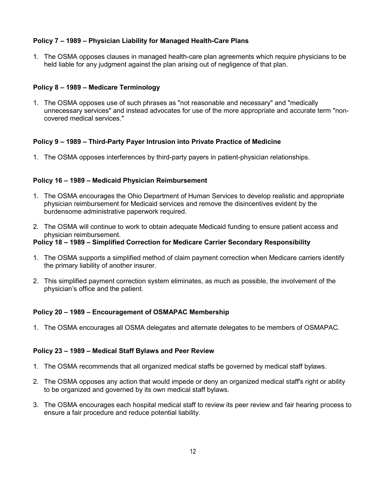# **Policy 7 – 1989 – Physician Liability for Managed Health-Care Plans**

1. The OSMA opposes clauses in managed health-care plan agreements which require physicians to be held liable for any judgment against the plan arising out of negligence of that plan.

### **Policy 8 – 1989 – Medicare Terminology**

1. The OSMA opposes use of such phrases as "not reasonable and necessary" and "medically unnecessary services" and instead advocates for use of the more appropriate and accurate term "noncovered medical services."

## **Policy 9 – 1989 – Third-Party Payer Intrusion into Private Practice of Medicine**

1. The OSMA opposes interferences by third-party payers in patient-physician relationships.

## **Policy 16 – 1989 – Medicaid Physician Reimbursement**

- 1. The OSMA encourages the Ohio Department of Human Services to develop realistic and appropriate physician reimbursement for Medicaid services and remove the disincentives evident by the burdensome administrative paperwork required.
- 2. The OSMA will continue to work to obtain adequate Medicaid funding to ensure patient access and physician reimbursement.

### **Policy 18 – 1989 – Simplified Correction for Medicare Carrier Secondary Responsibility**

- 1. The OSMA supports a simplified method of claim payment correction when Medicare carriers identify the primary liability of another insurer.
- 2. This simplified payment correction system eliminates, as much as possible, the involvement of the physician's office and the patient.

### **Policy 20 – 1989 – Encouragement of OSMAPAC Membership**

1. The OSMA encourages all OSMA delegates and alternate delegates to be members of OSMAPAC.

### **Policy 23 – 1989 – Medical Staff Bylaws and Peer Review**

- 1. The OSMA recommends that all organized medical staffs be governed by medical staff bylaws.
- 2. The OSMA opposes any action that would impede or deny an organized medical staff's right or ability to be organized and governed by its own medical staff bylaws.
- 3. The OSMA encourages each hospital medical staff to review its peer review and fair hearing process to ensure a fair procedure and reduce potential liability.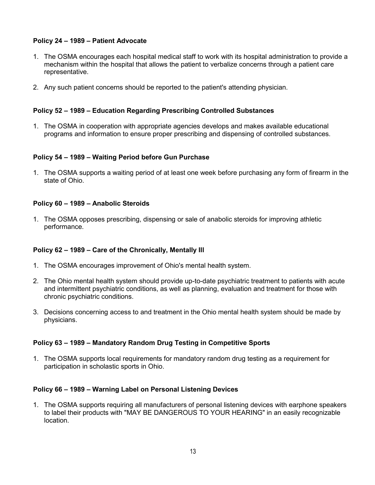# **Policy 24 – 1989 – Patient Advocate**

- 1. The OSMA encourages each hospital medical staff to work with its hospital administration to provide a mechanism within the hospital that allows the patient to verbalize concerns through a patient care representative.
- 2. Any such patient concerns should be reported to the patient's attending physician.

### **Policy 52 – 1989 – Education Regarding Prescribing Controlled Substances**

1. The OSMA in cooperation with appropriate agencies develops and makes available educational programs and information to ensure proper prescribing and dispensing of controlled substances.

### **Policy 54 – 1989 – Waiting Period before Gun Purchase**

1. The OSMA supports a waiting period of at least one week before purchasing any form of firearm in the state of Ohio.

### **Policy 60 – 1989 – Anabolic Steroids**

1. The OSMA opposes prescribing, dispensing or sale of anabolic steroids for improving athletic performance.

### **Policy 62 – 1989 – Care of the Chronically, Mentally Ill**

- 1. The OSMA encourages improvement of Ohio's mental health system.
- 2. The Ohio mental health system should provide up-to-date psychiatric treatment to patients with acute and intermittent psychiatric conditions, as well as planning, evaluation and treatment for those with chronic psychiatric conditions.
- 3. Decisions concerning access to and treatment in the Ohio mental health system should be made by physicians.

### **Policy 63 – 1989 – Mandatory Random Drug Testing in Competitive Sports**

1. The OSMA supports local requirements for mandatory random drug testing as a requirement for participation in scholastic sports in Ohio.

### **Policy 66 – 1989 – Warning Label on Personal Listening Devices**

1. The OSMA supports requiring all manufacturers of personal listening devices with earphone speakers to label their products with "MAY BE DANGEROUS TO YOUR HEARING" in an easily recognizable location.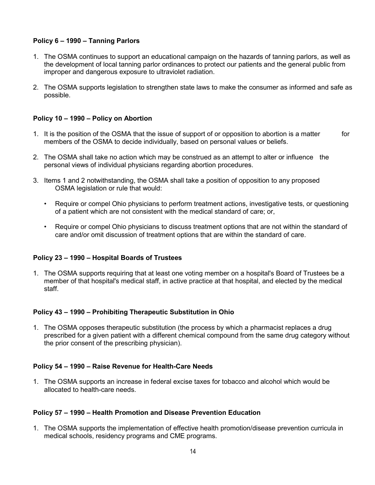# **Policy 6 – 1990 – Tanning Parlors**

- 1. The OSMA continues to support an educational campaign on the hazards of tanning parlors, as well as the development of local tanning parlor ordinances to protect our patients and the general public from improper and dangerous exposure to ultraviolet radiation.
- 2. The OSMA supports legislation to strengthen state laws to make the consumer as informed and safe as possible.

## **Policy 10 – 1990 – Policy on Abortion**

- 1. It is the position of the OSMA that the issue of support of or opposition to abortion is a matter for members of the OSMA to decide individually, based on personal values or beliefs.
- 2. The OSMA shall take no action which may be construed as an attempt to alter or influence the personal views of individual physicians regarding abortion procedures.
- 3. Items 1 and 2 notwithstanding, the OSMA shall take a position of opposition to any proposed OSMA legislation or rule that would:
	- Require or compel Ohio physicians to perform treatment actions, investigative tests, or questioning of a patient which are not consistent with the medical standard of care; or,
	- Require or compel Ohio physicians to discuss treatment options that are not within the standard of care and/or omit discussion of treatment options that are within the standard of care.

### **Policy 23 – 1990 – Hospital Boards of Trustees**

1. The OSMA supports requiring that at least one voting member on a hospital's Board of Trustees be a member of that hospital's medical staff, in active practice at that hospital, and elected by the medical staff.

### **Policy 43 – 1990 – Prohibiting Therapeutic Substitution in Ohio**

1. The OSMA opposes therapeutic substitution (the process by which a pharmacist replaces a drug prescribed for a given patient with a different chemical compound from the same drug category without the prior consent of the prescribing physician).

### **Policy 54 – 1990 – Raise Revenue for Health-Care Needs**

1. The OSMA supports an increase in federal excise taxes for tobacco and alcohol which would be allocated to health-care needs.

### **Policy 57 – 1990 – Health Promotion and Disease Prevention Education**

1. The OSMA supports the implementation of effective health promotion/disease prevention curricula in medical schools, residency programs and CME programs.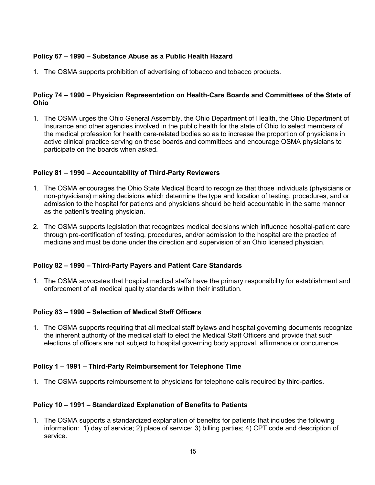# **Policy 67 – 1990 – Substance Abuse as a Public Health Hazard**

1. The OSMA supports prohibition of advertising of tobacco and tobacco products.

### **Policy 74 – 1990 – Physician Representation on Health-Care Boards and Committees of the State of Ohio**

1. The OSMA urges the Ohio General Assembly, the Ohio Department of Health, the Ohio Department of Insurance and other agencies involved in the public health for the state of Ohio to select members of the medical profession for health care-related bodies so as to increase the proportion of physicians in active clinical practice serving on these boards and committees and encourage OSMA physicians to participate on the boards when asked.

#### **Policy 81 – 1990 – Accountability of Third-Party Reviewers**

- 1. The OSMA encourages the Ohio State Medical Board to recognize that those individuals (physicians or non-physicians) making decisions which determine the type and location of testing, procedures, and or admission to the hospital for patients and physicians should be held accountable in the same manner as the patient's treating physician.
- 2. The OSMA supports legislation that recognizes medical decisions which influence hospital-patient care through pre-certification of testing, procedures, and/or admission to the hospital are the practice of medicine and must be done under the direction and supervision of an Ohio licensed physician.

### **Policy 82 – 1990 – Third-Party Payers and Patient Care Standards**

1. The OSMA advocates that hospital medical staffs have the primary responsibility for establishment and enforcement of all medical quality standards within their institution.

### **Policy 83 – 1990 – Selection of Medical Staff Officers**

1. The OSMA supports requiring that all medical staff bylaws and hospital governing documents recognize the inherent authority of the medical staff to elect the Medical Staff Officers and provide that such elections of officers are not subject to hospital governing body approval, affirmance or concurrence.

#### **Policy 1 – 1991 – Third-Party Reimbursement for Telephone Time**

1. The OSMA supports reimbursement to physicians for telephone calls required by third-parties.

#### **Policy 10 – 1991 – Standardized Explanation of Benefits to Patients**

1. The OSMA supports a standardized explanation of benefits for patients that includes the following information: 1) day of service; 2) place of service; 3) billing parties; 4) CPT code and description of service.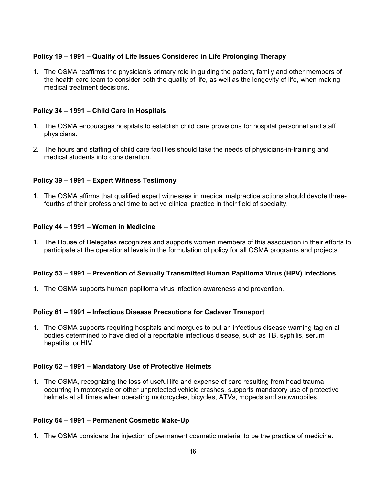# **Policy 19 – 1991 – Quality of Life Issues Considered in Life Prolonging Therapy**

1. The OSMA reaffirms the physician's primary role in guiding the patient, family and other members of the health care team to consider both the quality of life, as well as the longevity of life, when making medical treatment decisions.

#### **Policy 34 – 1991 – Child Care in Hospitals**

- 1. The OSMA encourages hospitals to establish child care provisions for hospital personnel and staff physicians.
- 2. The hours and staffing of child care facilities should take the needs of physicians-in-training and medical students into consideration.

#### **Policy 39 – 1991 – Expert Witness Testimony**

1. The OSMA affirms that qualified expert witnesses in medical malpractice actions should devote threefourths of their professional time to active clinical practice in their field of specialty.

#### **Policy 44 – 1991 – Women in Medicine**

1. The House of Delegates recognizes and supports women members of this association in their efforts to participate at the operational levels in the formulation of policy for all OSMA programs and projects.

#### **Policy 53 – 1991 – Prevention of Sexually Transmitted Human Papilloma Virus (HPV) Infections**

1. The OSMA supports human papilloma virus infection awareness and prevention.

#### **Policy 61 – 1991 – Infectious Disease Precautions for Cadaver Transport**

1. The OSMA supports requiring hospitals and morgues to put an infectious disease warning tag on all bodies determined to have died of a reportable infectious disease, such as TB, syphilis, serum hepatitis, or HIV.

#### **Policy 62 – 1991 – Mandatory Use of Protective Helmets**

1. The OSMA, recognizing the loss of useful life and expense of care resulting from head trauma occurring in motorcycle or other unprotected vehicle crashes, supports mandatory use of protective helmets at all times when operating motorcycles, bicycles, ATVs, mopeds and snowmobiles.

#### **Policy 64 – 1991 – Permanent Cosmetic Make-Up**

1. The OSMA considers the injection of permanent cosmetic material to be the practice of medicine.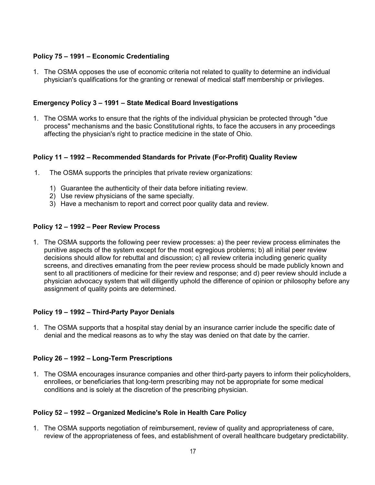## **Policy 75 – 1991 – Economic Credentialing**

1. The OSMA opposes the use of economic criteria not related to quality to determine an individual physician's qualifications for the granting or renewal of medical staff membership or privileges.

### **Emergency Policy 3 – 1991 – State Medical Board Investigations**

1. The OSMA works to ensure that the rights of the individual physician be protected through "due process" mechanisms and the basic Constitutional rights, to face the accusers in any proceedings affecting the physician's right to practice medicine in the state of Ohio.

#### **Policy 11 – 1992 – Recommended Standards for Private (For-Profit) Quality Review**

- 1. The OSMA supports the principles that private review organizations:
	- 1) Guarantee the authenticity of their data before initiating review.
	- 2) Use review physicians of the same specialty.
	- 3) Have a mechanism to report and correct poor quality data and review.

#### **Policy 12 – 1992 – Peer Review Process**

1. The OSMA supports the following peer review processes: a) the peer review process eliminates the punitive aspects of the system except for the most egregious problems; b) all initial peer review decisions should allow for rebuttal and discussion; c) all review criteria including generic quality screens, and directives emanating from the peer review process should be made publicly known and sent to all practitioners of medicine for their review and response; and d) peer review should include a physician advocacy system that will diligently uphold the difference of opinion or philosophy before any assignment of quality points are determined.

#### **Policy 19 – 1992 – Third-Party Payor Denials**

1. The OSMA supports that a hospital stay denial by an insurance carrier include the specific date of denial and the medical reasons as to why the stay was denied on that date by the carrier.

#### **Policy 26 – 1992 – Long-Term Prescriptions**

1. The OSMA encourages insurance companies and other third-party payers to inform their policyholders, enrollees, or beneficiaries that long-term prescribing may not be appropriate for some medical conditions and is solely at the discretion of the prescribing physician.

### **Policy 52 – 1992 – Organized Medicine's Role in Health Care Policy**

1. The OSMA supports negotiation of reimbursement, review of quality and appropriateness of care, review of the appropriateness of fees, and establishment of overall healthcare budgetary predictability.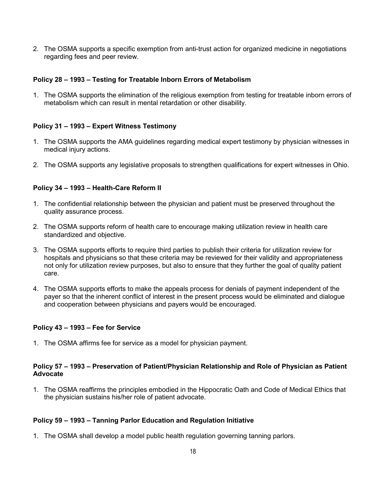2. The OSMA supports a specific exemption from anti-trust action for organized medicine in negotiations regarding fees and peer review.

### **Policy 28 – 1993 – Testing for Treatable Inborn Errors of Metabolism**

1. The OSMA supports the elimination of the religious exemption from testing for treatable inborn errors of metabolism which can result in mental retardation or other disability.

## **Policy 31 – 1993 – Expert Witness Testimony**

- 1. The OSMA supports the AMA guidelines regarding medical expert testimony by physician witnesses in medical injury actions.
- 2. The OSMA supports any legislative proposals to strengthen qualifications for expert witnesses in Ohio.

### **Policy 34 – 1993 – Health-Care Reform II**

- 1. The confidential relationship between the physician and patient must be preserved throughout the quality assurance process.
- 2. The OSMA supports reform of health care to encourage making utilization review in health care standardized and objective.
- 3. The OSMA supports efforts to require third parties to publish their criteria for utilization review for hospitals and physicians so that these criteria may be reviewed for their validity and appropriateness not only for utilization review purposes, but also to ensure that they further the goal of quality patient care.
- 4. The OSMA supports efforts to make the appeals process for denials of payment independent of the payer so that the inherent conflict of interest in the present process would be eliminated and dialogue and cooperation between physicians and payers would be encouraged.

### **Policy 43 – 1993 – Fee for Service**

1. The OSMA affirms fee for service as a model for physician payment.

### **Policy 57 – 1993 – Preservation of Patient/Physician Relationship and Role of Physician as Patient Advocate**

1. The OSMA reaffirms the principles embodied in the Hippocratic Oath and Code of Medical Ethics that the physician sustains his/her role of patient advocate.

### **Policy 59 – 1993 – Tanning Parlor Education and Regulation Initiative**

1. The OSMA shall develop a model public health regulation governing tanning parlors.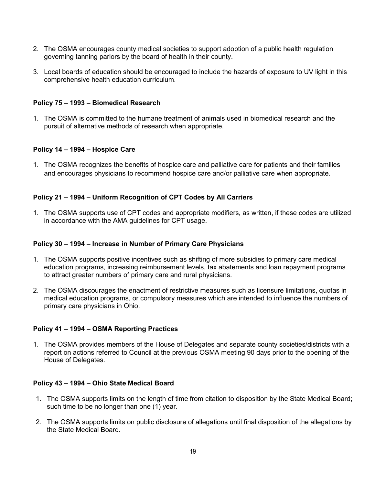- 2. The OSMA encourages county medical societies to support adoption of a public health regulation governing tanning parlors by the board of health in their county.
- 3. Local boards of education should be encouraged to include the hazards of exposure to UV light in this comprehensive health education curriculum.

### **Policy 75 – 1993 – Biomedical Research**

1. The OSMA is committed to the humane treatment of animals used in biomedical research and the pursuit of alternative methods of research when appropriate.

### **Policy 14 – 1994 – Hospice Care**

1. The OSMA recognizes the benefits of hospice care and palliative care for patients and their families and encourages physicians to recommend hospice care and/or palliative care when appropriate.

### **Policy 21 – 1994 – Uniform Recognition of CPT Codes by All Carriers**

1. The OSMA supports use of CPT codes and appropriate modifiers, as written, if these codes are utilized in accordance with the AMA guidelines for CPT usage.

#### **Policy 30 – 1994 – Increase in Number of Primary Care Physicians**

- 1. The OSMA supports positive incentives such as shifting of more subsidies to primary care medical education programs, increasing reimbursement levels, tax abatements and loan repayment programs to attract greater numbers of primary care and rural physicians.
- 2. The OSMA discourages the enactment of restrictive measures such as licensure limitations, quotas in medical education programs, or compulsory measures which are intended to influence the numbers of primary care physicians in Ohio.

### **Policy 41 – 1994 – OSMA Reporting Practices**

1. The OSMA provides members of the House of Delegates and separate county societies/districts with a report on actions referred to Council at the previous OSMA meeting 90 days prior to the opening of the House of Delegates.

### **Policy 43 – 1994 – Ohio State Medical Board**

- 1. The OSMA supports limits on the length of time from citation to disposition by the State Medical Board; such time to be no longer than one (1) year.
- 2. The OSMA supports limits on public disclosure of allegations until final disposition of the allegations by the State Medical Board.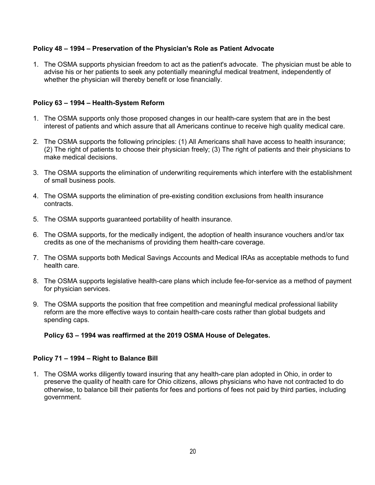## **Policy 48 – 1994 – Preservation of the Physician's Role as Patient Advocate**

1. The OSMA supports physician freedom to act as the patient's advocate. The physician must be able to advise his or her patients to seek any potentially meaningful medical treatment, independently of whether the physician will thereby benefit or lose financially.

## **Policy 63 – 1994 – Health-System Reform**

- 1. The OSMA supports only those proposed changes in our health-care system that are in the best interest of patients and which assure that all Americans continue to receive high quality medical care.
- 2. The OSMA supports the following principles: (1) All Americans shall have access to health insurance; (2) The right of patients to choose their physician freely; (3) The right of patients and their physicians to make medical decisions.
- 3. The OSMA supports the elimination of underwriting requirements which interfere with the establishment of small business pools.
- 4. The OSMA supports the elimination of pre-existing condition exclusions from health insurance contracts.
- 5. The OSMA supports guaranteed portability of health insurance.
- 6. The OSMA supports, for the medically indigent, the adoption of health insurance vouchers and/or tax credits as one of the mechanisms of providing them health-care coverage.
- 7. The OSMA supports both Medical Savings Accounts and Medical IRAs as acceptable methods to fund health care.
- 8. The OSMA supports legislative health-care plans which include fee-for-service as a method of payment for physician services.
- 9. The OSMA supports the position that free competition and meaningful medical professional liability reform are the more effective ways to contain health-care costs rather than global budgets and spending caps.

### **Policy 63 – 1994 was reaffirmed at the 2019 OSMA House of Delegates.**

### **Policy 71 – 1994 – Right to Balance Bill**

1. The OSMA works diligently toward insuring that any health-care plan adopted in Ohio, in order to preserve the quality of health care for Ohio citizens, allows physicians who have not contracted to do otherwise, to balance bill their patients for fees and portions of fees not paid by third parties, including government.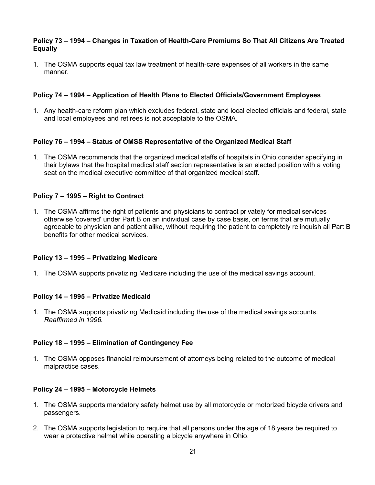### **Policy 73 – 1994 – Changes in Taxation of Health-Care Premiums So That All Citizens Are Treated Equally**

1. The OSMA supports equal tax law treatment of health-care expenses of all workers in the same manner.

### **Policy 74 – 1994 – Application of Health Plans to Elected Officials/Government Employees**

1. Any health-care reform plan which excludes federal, state and local elected officials and federal, state and local employees and retirees is not acceptable to the OSMA.

## **Policy 76 – 1994 – Status of OMSS Representative of the Organized Medical Staff**

1. The OSMA recommends that the organized medical staffs of hospitals in Ohio consider specifying in their bylaws that the hospital medical staff section representative is an elected position with a voting seat on the medical executive committee of that organized medical staff.

### **Policy 7 – 1995 – Right to Contract**

1. The OSMA affirms the right of patients and physicians to contract privately for medical services otherwise 'covered' under Part B on an individual case by case basis, on terms that are mutually agreeable to physician and patient alike, without requiring the patient to completely relinquish all Part B benefits for other medical services.

### **Policy 13 – 1995 – Privatizing Medicare**

1. The OSMA supports privatizing Medicare including the use of the medical savings account.

### **Policy 14 – 1995 – Privatize Medicaid**

1. The OSMA supports privatizing Medicaid including the use of the medical savings accounts. *Reaffirmed in 1996.*

### **Policy 18 – 1995 – Elimination of Contingency Fee**

1. The OSMA opposes financial reimbursement of attorneys being related to the outcome of medical malpractice cases.

### **Policy 24 – 1995 – Motorcycle Helmets**

- 1. The OSMA supports mandatory safety helmet use by all motorcycle or motorized bicycle drivers and passengers.
- 2. The OSMA supports legislation to require that all persons under the age of 18 years be required to wear a protective helmet while operating a bicycle anywhere in Ohio.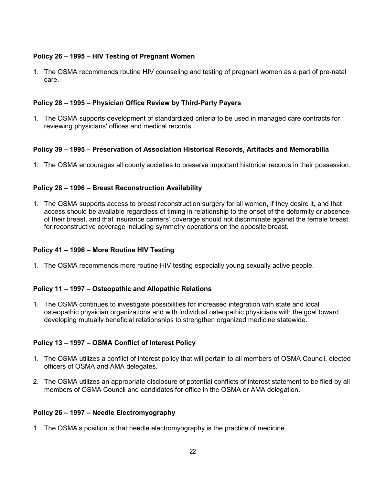# **Policy 26 – 1995 – HIV Testing of Pregnant Women**

1. The OSMA recommends routine HIV counseling and testing of pregnant women as a part of pre-natal care.

## **Policy 28 – 1995 – Physician Office Review by Third-Party Payers**

1. The OSMA supports development of standardized criteria to be used in managed care contracts for reviewing physicians' offices and medical records.

## **Policy 39 – 1995 – Preservation of Association Historical Records, Artifacts and Memorabilia**

1. The OSMA encourages all county societies to preserve important historical records in their possession.

## **Policy 28 – 1996 – Breast Reconstruction Availability**

1. The OSMA supports access to breast reconstruction surgery for all women, if they desire it, and that access should be available regardless of timing in relationship to the onset of the deformity or absence of their breast, and that insurance carriers' coverage should not discriminate against the female breast for reconstructive coverage including symmetry operations on the opposite breast.

### **Policy 41 – 1996 – More Routine HIV Testing**

1. The OSMA recommends more routine HIV testing especially young sexually active people.

### **Policy 11 – 1997 – Osteopathic and Allopathic Relations**

1. The OSMA continues to investigate possibilities for increased integration with state and local osteopathic physician organizations and with individual osteopathic physicians with the goal toward developing mutually beneficial relationships to strengthen organized medicine statewide.

### **Policy 13 – 1997 – OSMA Conflict of Interest Policy**

- 1. The OSMA utilizes a conflict of interest policy that will pertain to all members of OSMA Council, elected officers of OSMA and AMA delegates.
- 2. The OSMA utilizes an appropriate disclosure of potential conflicts of interest statement to be filed by all members of OSMA Council and candidates for office in the OSMA or AMA delegation.

### **Policy 26 – 1997 – Needle Electromyography**

1. The OSMA's position is that needle electromyography is the practice of medicine.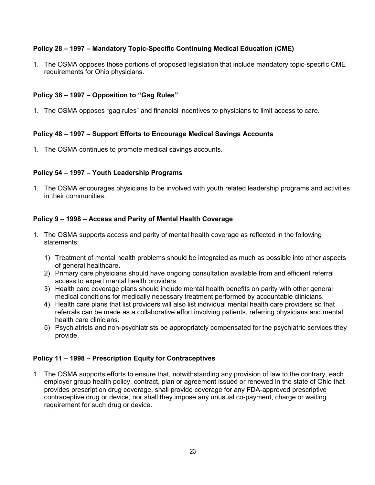# **Policy 28 – 1997 – Mandatory Topic-Specific Continuing Medical Education (CME)**

1. The OSMA opposes those portions of proposed legislation that include mandatory topic-specific CME requirements for Ohio physicians.

# **Policy 38 – 1997 – Opposition to "Gag Rules"**

1. The OSMA opposes "gag rules" and financial incentives to physicians to limit access to care.

## **Policy 48 – 1997 – Support Efforts to Encourage Medical Savings Accounts**

1. The OSMA continues to promote medical savings accounts.

### **Policy 54 – 1997 – Youth Leadership Programs**

1. The OSMA encourages physicians to be involved with youth related leadership programs and activities in their communities.

## **Policy 9 – 1998 – Access and Parity of Mental Health Coverage**

- 1. The OSMA supports access and parity of mental health coverage as reflected in the following statements:
	- 1) Treatment of mental health problems should be integrated as much as possible into other aspects of general healthcare.
	- 2) Primary care physicians should have ongoing consultation available from and efficient referral access to expert mental health providers.
	- 3) Health care coverage plans should include mental health benefits on parity with other general medical conditions for medically necessary treatment performed by accountable clinicians.
	- 4) Health care plans that list providers will also list individual mental health care providers so that referrals can be made as a collaborative effort involving patients, referring physicians and mental health care clinicians.
	- 5) Psychiatrists and non-psychiatrists be appropriately compensated for the psychiatric services they provide.

### **Policy 11 – 1998 – Prescription Equity for Contraceptives**

1. The OSMA supports efforts to ensure that, notwithstanding any provision of law to the contrary, each employer group health policy, contract, plan or agreement issued or renewed in the state of Ohio that provides prescription drug coverage, shall provide coverage for any FDA-approved prescriptive contraceptive drug or device, nor shall they impose any unusual co-payment, charge or waiting requirement for such drug or device.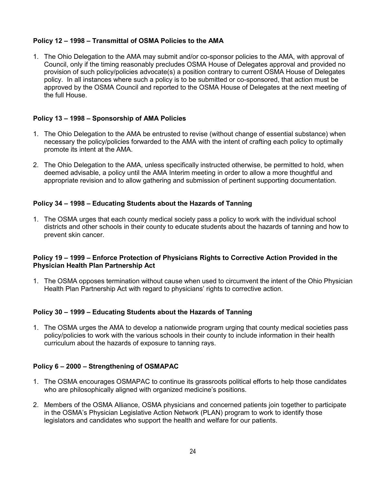# **Policy 12 – 1998 – Transmittal of OSMA Policies to the AMA**

1. The Ohio Delegation to the AMA may submit and/or co-sponsor policies to the AMA, with approval of Council, only if the timing reasonably precludes OSMA House of Delegates approval and provided no provision of such policy/policies advocate(s) a position contrary to current OSMA House of Delegates policy. In all instances where such a policy is to be submitted or co-sponsored, that action must be approved by the OSMA Council and reported to the OSMA House of Delegates at the next meeting of the full House.

# **Policy 13 – 1998 – Sponsorship of AMA Policies**

- 1. The Ohio Delegation to the AMA be entrusted to revise (without change of essential substance) when necessary the policy/policies forwarded to the AMA with the intent of crafting each policy to optimally promote its intent at the AMA.
- 2. The Ohio Delegation to the AMA, unless specifically instructed otherwise, be permitted to hold, when deemed advisable, a policy until the AMA Interim meeting in order to allow a more thoughtful and appropriate revision and to allow gathering and submission of pertinent supporting documentation.

## **Policy 34 – 1998 – Educating Students about the Hazards of Tanning**

1. The OSMA urges that each county medical society pass a policy to work with the individual school districts and other schools in their county to educate students about the hazards of tanning and how to prevent skin cancer.

## **Policy 19 – 1999 – Enforce Protection of Physicians Rights to Corrective Action Provided in the Physician Health Plan Partnership Act**

1. The OSMA opposes termination without cause when used to circumvent the intent of the Ohio Physician Health Plan Partnership Act with regard to physicians' rights to corrective action.

# **Policy 30 – 1999 – Educating Students about the Hazards of Tanning**

1. The OSMA urges the AMA to develop a nationwide program urging that county medical societies pass policy/policies to work with the various schools in their county to include information in their health curriculum about the hazards of exposure to tanning rays.

### **Policy 6 – 2000 – Strengthening of OSMAPAC**

- 1. The OSMA encourages OSMAPAC to continue its grassroots political efforts to help those candidates who are philosophically aligned with organized medicine's positions.
- 2. Members of the OSMA Alliance, OSMA physicians and concerned patients join together to participate in the OSMA's Physician Legislative Action Network (PLAN) program to work to identify those legislators and candidates who support the health and welfare for our patients.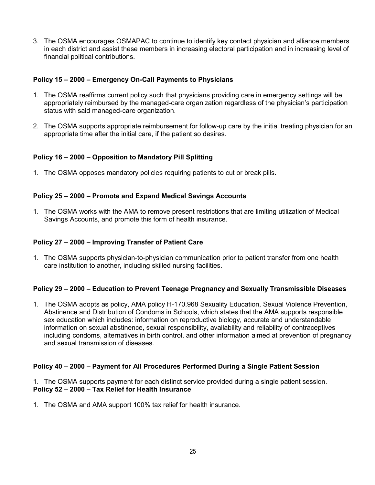3. The OSMA encourages OSMAPAC to continue to identify key contact physician and alliance members in each district and assist these members in increasing electoral participation and in increasing level of financial political contributions.

### **Policy 15 – 2000 – Emergency On-Call Payments to Physicians**

- 1. The OSMA reaffirms current policy such that physicians providing care in emergency settings will be appropriately reimbursed by the managed-care organization regardless of the physician's participation status with said managed-care organization.
- 2. The OSMA supports appropriate reimbursement for follow-up care by the initial treating physician for an appropriate time after the initial care, if the patient so desires.

## **Policy 16 – 2000 – Opposition to Mandatory Pill Splitting**

1. The OSMA opposes mandatory policies requiring patients to cut or break pills.

### **Policy 25 – 2000 – Promote and Expand Medical Savings Accounts**

1. The OSMA works with the AMA to remove present restrictions that are limiting utilization of Medical Savings Accounts, and promote this form of health insurance.

### **Policy 27 – 2000 – Improving Transfer of Patient Care**

1. The OSMA supports physician-to-physician communication prior to patient transfer from one health care institution to another, including skilled nursing facilities.

### **Policy 29 – 2000 – Education to Prevent Teenage Pregnancy and Sexually Transmissible Diseases**

1. The OSMA adopts as policy, AMA policy H-170.968 Sexuality Education, Sexual Violence Prevention, Abstinence and Distribution of Condoms in Schools, which states that the AMA supports responsible sex education which includes: information on reproductive biology, accurate and understandable information on sexual abstinence, sexual responsibility, availability and reliability of contraceptives including condoms, alternatives in birth control, and other information aimed at prevention of pregnancy and sexual transmission of diseases.

### **Policy 40 – 2000 – Payment for All Procedures Performed During a Single Patient Session**

### 1. The OSMA supports payment for each distinct service provided during a single patient session. **Policy 52 – 2000 – Tax Relief for Health Insurance**

1. The OSMA and AMA support 100% tax relief for health insurance.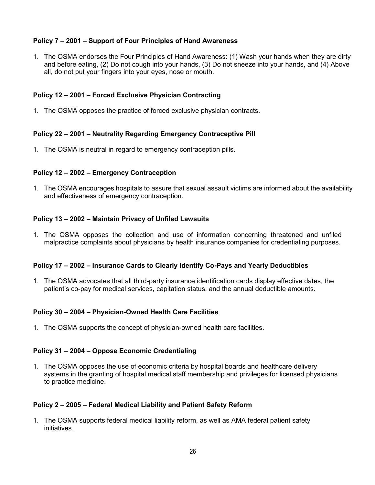# **Policy 7 – 2001 – Support of Four Principles of Hand Awareness**

1. The OSMA endorses the Four Principles of Hand Awareness: (1) Wash your hands when they are dirty and before eating, (2) Do not cough into your hands, (3) Do not sneeze into your hands, and (4) Above all, do not put your fingers into your eyes, nose or mouth.

### **Policy 12 – 2001 – Forced Exclusive Physician Contracting**

1. The OSMA opposes the practice of forced exclusive physician contracts.

### **Policy 22 – 2001 – Neutrality Regarding Emergency Contraceptive Pill**

1. The OSMA is neutral in regard to emergency contraception pills.

#### **Policy 12 – 2002 – Emergency Contraception**

1. The OSMA encourages hospitals to assure that sexual assault victims are informed about the availability and effectiveness of emergency contraception.

#### **Policy 13 – 2002 – Maintain Privacy of Unfiled Lawsuits**

1. The OSMA opposes the collection and use of information concerning threatened and unfiled malpractice complaints about physicians by health insurance companies for credentialing purposes.

#### **Policy 17 – 2002 – Insurance Cards to Clearly Identify Co-Pays and Yearly Deductibles**

1. The OSMA advocates that all third-party insurance identification cards display effective dates, the patient's co-pay for medical services, capitation status, and the annual deductible amounts.

#### **Policy 30 – 2004 – Physician-Owned Health Care Facilities**

1. The OSMA supports the concept of physician-owned health care facilities.

#### **Policy 31 – 2004 – Oppose Economic Credentialing**

1. The OSMA opposes the use of economic criteria by hospital boards and healthcare delivery systems in the granting of hospital medical staff membership and privileges for licensed physicians to practice medicine.

#### **Policy 2 – 2005 – Federal Medical Liability and Patient Safety Reform**

1. The OSMA supports federal medical liability reform, as well as AMA federal patient safety initiatives.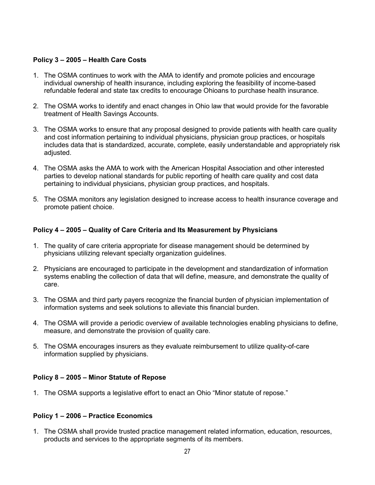### **Policy 3 – 2005 – Health Care Costs**

- 1. The OSMA continues to work with the AMA to identify and promote policies and encourage individual ownership of health insurance, including exploring the feasibility of income-based refundable federal and state tax credits to encourage Ohioans to purchase health insurance.
- 2. The OSMA works to identify and enact changes in Ohio law that would provide for the favorable treatment of Health Savings Accounts.
- 3. The OSMA works to ensure that any proposal designed to provide patients with health care quality and cost information pertaining to individual physicians, physician group practices, or hospitals includes data that is standardized, accurate, complete, easily understandable and appropriately risk adjusted.
- 4. The OSMA asks the AMA to work with the American Hospital Association and other interested parties to develop national standards for public reporting of health care quality and cost data pertaining to individual physicians, physician group practices, and hospitals.
- 5. The OSMA monitors any legislation designed to increase access to health insurance coverage and promote patient choice.

## **Policy 4 – 2005 – Quality of Care Criteria and Its Measurement by Physicians**

- 1. The quality of care criteria appropriate for disease management should be determined by physicians utilizing relevant specialty organization guidelines.
- 2. Physicians are encouraged to participate in the development and standardization of information systems enabling the collection of data that will define, measure, and demonstrate the quality of care.
- 3. The OSMA and third party payers recognize the financial burden of physician implementation of information systems and seek solutions to alleviate this financial burden.
- 4. The OSMA will provide a periodic overview of available technologies enabling physicians to define, measure, and demonstrate the provision of quality care.
- 5. The OSMA encourages insurers as they evaluate reimbursement to utilize quality-of-care information supplied by physicians.

### **Policy 8 – 2005 – Minor Statute of Repose**

1. The OSMA supports a legislative effort to enact an Ohio "Minor statute of repose."

### **Policy 1 – 2006 – Practice Economics**

1. The OSMA shall provide trusted practice management related information, education, resources, products and services to the appropriate segments of its members.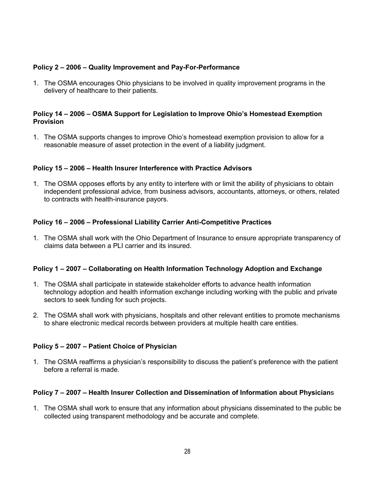# **Policy 2 – 2006 – Quality Improvement and Pay-For-Performance**

1. The OSMA encourages Ohio physicians to be involved in quality improvement programs in the delivery of healthcare to their patients.

### **Policy 14 – 2006 – OSMA Support for Legislation to Improve Ohio's Homestead Exemption Provision**

1. The OSMA supports changes to improve Ohio's homestead exemption provision to allow for a reasonable measure of asset protection in the event of a liability judgment.

### **Policy 15 – 2006 – Health Insurer Interference with Practice Advisors**

1. The OSMA opposes efforts by any entity to interfere with or limit the ability of physicians to obtain independent professional advice, from business advisors, accountants, attorneys, or others, related to contracts with health-insurance payors.

### **Policy 16 – 2006 – Professional Liability Carrier Anti-Competitive Practices**

1. The OSMA shall work with the Ohio Department of Insurance to ensure appropriate transparency of claims data between a PLI carrier and its insured.

#### **Policy 1 – 2007 – Collaborating on Health Information Technology Adoption and Exchange**

- 1. The OSMA shall participate in statewide stakeholder efforts to advance health information technology adoption and health information exchange including working with the public and private sectors to seek funding for such projects.
- 2. The OSMA shall work with physicians, hospitals and other relevant entities to promote mechanisms to share electronic medical records between providers at multiple health care entities.

#### **Policy 5 – 2007 – Patient Choice of Physician**

1. The OSMA reaffirms a physician's responsibility to discuss the patient's preference with the patient before a referral is made.

#### **Policy 7 – 2007 – Health Insurer Collection and Dissemination of Information about Physician**s

1. The OSMA shall work to ensure that any information about physicians disseminated to the public be collected using transparent methodology and be accurate and complete.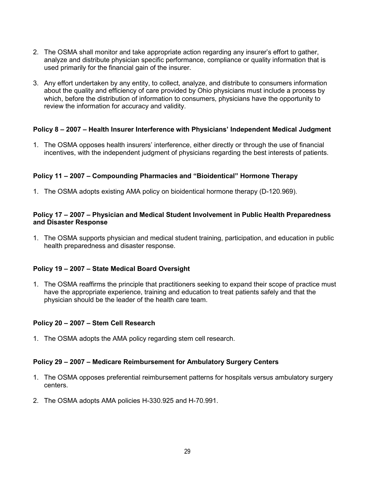- 2. The OSMA shall monitor and take appropriate action regarding any insurer's effort to gather, analyze and distribute physician specific performance, compliance or quality information that is used primarily for the financial gain of the insurer.
- 3. Any effort undertaken by any entity, to collect, analyze, and distribute to consumers information about the quality and efficiency of care provided by Ohio physicians must include a process by which, before the distribution of information to consumers, physicians have the opportunity to review the information for accuracy and validity.

### **Policy 8 – 2007 – Health Insurer Interference with Physicians' Independent Medical Judgment**

1. The OSMA opposes health insurers' interference, either directly or through the use of financial incentives, with the independent judgment of physicians regarding the best interests of patients.

# **Policy 11 – 2007 – Compounding Pharmacies and "Bioidentical" Hormone Therapy**

1. The OSMA adopts existing AMA policy on bioidentical hormone therapy (D-120.969).

### **Policy 17 – 2007 – Physician and Medical Student Involvement in Public Health Preparedness and Disaster Response**

1. The OSMA supports physician and medical student training, participation, and education in public health preparedness and disaster response.

### **Policy 19 – 2007 – State Medical Board Oversight**

1. The OSMA reaffirms the principle that practitioners seeking to expand their scope of practice must have the appropriate experience, training and education to treat patients safely and that the physician should be the leader of the health care team.

### **Policy 20 – 2007 – Stem Cell Research**

1. The OSMA adopts the AMA policy regarding stem cell research.

### **Policy 29 – 2007 – Medicare Reimbursement for Ambulatory Surgery Centers**

- 1. The OSMA opposes preferential reimbursement patterns for hospitals versus ambulatory surgery centers.
- 2. The OSMA adopts AMA policies H-330.925 and H-70.991.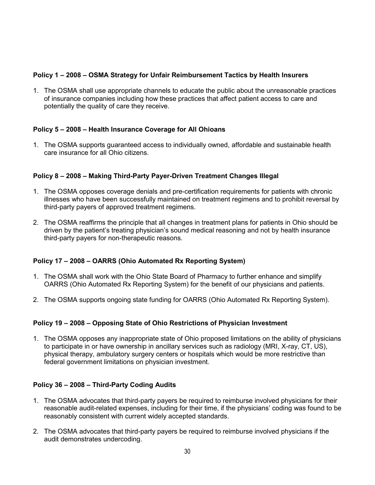# **Policy 1 – 2008 – OSMA Strategy for Unfair Reimbursement Tactics by Health Insurers**

1. The OSMA shall use appropriate channels to educate the public about the unreasonable practices of insurance companies including how these practices that affect patient access to care and potentially the quality of care they receive.

## **Policy 5 – 2008 – Health Insurance Coverage for All Ohioans**

1. The OSMA supports guaranteed access to individually owned, affordable and sustainable health care insurance for all Ohio citizens.

## **Policy 8 – 2008 – Making Third-Party Payer-Driven Treatment Changes Illegal**

- 1. The OSMA opposes coverage denials and pre-certification requirements for patients with chronic illnesses who have been successfully maintained on treatment regimens and to prohibit reversal by third-party payers of approved treatment regimens.
- 2. The OSMA reaffirms the principle that all changes in treatment plans for patients in Ohio should be driven by the patient's treating physician's sound medical reasoning and not by health insurance third-party payers for non-therapeutic reasons.

### **Policy 17 – 2008 – OARRS (Ohio Automated Rx Reporting System)**

- 1. The OSMA shall work with the Ohio State Board of Pharmacy to further enhance and simplify OARRS (Ohio Automated Rx Reporting System) for the benefit of our physicians and patients.
- 2. The OSMA supports ongoing state funding for OARRS (Ohio Automated Rx Reporting System).

### **Policy 19 – 2008 – Opposing State of Ohio Restrictions of Physician Investment**

1. The OSMA opposes any inappropriate state of Ohio proposed limitations on the ability of physicians to participate in or have ownership in ancillary services such as radiology (MRI, X-ray, CT, US), physical therapy, ambulatory surgery centers or hospitals which would be more restrictive than federal government limitations on physician investment.

### **Policy 36 – 2008 – Third-Party Coding Audits**

- 1. The OSMA advocates that third-party payers be required to reimburse involved physicians for their reasonable audit-related expenses, including for their time, if the physicians' coding was found to be reasonably consistent with current widely accepted standards.
- 2. The OSMA advocates that third-party payers be required to reimburse involved physicians if the audit demonstrates undercoding.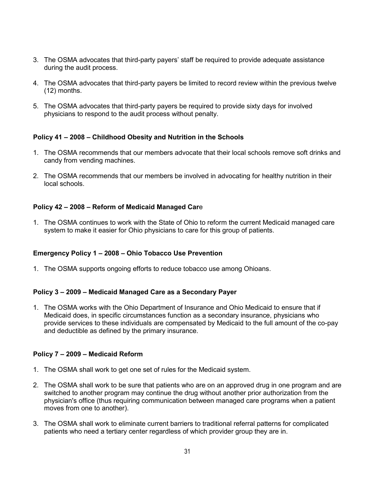- 3. The OSMA advocates that third-party payers' staff be required to provide adequate assistance during the audit process.
- 4. The OSMA advocates that third-party payers be limited to record review within the previous twelve (12) months.
- 5. The OSMA advocates that third-party payers be required to provide sixty days for involved physicians to respond to the audit process without penalty.

## **Policy 41 – 2008 – Childhood Obesity and Nutrition in the Schools**

- 1. The OSMA recommends that our members advocate that their local schools remove soft drinks and candy from vending machines.
- 2. The OSMA recommends that our members be involved in advocating for healthy nutrition in their local schools.

## **Policy 42 – 2008 – Reform of Medicaid Managed Car**e

1. The OSMA continues to work with the State of Ohio to reform the current Medicaid managed care system to make it easier for Ohio physicians to care for this group of patients.

### **Emergency Policy 1 – 2008 – Ohio Tobacco Use Prevention**

1. The OSMA supports ongoing efforts to reduce tobacco use among Ohioans.

### **Policy 3 – 2009 – Medicaid Managed Care as a Secondary Payer**

1. The OSMA works with the Ohio Department of Insurance and Ohio Medicaid to ensure that if Medicaid does, in specific circumstances function as a secondary insurance, physicians who provide services to these individuals are compensated by Medicaid to the full amount of the co-pay and deductible as defined by the primary insurance.

### **Policy 7 – 2009 – Medicaid Reform**

- 1. The OSMA shall work to get one set of rules for the Medicaid system.
- 2. The OSMA shall work to be sure that patients who are on an approved drug in one program and are switched to another program may continue the drug without another prior authorization from the physician's office (thus requiring communication between managed care programs when a patient moves from one to another).
- 3. The OSMA shall work to eliminate current barriers to traditional referral patterns for complicated patients who need a tertiary center regardless of which provider group they are in.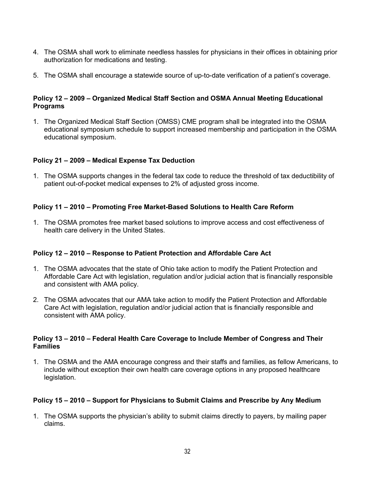- 4. The OSMA shall work to eliminate needless hassles for physicians in their offices in obtaining prior authorization for medications and testing.
- 5. The OSMA shall encourage a statewide source of up-to-date verification of a patient's coverage.

## **Policy 12 – 2009 – Organized Medical Staff Section and OSMA Annual Meeting Educational Programs**

1. The Organized Medical Staff Section (OMSS) CME program shall be integrated into the OSMA educational symposium schedule to support increased membership and participation in the OSMA educational symposium.

# **Policy 21 – 2009 – Medical Expense Tax Deduction**

1. The OSMA supports changes in the federal tax code to reduce the threshold of tax deductibility of patient out-of-pocket medical expenses to 2% of adjusted gross income.

## **Policy 11 – 2010 – Promoting Free Market-Based Solutions to Health Care Reform**

1. The OSMA promotes free market based solutions to improve access and cost effectiveness of health care delivery in the United States.

### **Policy 12 – 2010 – Response to Patient Protection and Affordable Care Act**

- 1. The OSMA advocates that the state of Ohio take action to modify the Patient Protection and Affordable Care Act with legislation, regulation and/or judicial action that is financially responsible and consistent with AMA policy.
- 2. The OSMA advocates that our AMA take action to modify the Patient Protection and Affordable Care Act with legislation, regulation and/or judicial action that is financially responsible and consistent with AMA policy.

### **Policy 13 – 2010 – Federal Health Care Coverage to Include Member of Congress and Their Families**

1. The OSMA and the AMA encourage congress and their staffs and families, as fellow Americans, to include without exception their own health care coverage options in any proposed healthcare legislation.

### **Policy 15 – 2010 – Support for Physicians to Submit Claims and Prescribe by Any Medium**

1. The OSMA supports the physician's ability to submit claims directly to payers, by mailing paper claims.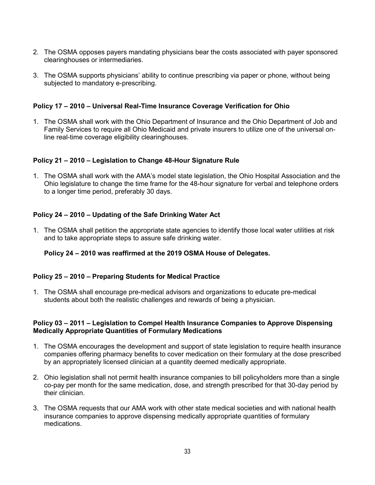- 2. The OSMA opposes payers mandating physicians bear the costs associated with payer sponsored clearinghouses or intermediaries.
- 3. The OSMA supports physicians' ability to continue prescribing via paper or phone, without being subjected to mandatory e-prescribing.

## **Policy 17 – 2010 – Universal Real-Time Insurance Coverage Verification for Ohio**

1. The OSMA shall work with the Ohio Department of Insurance and the Ohio Department of Job and Family Services to require all Ohio Medicaid and private insurers to utilize one of the universal online real-time coverage eligibility clearinghouses.

### **Policy 21 – 2010 – Legislation to Change 48-Hour Signature Rule**

1. The OSMA shall work with the AMA's model state legislation, the Ohio Hospital Association and the Ohio legislature to change the time frame for the 48-hour signature for verbal and telephone orders to a longer time period, preferably 30 days.

## **Policy 24 – 2010 – Updating of the Safe Drinking Water Act**

1. The OSMA shall petition the appropriate state agencies to identify those local water utilities at risk and to take appropriate steps to assure safe drinking water.

### **Policy 24 – 2010 was reaffirmed at the 2019 OSMA House of Delegates.**

### **Policy 25 – 2010 – Preparing Students for Medical Practice**

1. The OSMA shall encourage pre-medical advisors and organizations to educate pre-medical students about both the realistic challenges and rewards of being a physician.

### **Policy 03 – 2011 – Legislation to Compel Health Insurance Companies to Approve Dispensing Medically Appropriate Quantities of Formulary Medications**

- 1. The OSMA encourages the development and support of state legislation to require health insurance companies offering pharmacy benefits to cover medication on their formulary at the dose prescribed by an appropriately licensed clinician at a quantity deemed medically appropriate.
- 2. Ohio legislation shall not permit health insurance companies to bill policyholders more than a single co-pay per month for the same medication, dose, and strength prescribed for that 30-day period by their clinician.
- 3. The OSMA requests that our AMA work with other state medical societies and with national health insurance companies to approve dispensing medically appropriate quantities of formulary medications.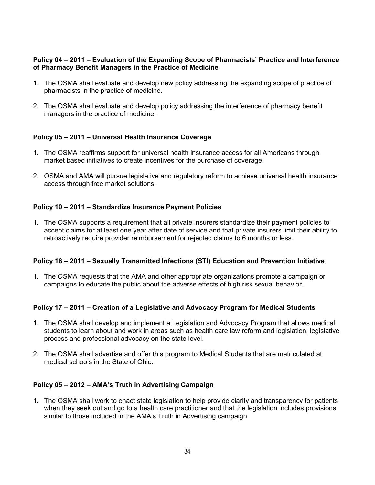### **Policy 04 – 2011 – Evaluation of the Expanding Scope of Pharmacists' Practice and Interference of Pharmacy Benefit Managers in the Practice of Medicine**

- 1. The OSMA shall evaluate and develop new policy addressing the expanding scope of practice of pharmacists in the practice of medicine.
- 2. The OSMA shall evaluate and develop policy addressing the interference of pharmacy benefit managers in the practice of medicine.

# **Policy 05 – 2011 – Universal Health Insurance Coverage**

- 1. The OSMA reaffirms support for universal health insurance access for all Americans through market based initiatives to create incentives for the purchase of coverage.
- 2. OSMA and AMA will pursue legislative and regulatory reform to achieve universal health insurance access through free market solutions.

## **Policy 10 – 2011 – Standardize Insurance Payment Policies**

1. The OSMA supports a requirement that all private insurers standardize their payment policies to accept claims for at least one year after date of service and that private insurers limit their ability to retroactively require provider reimbursement for rejected claims to 6 months or less.

### **Policy 16 – 2011 – Sexually Transmitted Infections (STI) Education and Prevention Initiative**

1. The OSMA requests that the AMA and other appropriate organizations promote a campaign or campaigns to educate the public about the adverse effects of high risk sexual behavior.

### **Policy 17 – 2011 – Creation of a Legislative and Advocacy Program for Medical Students**

- 1. The OSMA shall develop and implement a Legislation and Advocacy Program that allows medical students to learn about and work in areas such as health care law reform and legislation, legislative process and professional advocacy on the state level.
- 2. The OSMA shall advertise and offer this program to Medical Students that are matriculated at medical schools in the State of Ohio.

### **Policy 05 – 2012 – AMA's Truth in Advertising Campaign**

1. The OSMA shall work to enact state legislation to help provide clarity and transparency for patients when they seek out and go to a health care practitioner and that the legislation includes provisions similar to those included in the AMA's Truth in Advertising campaign.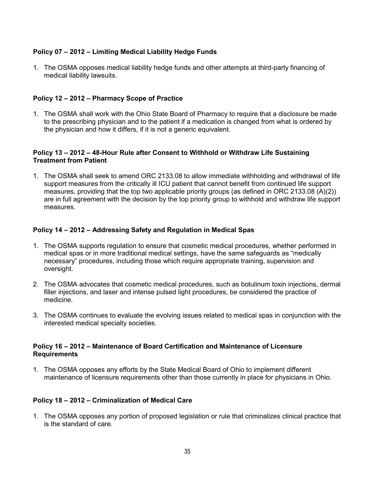# **Policy 07 – 2012 – Limiting Medical Liability Hedge Funds**

1. The OSMA opposes medical liability hedge funds and other attempts at third-party financing of medical liability lawsuits.

# **Policy 12 – 2012 – Pharmacy Scope of Practice**

1. The OSMA shall work with the Ohio State Board of Pharmacy to require that a disclosure be made to the prescribing physician and to the patient if a medication is changed from what is ordered by the physician and how it differs, if it is not a generic equivalent.

### **Policy 13 – 2012 – 48-Hour Rule after Consent to Withhold or Withdraw Life Sustaining Treatment from Patient**

1. The OSMA shall seek to amend ORC 2133.08 to allow immediate withholding and withdrawal of life support measures from the critically ill ICU patient that cannot benefit from continued life support measures, providing that the top two applicable priority groups (as defined in ORC 2133.08 (A)(2)) are in full agreement with the decision by the top priority group to withhold and withdraw life support measures.

# **Policy 14 – 2012 – Addressing Safety and Regulation in Medical Spas**

- 1. The OSMA supports regulation to ensure that cosmetic medical procedures, whether performed in medical spas or in more traditional medical settings, have the same safeguards as "medically necessary" procedures, including those which require appropriate training, supervision and oversight.
- 2. The OSMA advocates that cosmetic medical procedures, such as botulinum toxin injections, dermal filler injections, and laser and intense pulsed light procedures, be considered the practice of medicine.
- 3. The OSMA continues to evaluate the evolving issues related to medical spas in conjunction with the interested medical specialty societies.

### **Policy 16 – 2012 – Maintenance of Board Certification and Maintenance of Licensure Requirements**

1. The OSMA opposes any efforts by the State Medical Board of Ohio to implement different maintenance of licensure requirements other than those currently in place for physicians in Ohio.

### **Policy 18 – 2012 – Criminalization of Medical Care**

1. The OSMA opposes any portion of proposed legislation or rule that criminalizes clinical practice that is the standard of care.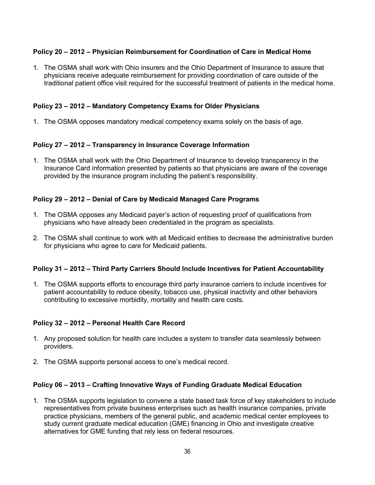# **Policy 20 – 2012 – Physician Reimbursement for Coordination of Care in Medical Home**

1. The OSMA shall work with Ohio insurers and the Ohio Department of Insurance to assure that physicians receive adequate reimbursement for providing coordination of care outside of the traditional patient office visit required for the successful treatment of patients in the medical home.

### **Policy 23 – 2012 – Mandatory Competency Exams for Older Physicians**

1. The OSMA opposes mandatory medical competency exams solely on the basis of age.

## **Policy 27 – 2012 – Transparency in Insurance Coverage Information**

1. The OSMA shall work with the Ohio Department of Insurance to develop transparency in the Insurance Card information presented by patients so that physicians are aware of the coverage provided by the insurance program including the patient's responsibility.

## **Policy 29 – 2012 – Denial of Care by Medicaid Managed Care Programs**

- 1. The OSMA opposes any Medicaid payer's action of requesting proof of qualifications from physicians who have already been credentialed in the program as specialists.
- 2. The OSMA shall continue to work with all Medicaid entities to decrease the administrative burden for physicians who agree to care for Medicaid patients.

### **Policy 31 – 2012 – Third Party Carriers Should Include Incentives for Patient Accountability**

1. The OSMA supports efforts to encourage third party insurance carriers to include incentives for patient accountability to reduce obesity, tobacco use, physical inactivity and other behaviors contributing to excessive morbidity, mortality and health care costs.

### **Policy 32 – 2012 – Personal Health Care Record**

- 1. Any proposed solution for health care includes a system to transfer data seamlessly between providers.
- 2. The OSMA supports personal access to one's medical record.

### **Policy 06 – 2013 – Crafting Innovative Ways of Funding Graduate Medical Education**

1. The OSMA supports legislation to convene a state based task force of key stakeholders to include representatives from private business enterprises such as health insurance companies, private practice physicians, members of the general public, and academic medical center employees to study current graduate medical education (GME) financing in Ohio and investigate creative alternatives for GME funding that rely less on federal resources.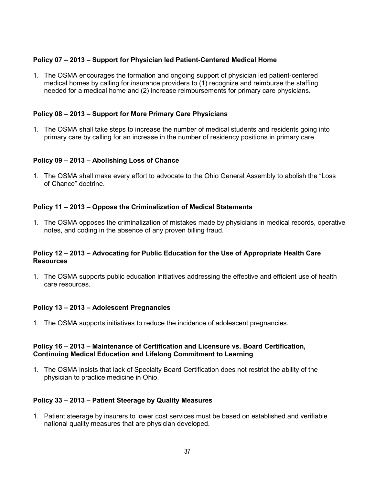## **Policy 07 – 2013 – Support for Physician led Patient-Centered Medical Home**

1. The OSMA encourages the formation and ongoing support of physician led patient-centered medical homes by calling for insurance providers to (1) recognize and reimburse the staffing needed for a medical home and (2) increase reimbursements for primary care physicians.

### **Policy 08 – 2013 – Support for More Primary Care Physicians**

1. The OSMA shall take steps to increase the number of medical students and residents going into primary care by calling for an increase in the number of residency positions in primary care.

## **Policy 09 – 2013 – Abolishing Loss of Chance**

1. The OSMA shall make every effort to advocate to the Ohio General Assembly to abolish the "Loss of Chance" doctrine.

## **Policy 11 – 2013 – Oppose the Criminalization of Medical Statements**

1. The OSMA opposes the criminalization of mistakes made by physicians in medical records, operative notes, and coding in the absence of any proven billing fraud.

### **Policy 12 – 2013 – Advocating for Public Education for the Use of Appropriate Health Care Resources**

1. The OSMA supports public education initiatives addressing the effective and efficient use of health care resources.

### **Policy 13 – 2013 – Adolescent Pregnancies**

1. The OSMA supports initiatives to reduce the incidence of adolescent pregnancies.

### **Policy 16 – 2013 – Maintenance of Certification and Licensure vs. Board Certification, Continuing Medical Education and Lifelong Commitment to Learning**

1. The OSMA insists that lack of Specialty Board Certification does not restrict the ability of the physician to practice medicine in Ohio.

### **Policy 33 – 2013 – Patient Steerage by Quality Measures**

1. Patient steerage by insurers to lower cost services must be based on established and verifiable national quality measures that are physician developed.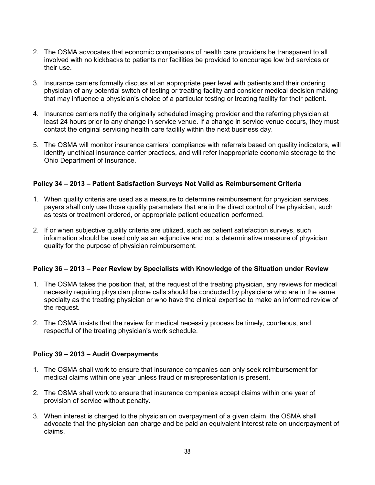- 2. The OSMA advocates that economic comparisons of health care providers be transparent to all involved with no kickbacks to patients nor facilities be provided to encourage low bid services or their use.
- 3. Insurance carriers formally discuss at an appropriate peer level with patients and their ordering physician of any potential switch of testing or treating facility and consider medical decision making that may influence a physician's choice of a particular testing or treating facility for their patient.
- 4. Insurance carriers notify the originally scheduled imaging provider and the referring physician at least 24 hours prior to any change in service venue. If a change in service venue occurs, they must contact the original servicing health care facility within the next business day.
- 5. The OSMA will monitor insurance carriers' compliance with referrals based on quality indicators, will identify unethical insurance carrier practices, and will refer inappropriate economic steerage to the Ohio Department of Insurance.

## **Policy 34 – 2013 – Patient Satisfaction Surveys Not Valid as Reimbursement Criteria**

- 1. When quality criteria are used as a measure to determine reimbursement for physician services, payers shall only use those quality parameters that are in the direct control of the physician, such as tests or treatment ordered, or appropriate patient education performed.
- 2. If or when subjective quality criteria are utilized, such as patient satisfaction surveys, such information should be used only as an adjunctive and not a determinative measure of physician quality for the purpose of physician reimbursement.

### **Policy 36 – 2013 – Peer Review by Specialists with Knowledge of the Situation under Review**

- 1. The OSMA takes the position that, at the request of the treating physician, any reviews for medical necessity requiring physician phone calls should be conducted by physicians who are in the same specialty as the treating physician or who have the clinical expertise to make an informed review of the request.
- 2. The OSMA insists that the review for medical necessity process be timely, courteous, and respectful of the treating physician's work schedule.

### **Policy 39 – 2013 – Audit Overpayments**

- 1. The OSMA shall work to ensure that insurance companies can only seek reimbursement for medical claims within one year unless fraud or misrepresentation is present.
- 2. The OSMA shall work to ensure that insurance companies accept claims within one year of provision of service without penalty.
- 3. When interest is charged to the physician on overpayment of a given claim, the OSMA shall advocate that the physician can charge and be paid an equivalent interest rate on underpayment of claims.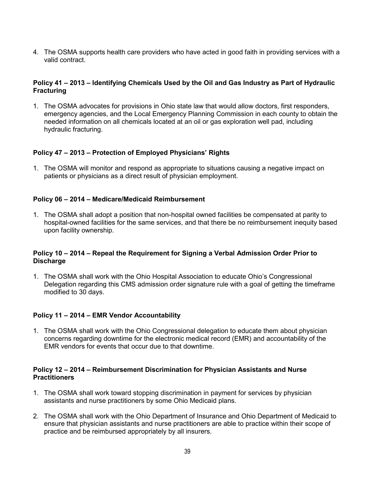4. The OSMA supports health care providers who have acted in good faith in providing services with a valid contract.

## **Policy 41 – 2013 – Identifying Chemicals Used by the Oil and Gas Industry as Part of Hydraulic Fracturing**

1. The OSMA advocates for provisions in Ohio state law that would allow doctors, first responders, emergency agencies, and the Local Emergency Planning Commission in each county to obtain the needed information on all chemicals located at an oil or gas exploration well pad, including hydraulic fracturing.

## **Policy 47 – 2013 – Protection of Employed Physicians' Rights**

1. The OSMA will monitor and respond as appropriate to situations causing a negative impact on patients or physicians as a direct result of physician employment.

## **Policy 06 – 2014 – Medicare/Medicaid Reimbursement**

1. The OSMA shall adopt a position that non-hospital owned facilities be compensated at parity to hospital-owned facilities for the same services, and that there be no reimbursement inequity based upon facility ownership.

### **Policy 10 – 2014 – Repeal the Requirement for Signing a Verbal Admission Order Prior to Discharge**

1. The OSMA shall work with the Ohio Hospital Association to educate Ohio's Congressional Delegation regarding this CMS admission order signature rule with a goal of getting the timeframe modified to 30 days.

### **Policy 11 – 2014 – EMR Vendor Accountability**

1. The OSMA shall work with the Ohio Congressional delegation to educate them about physician concerns regarding downtime for the electronic medical record (EMR) and accountability of the EMR vendors for events that occur due to that downtime.

### **Policy 12 – 2014 – Reimbursement Discrimination for Physician Assistants and Nurse Practitioners**

- 1. The OSMA shall work toward stopping discrimination in payment for services by physician assistants and nurse practitioners by some Ohio Medicaid plans.
- 2. The OSMA shall work with the Ohio Department of Insurance and Ohio Department of Medicaid to ensure that physician assistants and nurse practitioners are able to practice within their scope of practice and be reimbursed appropriately by all insurers.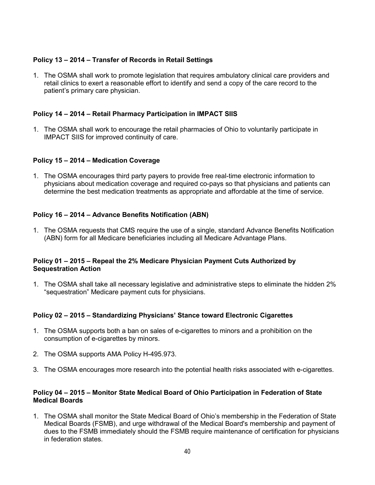# **Policy 13 – 2014 – Transfer of Records in Retail Settings**

1. The OSMA shall work to promote legislation that requires ambulatory clinical care providers and retail clinics to exert a reasonable effort to identify and send a copy of the care record to the patient's primary care physician.

## **Policy 14 – 2014 – Retail Pharmacy Participation in IMPACT SIIS**

1. The OSMA shall work to encourage the retail pharmacies of Ohio to voluntarily participate in IMPACT SIIS for improved continuity of care.

### **Policy 15 – 2014 – Medication Coverage**

1. The OSMA encourages third party payers to provide free real-time electronic information to physicians about medication coverage and required co-pays so that physicians and patients can determine the best medication treatments as appropriate and affordable at the time of service.

## **Policy 16 – 2014 – Advance Benefits Notification (ABN)**

1. The OSMA requests that CMS require the use of a single, standard Advance Benefits Notification (ABN) form for all Medicare beneficiaries including all Medicare Advantage Plans.

### **Policy 01 – 2015 – Repeal the 2% Medicare Physician Payment Cuts Authorized by Sequestration Action**

1. The OSMA shall take all necessary legislative and administrative steps to eliminate the hidden 2% "sequestration" Medicare payment cuts for physicians.

### **Policy 02 – 2015 – Standardizing Physicians' Stance toward Electronic Cigarettes**

- 1. The OSMA supports both a ban on sales of e-cigarettes to minors and a prohibition on the consumption of e-cigarettes by minors.
- 2. The OSMA supports AMA Policy H-495.973.
- 3. The OSMA encourages more research into the potential health risks associated with e-cigarettes.

### **Policy 04 – 2015 – Monitor State Medical Board of Ohio Participation in Federation of State Medical Boards**

1. The OSMA shall monitor the State Medical Board of Ohio's membership in the Federation of State Medical Boards (FSMB), and urge withdrawal of the Medical Board's membership and payment of dues to the FSMB immediately should the FSMB require maintenance of certification for physicians in federation states.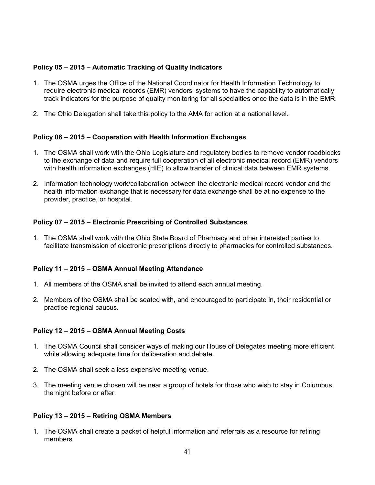## **Policy 05 – 2015 – Automatic Tracking of Quality Indicators**

- 1. The OSMA urges the Office of the National Coordinator for Health Information Technology to require electronic medical records (EMR) vendors' systems to have the capability to automatically track indicators for the purpose of quality monitoring for all specialties once the data is in the EMR.
- 2. The Ohio Delegation shall take this policy to the AMA for action at a national level.

### **Policy 06 – 2015 – Cooperation with Health Information Exchanges**

- 1. The OSMA shall work with the Ohio Legislature and regulatory bodies to remove vendor roadblocks to the exchange of data and require full cooperation of all electronic medical record (EMR) vendors with health information exchanges (HIE) to allow transfer of clinical data between EMR systems.
- 2. Information technology work/collaboration between the electronic medical record vendor and the health information exchange that is necessary for data exchange shall be at no expense to the provider, practice, or hospital.

### **Policy 07 – 2015 – Electronic Prescribing of Controlled Substances**

1. The OSMA shall work with the Ohio State Board of Pharmacy and other interested parties to facilitate transmission of electronic prescriptions directly to pharmacies for controlled substances.

#### **Policy 11 – 2015 – OSMA Annual Meeting Attendance**

- 1. All members of the OSMA shall be invited to attend each annual meeting.
- 2. Members of the OSMA shall be seated with, and encouraged to participate in, their residential or practice regional caucus.

#### **Policy 12 – 2015 – OSMA Annual Meeting Costs**

- 1. The OSMA Council shall consider ways of making our House of Delegates meeting more efficient while allowing adequate time for deliberation and debate.
- 2. The OSMA shall seek a less expensive meeting venue.
- 3. The meeting venue chosen will be near a group of hotels for those who wish to stay in Columbus the night before or after.

#### **Policy 13 – 2015 – Retiring OSMA Members**

1. The OSMA shall create a packet of helpful information and referrals as a resource for retiring members.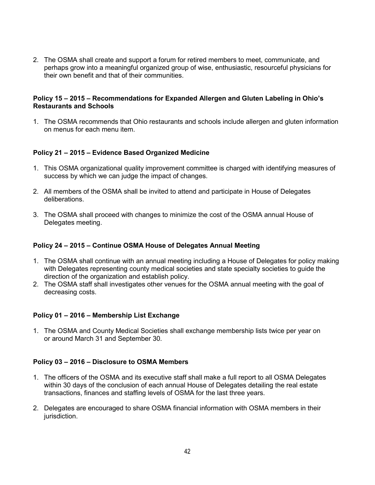2. The OSMA shall create and support a forum for retired members to meet, communicate, and perhaps grow into a meaningful organized group of wise, enthusiastic, resourceful physicians for their own benefit and that of their communities.

#### **Policy 15 – 2015 – Recommendations for Expanded Allergen and Gluten Labeling in Ohio's Restaurants and Schools**

1. The OSMA recommends that Ohio restaurants and schools include allergen and gluten information on menus for each menu item.

## **Policy 21 – 2015 – Evidence Based Organized Medicine**

- 1. This OSMA organizational quality improvement committee is charged with identifying measures of success by which we can judge the impact of changes.
- 2. All members of the OSMA shall be invited to attend and participate in House of Delegates deliberations.
- 3. The OSMA shall proceed with changes to minimize the cost of the OSMA annual House of Delegates meeting.

### **Policy 24 – 2015 – Continue OSMA House of Delegates Annual Meeting**

- 1. The OSMA shall continue with an annual meeting including a House of Delegates for policy making with Delegates representing county medical societies and state specialty societies to guide the direction of the organization and establish policy.
- 2. The OSMA staff shall investigates other venues for the OSMA annual meeting with the goal of decreasing costs.

### **Policy 01 – 2016 – Membership List Exchange**

1. The OSMA and County Medical Societies shall exchange membership lists twice per year on or around March 31 and September 30.

### **Policy 03 – 2016 – Disclosure to OSMA Members**

- 1. The officers of the OSMA and its executive staff shall make a full report to all OSMA Delegates within 30 days of the conclusion of each annual House of Delegates detailing the real estate transactions, finances and staffing levels of OSMA for the last three years.
- 2. Delegates are encouraged to share OSMA financial information with OSMA members in their jurisdiction.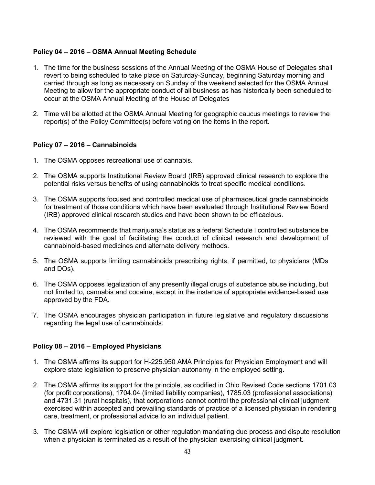## **Policy 04 – 2016 – OSMA Annual Meeting Schedule**

- 1. The time for the business sessions of the Annual Meeting of the OSMA House of Delegates shall revert to being scheduled to take place on Saturday-Sunday, beginning Saturday morning and carried through as long as necessary on Sunday of the weekend selected for the OSMA Annual Meeting to allow for the appropriate conduct of all business as has historically been scheduled to occur at the OSMA Annual Meeting of the House of Delegates
- 2. Time will be allotted at the OSMA Annual Meeting for geographic caucus meetings to review the report(s) of the Policy Committee(s) before voting on the items in the report.

## **Policy 07 – 2016 – Cannabinoids**

- 1. The OSMA opposes recreational use of cannabis.
- 2. The OSMA supports Institutional Review Board (IRB) approved clinical research to explore the potential risks versus benefits of using cannabinoids to treat specific medical conditions.
- 3. The OSMA supports focused and controlled medical use of pharmaceutical grade cannabinoids for treatment of those conditions which have been evaluated through Institutional Review Board (IRB) approved clinical research studies and have been shown to be efficacious.
- 4. The OSMA recommends that marijuana's status as a federal Schedule I controlled substance be reviewed with the goal of facilitating the conduct of clinical research and development of cannabinoid-based medicines and alternate delivery methods.
- 5. The OSMA supports limiting cannabinoids prescribing rights, if permitted, to physicians (MDs and DOs).
- 6. The OSMA opposes legalization of any presently illegal drugs of substance abuse including, but not limited to, cannabis and cocaine, except in the instance of appropriate evidence-based use approved by the FDA.
- 7. The OSMA encourages physician participation in future legislative and regulatory discussions regarding the legal use of cannabinoids.

### **Policy 08 – 2016 – Employed Physicians**

- 1. The OSMA affirms its support for H-225.950 AMA Principles for Physician Employment and will explore state legislation to preserve physician autonomy in the employed setting.
- 2. The OSMA affirms its support for the principle, as codified in Ohio Revised Code sections 1701.03 (for profit corporations), 1704.04 (limited liability companies), 1785.03 (professional associations) and 4731.31 (rural hospitals), that corporations cannot control the professional clinical judgment exercised within accepted and prevailing standards of practice of a licensed physician in rendering care, treatment, or professional advice to an individual patient.
- 3. The OSMA will explore legislation or other regulation mandating due process and dispute resolution when a physician is terminated as a result of the physician exercising clinical judgment.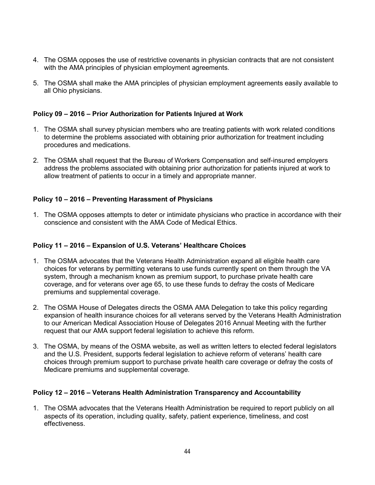- 4. The OSMA opposes the use of restrictive covenants in physician contracts that are not consistent with the AMA principles of physician employment agreements.
- 5. The OSMA shall make the AMA principles of physician employment agreements easily available to all Ohio physicians.

### **Policy 09 – 2016 – Prior Authorization for Patients Injured at Work**

- 1. The OSMA shall survey physician members who are treating patients with work related conditions to determine the problems associated with obtaining prior authorization for treatment including procedures and medications.
- 2. The OSMA shall request that the Bureau of Workers Compensation and self-insured employers address the problems associated with obtaining prior authorization for patients injured at work to allow treatment of patients to occur in a timely and appropriate manner.

## **Policy 10 – 2016 – Preventing Harassment of Physicians**

1. The OSMA opposes attempts to deter or intimidate physicians who practice in accordance with their conscience and consistent with the AMA Code of Medical Ethics.

### **Policy 11 – 2016 – Expansion of U.S. Veterans' Healthcare Choices**

- 1. The OSMA advocates that the Veterans Health Administration expand all eligible health care choices for veterans by permitting veterans to use funds currently spent on them through the VA system, through a mechanism known as premium support, to purchase private health care coverage, and for veterans over age 65, to use these funds to defray the costs of Medicare premiums and supplemental coverage.
- 2. The OSMA House of Delegates directs the OSMA AMA Delegation to take this policy regarding expansion of health insurance choices for all veterans served by the Veterans Health Administration to our American Medical Association House of Delegates 2016 Annual Meeting with the further request that our AMA support federal legislation to achieve this reform.
- 3. The OSMA, by means of the OSMA website, as well as written letters to elected federal legislators and the U.S. President, supports federal legislation to achieve reform of veterans' health care choices through premium support to purchase private health care coverage or defray the costs of Medicare premiums and supplemental coverage.

### **Policy 12 – 2016 – Veterans Health Administration Transparency and Accountability**

1. The OSMA advocates that the Veterans Health Administration be required to report publicly on all aspects of its operation, including quality, safety, patient experience, timeliness, and cost effectiveness.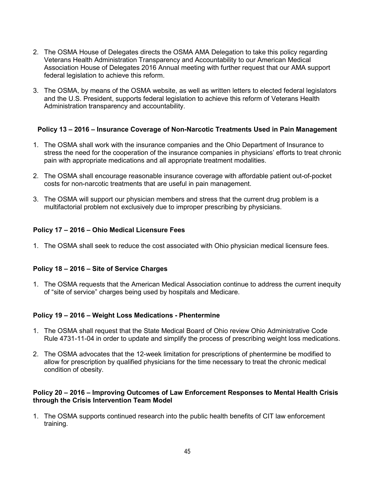- 2. The OSMA House of Delegates directs the OSMA AMA Delegation to take this policy regarding Veterans Health Administration Transparency and Accountability to our American Medical Association House of Delegates 2016 Annual meeting with further request that our AMA support federal legislation to achieve this reform.
- 3. The OSMA, by means of the OSMA website, as well as written letters to elected federal legislators and the U.S. President, supports federal legislation to achieve this reform of Veterans Health Administration transparency and accountability.

## **Policy 13 – 2016 – Insurance Coverage of Non-Narcotic Treatments Used in Pain Management**

- 1. The OSMA shall work with the insurance companies and the Ohio Department of Insurance to stress the need for the cooperation of the insurance companies in physicians' efforts to treat chronic pain with appropriate medications and all appropriate treatment modalities.
- 2. The OSMA shall encourage reasonable insurance coverage with affordable patient out-of-pocket costs for non-narcotic treatments that are useful in pain management.
- 3. The OSMA will support our physician members and stress that the current drug problem is a multifactorial problem not exclusively due to improper prescribing by physicians.

## **Policy 17 – 2016 – Ohio Medical Licensure Fees**

1. The OSMA shall seek to reduce the cost associated with Ohio physician medical licensure fees.

### **Policy 18 – 2016 – Site of Service Charges**

1. The OSMA requests that the American Medical Association continue to address the current inequity of "site of service" charges being used by hospitals and Medicare.

### **Policy 19 – 2016 – Weight Loss Medications - Phentermine**

- 1. The OSMA shall request that the State Medical Board of Ohio review Ohio Administrative Code Rule 4731-11-04 in order to update and simplify the process of prescribing weight loss medications.
- 2. The OSMA advocates that the 12-week limitation for prescriptions of phentermine be modified to allow for prescription by qualified physicians for the time necessary to treat the chronic medical condition of obesity.

#### **Policy 20 – 2016 – Improving Outcomes of Law Enforcement Responses to Mental Health Crisis through the Crisis Intervention Team Model**

1. The OSMA supports continued research into the public health benefits of CIT law enforcement training.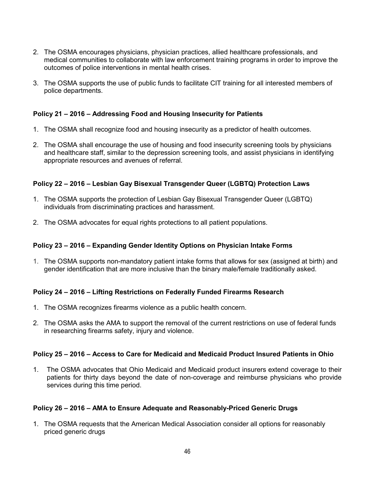- 2. The OSMA encourages physicians, physician practices, allied healthcare professionals, and medical communities to collaborate with law enforcement training programs in order to improve the outcomes of police interventions in mental health crises.
- 3. The OSMA supports the use of public funds to facilitate CIT training for all interested members of police departments.

## **Policy 21 – 2016 – Addressing Food and Housing Insecurity for Patients**

- 1. The OSMA shall recognize food and housing insecurity as a predictor of health outcomes.
- 2. The OSMA shall encourage the use of housing and food insecurity screening tools by physicians and healthcare staff, similar to the depression screening tools, and assist physicians in identifying appropriate resources and avenues of referral.

### **Policy 22 – 2016 – Lesbian Gay Bisexual Transgender Queer (LGBTQ) Protection Laws**

- 1. The OSMA supports the protection of Lesbian Gay Bisexual Transgender Queer (LGBTQ) individuals from discriminating practices and harassment.
- 2. The OSMA advocates for equal rights protections to all patient populations.

### **Policy 23 – 2016 – Expanding Gender Identity Options on Physician Intake Forms**

1. The OSMA supports non-mandatory patient intake forms that allows for sex (assigned at birth) and gender identification that are more inclusive than the binary male/female traditionally asked.

### **Policy 24 – 2016 – Lifting Restrictions on Federally Funded Firearms Research**

- 1. The OSMA recognizes firearms violence as a public health concern.
- 2. The OSMA asks the AMA to support the removal of the current restrictions on use of federal funds in researching firearms safety, injury and violence.

### **Policy 25 – 2016 – Access to Care for Medicaid and Medicaid Product Insured Patients in Ohio**

1. The OSMA advocates that Ohio Medicaid and Medicaid product insurers extend coverage to their patients for thirty days beyond the date of non-coverage and reimburse physicians who provide services during this time period.

### **Policy 26 – 2016 – AMA to Ensure Adequate and Reasonably-Priced Generic Drugs**

1. The OSMA requests that the American Medical Association consider all options for reasonably priced generic drugs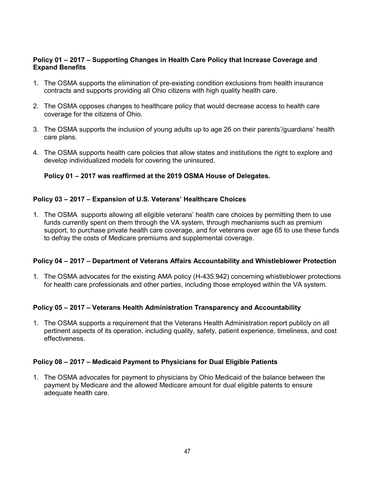### **Policy 01 – 2017 – Supporting Changes in Health Care Policy that Increase Coverage and Expand Benefits**

- 1. The OSMA supports the elimination of pre-existing condition exclusions from health insurance contracts and supports providing all Ohio citizens with high quality health care.
- 2. The OSMA opposes changes to healthcare policy that would decrease access to health care coverage for the citizens of Ohio.
- 3. The OSMA supports the inclusion of young adults up to age 26 on their parents'/guardians' health care plans.
- 4. The OSMA supports health care policies that allow states and institutions the right to explore and develop individualized models for covering the uninsured.

### **Policy 01 – 2017 was reaffirmed at the 2019 OSMA House of Delegates.**

### **Policy 03 – 2017 – Expansion of U.S. Veterans' Healthcare Choices**

1. The OSMA supports allowing all eligible veterans' health care choices by permitting them to use funds currently spent on them through the VA system, through mechanisms such as premium support, to purchase private health care coverage, and for veterans over age 65 to use these funds to defray the costs of Medicare premiums and supplemental coverage.

### **Policy 04 – 2017 – Department of Veterans Affairs Accountability and Whistleblower Protection**

1. The OSMA advocates for the existing AMA policy (H-435.942) concerning whistleblower protections for health care professionals and other parties, including those employed within the VA system.

### **Policy 05 – 2017 – Veterans Health Administration Transparency and Accountability**

1. The OSMA supports a requirement that the Veterans Health Administration report publicly on all pertinent aspects of its operation, including quality, safety, patient experience, timeliness, and cost effectiveness.

### **Policy 08 – 2017 – Medicaid Payment to Physicians for Dual Eligible Patients**

1. The OSMA advocates for payment to physicians by Ohio Medicaid of the balance between the payment by Medicare and the allowed Medicare amount for dual eligible patents to ensure adequate health care.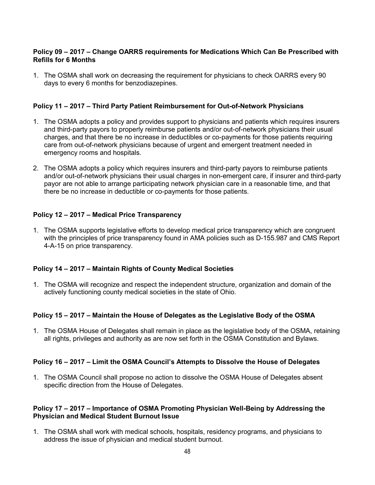### **Policy 09 – 2017 – Change OARRS requirements for Medications Which Can Be Prescribed with Refills for 6 Months**

1. The OSMA shall work on decreasing the requirement for physicians to check OARRS every 90 days to every 6 months for benzodiazepines.

## **Policy 11 – 2017 – Third Party Patient Reimbursement for Out-of-Network Physicians**

- 1. The OSMA adopts a policy and provides support to physicians and patients which requires insurers and third-party payors to properly reimburse patients and/or out-of-network physicians their usual charges, and that there be no increase in deductibles or co-payments for those patients requiring care from out-of-network physicians because of urgent and emergent treatment needed in emergency rooms and hospitals.
- 2. The OSMA adopts a policy which requires insurers and third-party payors to reimburse patients and/or out-of-network physicians their usual charges in non-emergent care, if insurer and third-party payor are not able to arrange participating network physician care in a reasonable time, and that there be no increase in deductible or co-payments for those patients.

## **Policy 12 – 2017 – Medical Price Transparency**

1. The OSMA supports legislative efforts to develop medical price transparency which are congruent with the principles of price transparency found in AMA policies such as D-155.987 and CMS Report 4-A-15 on price transparency.

### **Policy 14 – 2017 – Maintain Rights of County Medical Societies**

1. The OSMA will recognize and respect the independent structure, organization and domain of the actively functioning county medical societies in the state of Ohio.

# **Policy 15 – 2017 – Maintain the House of Delegates as the Legislative Body of the OSMA**

1. The OSMA House of Delegates shall remain in place as the legislative body of the OSMA, retaining all rights, privileges and authority as are now set forth in the OSMA Constitution and Bylaws.

### **Policy 16 – 2017 – Limit the OSMA Council's Attempts to Dissolve the House of Delegates**

1. The OSMA Council shall propose no action to dissolve the OSMA House of Delegates absent specific direction from the House of Delegates.

### **Policy 17 – 2017 – Importance of OSMA Promoting Physician Well-Being by Addressing the Physician and Medical Student Burnout Issue**

1. The OSMA shall work with medical schools, hospitals, residency programs, and physicians to address the issue of physician and medical student burnout.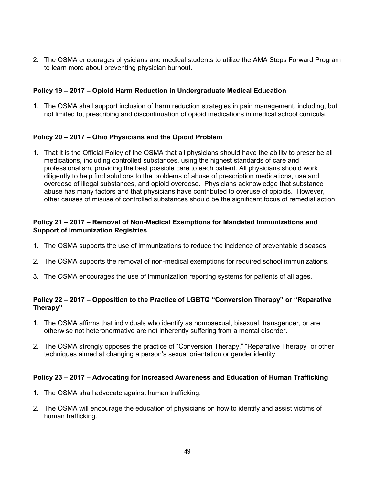2. The OSMA encourages physicians and medical students to utilize the AMA Steps Forward Program to learn more about preventing physician burnout.

## **Policy 19 – 2017 – Opioid Harm Reduction in Undergraduate Medical Education**

1. The OSMA shall support inclusion of harm reduction strategies in pain management, including, but not limited to, prescribing and discontinuation of opioid medications in medical school curricula.

## **Policy 20 – 2017 – Ohio Physicians and the Opioid Problem**

1. That it is the Official Policy of the OSMA that all physicians should have the ability to prescribe all medications, including controlled substances, using the highest standards of care and professionalism, providing the best possible care to each patient. All physicians should work diligently to help find solutions to the problems of abuse of prescription medications, use and overdose of illegal substances, and opioid overdose. Physicians acknowledge that substance abuse has many factors and that physicians have contributed to overuse of opioids. However, other causes of misuse of controlled substances should be the significant focus of remedial action.

### **Policy 21 – 2017 – Removal of Non-Medical Exemptions for Mandated Immunizations and Support of Immunization Registries**

- 1. The OSMA supports the use of immunizations to reduce the incidence of preventable diseases.
- 2. The OSMA supports the removal of non-medical exemptions for required school immunizations.
- 3. The OSMA encourages the use of immunization reporting systems for patients of all ages.

# **Policy 22 – 2017 – Opposition to the Practice of LGBTQ "Conversion Therapy" or "Reparative Therapy"**

- 1. The OSMA affirms that individuals who identify as homosexual, bisexual, transgender, or are otherwise not heteronormative are not inherently suffering from a mental disorder.
- 2. The OSMA strongly opposes the practice of "Conversion Therapy," "Reparative Therapy" or other techniques aimed at changing a person's sexual orientation or gender identity.

### **Policy 23 – 2017 – Advocating for Increased Awareness and Education of Human Trafficking**

- 1. The OSMA shall advocate against human trafficking.
- 2. The OSMA will encourage the education of physicians on how to identify and assist victims of human trafficking.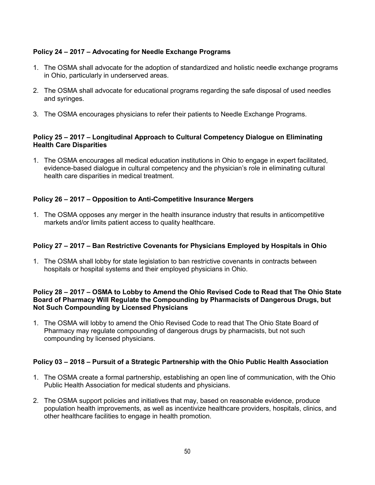# **Policy 24 – 2017 – Advocating for Needle Exchange Programs**

- 1. The OSMA shall advocate for the adoption of standardized and holistic needle exchange programs in Ohio, particularly in underserved areas.
- 2. The OSMA shall advocate for educational programs regarding the safe disposal of used needles and syringes.
- 3. The OSMA encourages physicians to refer their patients to Needle Exchange Programs.

## **Policy 25 – 2017 – Longitudinal Approach to Cultural Competency Dialogue on Eliminating Health Care Disparities**

1. The OSMA encourages all medical education institutions in Ohio to engage in expert facilitated, evidence-based dialogue in cultural competency and the physician's role in eliminating cultural health care disparities in medical treatment.

# **Policy 26 – 2017 – Opposition to Anti-Competitive Insurance Mergers**

1. The OSMA opposes any merger in the health insurance industry that results in anticompetitive markets and/or limits patient access to quality healthcare.

## **Policy 27 – 2017 – Ban Restrictive Covenants for Physicians Employed by Hospitals in Ohio**

1. The OSMA shall lobby for state legislation to ban restrictive covenants in contracts between hospitals or hospital systems and their employed physicians in Ohio.

### **Policy 28 – 2017 – OSMA to Lobby to Amend the Ohio Revised Code to Read that The Ohio State Board of Pharmacy Will Regulate the Compounding by Pharmacists of Dangerous Drugs, but Not Such Compounding by Licensed Physicians**

1. The OSMA will lobby to amend the Ohio Revised Code to read that The Ohio State Board of Pharmacy may regulate compounding of dangerous drugs by pharmacists, but not such compounding by licensed physicians.

### **Policy 03 – 2018 – Pursuit of a Strategic Partnership with the Ohio Public Health Association**

- 1. The OSMA create a formal partnership, establishing an open line of communication, with the Ohio Public Health Association for medical students and physicians.
- 2. The OSMA support policies and initiatives that may, based on reasonable evidence, produce population health improvements, as well as incentivize healthcare providers, hospitals, clinics, and other healthcare facilities to engage in health promotion.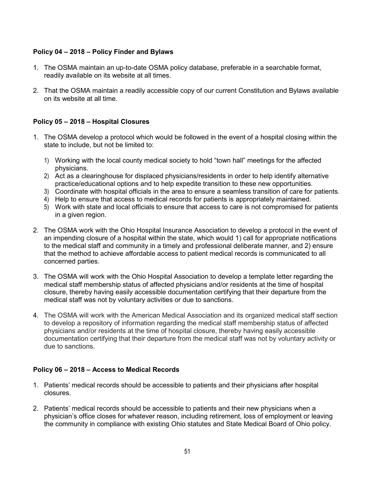# **Policy 04 – 2018 – Policy Finder and Bylaws**

- 1. The OSMA maintain an up-to-date OSMA policy database, preferable in a searchable format, readily available on its website at all times.
- 2. That the OSMA maintain a readily accessible copy of our current Constitution and Bylaws available on its website at all time.

# **Policy 05 – 2018 – Hospital Closures**

- 1. The OSMA develop a protocol which would be followed in the event of a hospital closing within the state to include, but not be limited to:
	- 1) Working with the local county medical society to hold "town hall" meetings for the affected physicians.
	- 2) Act as a clearinghouse for displaced physicians/residents in order to help identify alternative practice/educational options and to help expedite transition to these new opportunities.
	- 3) Coordinate with hospital officials in the area to ensure a seamless transition of care for patients.
	- 4) Help to ensure that access to medical records for patients is appropriately maintained.
	- 5) Work with state and local officials to ensure that access to care is not compromised for patients in a given region.
- 2. The OSMA work with the Ohio Hospital Insurance Association to develop a protocol in the event of an impending closure of a hospital within the state, which would 1) call for appropriate notifications to the medical staff and community in a timely and professional deliberate manner, and 2) ensure that the method to achieve affordable access to patient medical records is communicated to all concerned parties.
- 3. The OSMA will work with the Ohio Hospital Association to develop a template letter regarding the medical staff membership status of affected physicians and/or residents at the time of hospital closure, thereby having easily accessible documentation certifying that their departure from the medical staff was not by voluntary activities or due to sanctions.
- 4. The OSMA will work with the American Medical Association and its organized medical staff section to develop a repository of information regarding the medical staff membership status of affected physicians and/or residents at the time of hospital closure, thereby having easily accessible documentation certifying that their departure from the medical staff was not by voluntary activity or due to sanctions.

# **Policy 06 – 2018 – Access to Medical Records**

- 1. Patients' medical records should be accessible to patients and their physicians after hospital closures.
- 2. Patients' medical records should be accessible to patients and their new physicians when a physician's office closes for whatever reason, including retirement, loss of employment or leaving the community in compliance with existing Ohio statutes and State Medical Board of Ohio policy.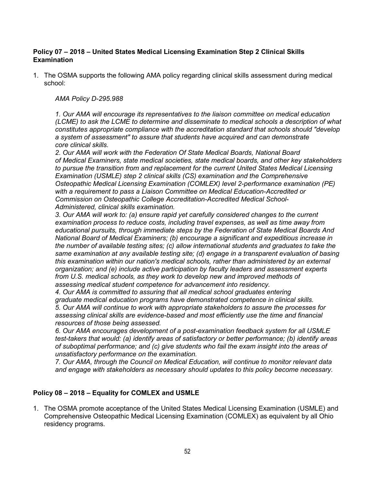### **Policy 07 – 2018 – United States Medical Licensing Examination Step 2 Clinical Skills Examination**

1. The OSMA supports the following AMA policy regarding clinical skills assessment during medical school:

#### *AMA Policy D-295.988*

*1. Our AMA will encourage its representatives to the liaison committee on medical education (LCME) to ask the LCME to determine and disseminate to medical schools a description of what constitutes appropriate compliance with the accreditation standard that schools should "develop a system of assessment" to assure that students have acquired and can demonstrate core clinical skills.* 

*2. Our AMA will work with the Federation Of State Medical Boards, National Board of Medical Examiners, state medical societies, state medical boards, and other key stakeholders to pursue the transition from and replacement for the current United States Medical Licensing Examination (USMLE) step 2 clinical skills (CS) examination and the Comprehensive Osteopathic Medical Licensing Examination (COMLEX) level 2-performance examination (PE) with a requirement to pass a Liaison Committee on Medical Education-Accredited or Commission on Osteopathic College Accreditation-Accredited Medical School-Administered, clinical skills examination.*

*3. Our AMA will work to: (a) ensure rapid yet carefully considered changes to the current examination process to reduce costs, including travel expenses, as well as time away from educational pursuits, through immediate steps by the Federation of State Medical Boards And National Board of Medical Examiners; (b) encourage a significant and expeditious increase in the number of available testing sites; (c) allow international students and graduates to take the same examination at any available testing site; (d) engage in a transparent evaluation of basing this examination within our nation's medical schools, rather than administered by an external organization; and (e) include active participation by faculty leaders and assessment experts from U.S. medical schools, as they work to develop new and improved methods of assessing medical student competence for advancement into residency.*

*4. Our AMA is committed to assuring that all medical school graduates entering graduate medical education programs have demonstrated competence in clinical skills. 5. Our AMA will continue to work with appropriate stakeholders to assure the processes for assessing clinical skills are evidence-based and most efficiently use the time and financial resources of those being assessed.*

*6. Our AMA encourages development of a post-examination feedback system for all USMLE test-takers that would: (a) identify areas of satisfactory or better performance; (b) identify areas of suboptimal performance; and (c) give students who fail the exam insight into the areas of unsatisfactory performance on the examination.* 

*7. Our AMA, through the Council on Medical Education, will continue to monitor relevant data and engage with stakeholders as necessary should updates to this policy become necessary.*

### **Policy 08 – 2018 – Equality for COMLEX and USMLE**

1. The OSMA promote acceptance of the United States Medical Licensing Examination (USMLE) and Comprehensive Osteopathic Medical Licensing Examination (COMLEX) as equivalent by all Ohio residency programs.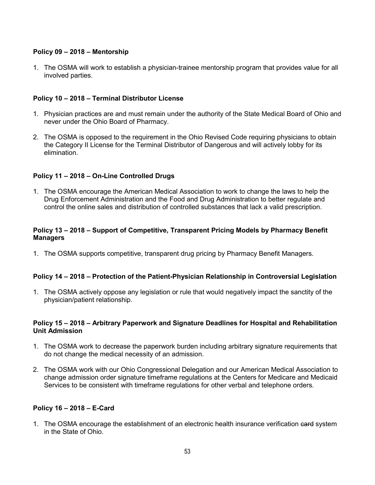## **Policy 09 – 2018 – Mentorship**

1. The OSMA will work to establish a physician-trainee mentorship program that provides value for all involved parties.

### **Policy 10 – 2018 – Terminal Distributor License**

- 1. Physician practices are and must remain under the authority of the State Medical Board of Ohio and never under the Ohio Board of Pharmacy.
- 2. The OSMA is opposed to the requirement in the Ohio Revised Code requiring physicians to obtain the Category II License for the Terminal Distributor of Dangerous and will actively lobby for its elimination.

## **Policy 11 – 2018 – On-Line Controlled Drugs**

1. The OSMA encourage the American Medical Association to work to change the laws to help the Drug Enforcement Administration and the Food and Drug Administration to better regulate and control the online sales and distribution of controlled substances that lack a valid prescription.

### **Policy 13 – 2018 – Support of Competitive, Transparent Pricing Models by Pharmacy Benefit Managers**

1. The OSMA supports competitive, transparent drug pricing by Pharmacy Benefit Managers.

### **Policy 14 – 2018 – Protection of the Patient-Physician Relationship in Controversial Legislation**

1. The OSMA actively oppose any legislation or rule that would negatively impact the sanctity of the physician/patient relationship.

#### **Policy 15 – 2018 – Arbitrary Paperwork and Signature Deadlines for Hospital and Rehabilitation Unit Admission**

- 1. The OSMA work to decrease the paperwork burden including arbitrary signature requirements that do not change the medical necessity of an admission.
- 2. The OSMA work with our Ohio Congressional Delegation and our American Medical Association to change admission order signature timeframe regulations at the Centers for Medicare and Medicaid Services to be consistent with timeframe regulations for other verbal and telephone orders.

### **Policy 16 – 2018 – E-Card**

1. The OSMA encourage the establishment of an electronic health insurance verification eard system in the State of Ohio.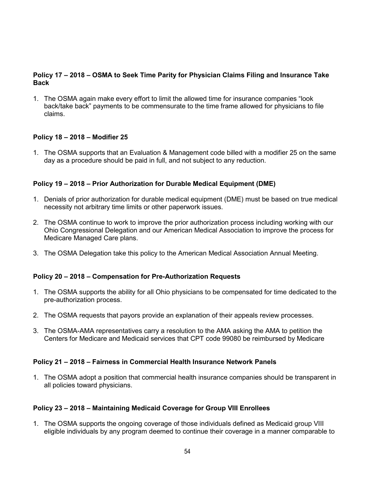### **Policy 17 – 2018 – OSMA to Seek Time Parity for Physician Claims Filing and Insurance Take Back**

1. The OSMA again make every effort to limit the allowed time for insurance companies "look back/take back" payments to be commensurate to the time frame allowed for physicians to file claims.

### **Policy 18 – 2018 – Modifier 25**

1. The OSMA supports that an Evaluation & Management code billed with a modifier 25 on the same day as a procedure should be paid in full, and not subject to any reduction.

## **Policy 19 – 2018 – Prior Authorization for Durable Medical Equipment (DME)**

- 1. Denials of prior authorization for durable medical equipment (DME) must be based on true medical necessity not arbitrary time limits or other paperwork issues.
- 2. The OSMA continue to work to improve the prior authorization process including working with our Ohio Congressional Delegation and our American Medical Association to improve the process for Medicare Managed Care plans.
- 3. The OSMA Delegation take this policy to the American Medical Association Annual Meeting.

### **Policy 20 – 2018 – Compensation for Pre-Authorization Requests**

- 1. The OSMA supports the ability for all Ohio physicians to be compensated for time dedicated to the pre-authorization process.
- 2. The OSMA requests that payors provide an explanation of their appeals review processes.
- 3. The OSMA-AMA representatives carry a resolution to the AMA asking the AMA to petition the Centers for Medicare and Medicaid services that CPT code 99080 be reimbursed by Medicare

### **Policy 21 – 2018 – Fairness in Commercial Health Insurance Network Panels**

1. The OSMA adopt a position that commercial health insurance companies should be transparent in all policies toward physicians.

### **Policy 23 – 2018 – Maintaining Medicaid Coverage for Group VIII Enrollees**

1. The OSMA supports the ongoing coverage of those individuals defined as Medicaid group VIII eligible individuals by any program deemed to continue their coverage in a manner comparable to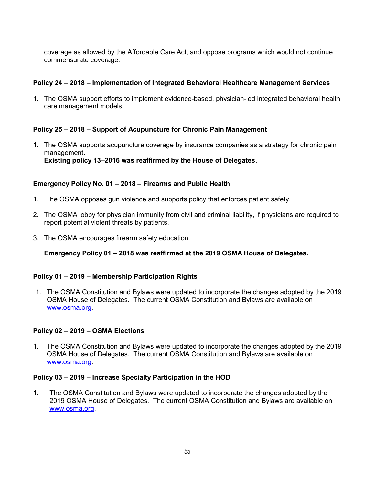coverage as allowed by the Affordable Care Act, and oppose programs which would not continue commensurate coverage.

## **Policy 24 – 2018 – Implementation of Integrated Behavioral Healthcare Management Services**

1. The OSMA support efforts to implement evidence-based, physician-led integrated behavioral health care management models.

## **Policy 25 – 2018 – Support of Acupuncture for Chronic Pain Management**

1. The OSMA supports acupuncture coverage by insurance companies as a strategy for chronic pain management. **Existing policy 13–2016 was reaffirmed by the House of Delegates.** 

#### **Emergency Policy No. 01 – 2018 – Firearms and Public Health**

- 1. The OSMA opposes gun violence and supports policy that enforces patient safety.
- 2. The OSMA lobby for physician immunity from civil and criminal liability, if physicians are required to report potential violent threats by patients.
- 3. The OSMA encourages firearm safety education.

**Emergency Policy 01 – 2018 was reaffirmed at the 2019 OSMA House of Delegates.**

#### **Policy 01 – 2019 – Membership Participation Rights**

1. The OSMA Constitution and Bylaws were updated to incorporate the changes adopted by the 2019 OSMA House of Delegates. The current OSMA Constitution and Bylaws are available on [www.osma.org.](http://www.osma.org/)

#### **Policy 02 – 2019 – OSMA Elections**

1. The OSMA Constitution and Bylaws were updated to incorporate the changes adopted by the 2019 OSMA House of Delegates. The current OSMA Constitution and Bylaws are available on [www.osma.org.](http://www.osma.org/)

#### **Policy 03 – 2019 – Increase Specialty Participation in the HOD**

1. The OSMA Constitution and Bylaws were updated to incorporate the changes adopted by the 2019 OSMA House of Delegates. The current OSMA Constitution and Bylaws are available on [www.osma.org.](http://www.osma.org/)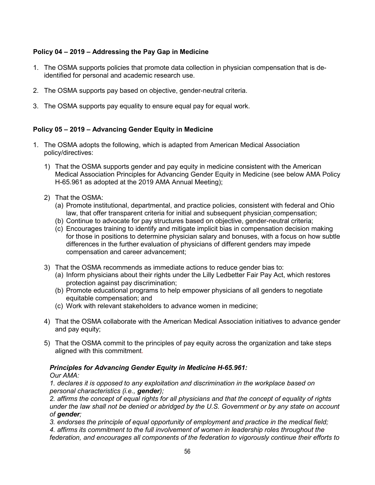# **Policy 04 – 2019 – Addressing the Pay Gap in Medicine**

- 1. The OSMA supports policies that promote data collection in physician compensation that is deidentified for personal and academic research use.
- 2. The OSMA supports pay based on objective, gender-neutral criteria.
- 3. The OSMA supports pay equality to ensure equal pay for equal work.

# **Policy 05 – 2019 – Advancing Gender Equity in Medicine**

- 1. The OSMA adopts the following, which is adapted from American Medical Association policy/directives:
	- 1) That the OSMA supports gender and pay equity in medicine consistent with the American Medical Association Principles for Advancing Gender Equity in Medicine (see below AMA Policy H-65.961 as adopted at the 2019 AMA Annual Meeting);
	- 2) That the OSMA:
		- (a) Promote institutional, departmental, and practice policies, consistent with federal and Ohio law, that offer transparent criteria for initial and subsequent physician compensation;
		- (b) Continue to advocate for pay structures based on objective, gender-neutral criteria;
		- (c) Encourages training to identify and mitigate implicit bias in compensation decision making for those in positions to determine physician salary and bonuses, with a focus on how subtle differences in the further evaluation of physicians of different genders may impede compensation and career advancement;
	- 3) That the OSMA recommends as immediate actions to reduce gender bias to:
		- (a) Inform physicians about their rights under the Lilly Ledbetter Fair Pay Act, which restores protection against pay discrimination;
		- (b) Promote educational programs to help empower physicians of all genders to negotiate equitable compensation; and
		- (c) Work with relevant stakeholders to advance women in medicine;
	- 4) That the OSMA collaborate with the American Medical Association initiatives to advance gender and pay equity;
	- 5) That the OSMA commit to the principles of pay equity across the organization and take steps aligned with this commitment.

### *Principles for Advancing Gender Equity in Medicine H-65.961:*

### *Our AMA:*

*1. declares it is opposed to any exploitation and discrimination in the workplace based on personal characteristics (i.e., gender);*

*2. affirms the concept of equal rights for all physicians and that the concept of equality of rights under the law shall not be denied or abridged by the U.S. Government or by any state on account of gender;* 

*3. endorses the principle of equal opportunity of employment and practice in the medical field;*

*4. affirms its commitment to the full involvement of women in leadership roles throughout the federation, and encourages all components of the federation to vigorously continue their efforts to*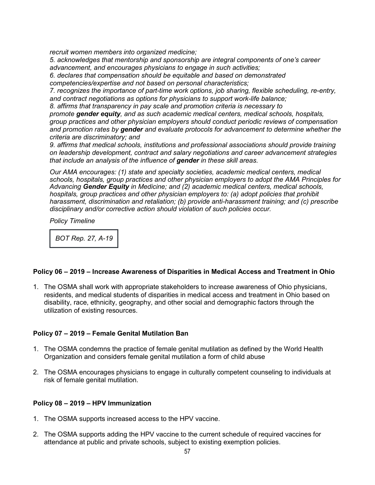*recruit women members into organized medicine;*

*5. acknowledges that mentorship and sponsorship are integral components of one's career advancement, and encourages physicians to engage in such activities;*

*6. declares that compensation should be equitable and based on demonstrated competencies/expertise and not based on personal characteristics;*

*7. recognizes the importance of part-time work options, job sharing, flexible scheduling, re-entry, and contract negotiations as options for physicians to support work-life balance;*

*8. affirms that transparency in pay scale and promotion criteria is necessary to* 

*promote gender equity, and as such academic medical centers, medical schools, hospitals, group practices and other physician employers should conduct periodic reviews of compensation and promotion rates by gender and evaluate protocols for advancement to determine whether the criteria are discriminatory; and*

*9. affirms that medical schools, institutions and professional associations should provide training on leadership development, contract and salary negotiations and career advancement strategies that include an analysis of the influence of gender in these skill areas.*

*Our AMA encourages: (1) state and specialty societies, academic medical centers, medical schools, hospitals, group practices and other physician employers to adopt the AMA Principles for Advancing Gender Equity in Medicine; and (2) academic medical centers, medical schools, hospitals, group practices and other physician employers to: (a) adopt policies that prohibit harassment, discrimination and retaliation; (b) provide anti-harassment training; and (c) prescribe disciplinary and/or corrective action should violation of such policies occur.*

*Policy Timeline*

*BOT Rep. 27, A-19* 

### **Policy 06 – 2019 – Increase Awareness of Disparities in Medical Access and Treatment in Ohio**

1. The OSMA shall work with appropriate stakeholders to increase awareness of Ohio physicians, residents, and medical students of disparities in medical access and treatment in Ohio based on disability, race, ethnicity, geography, and other social and demographic factors through the utilization of existing resources.

### **Policy 07 – 2019 – Female Genital Mutilation Ban**

- 1. The OSMA condemns the practice of female genital mutilation as defined by the World Health Organization and considers female genital mutilation a form of child abuse
- 2. The OSMA encourages physicians to engage in culturally competent counseling to individuals at risk of female genital mutilation.

### **Policy 08 – 2019 – HPV Immunization**

- 1. The OSMA supports increased access to the HPV vaccine.
- 2. The OSMA supports adding the HPV vaccine to the current schedule of required vaccines for attendance at public and private schools, subject to existing exemption policies.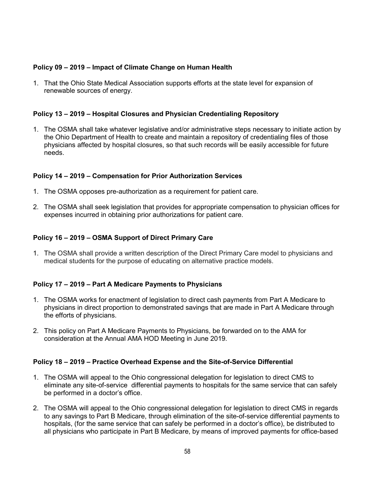## **Policy 09 – 2019 – Impact of Climate Change on Human Health**

1. That the Ohio State Medical Association supports efforts at the state level for expansion of renewable sources of energy.

## **Policy 13 – 2019 – Hospital Closures and Physician Credentialing Repository**

1. The OSMA shall take whatever legislative and/or administrative steps necessary to initiate action by the Ohio Department of Health to create and maintain a repository of credentialing files of those physicians affected by hospital closures, so that such records will be easily accessible for future needs.

### **Policy 14 – 2019 – Compensation for Prior Authorization Services**

- 1. The OSMA opposes pre-authorization as a requirement for patient care.
- 2. The OSMA shall seek legislation that provides for appropriate compensation to physician offices for expenses incurred in obtaining prior authorizations for patient care.

### **Policy 16 – 2019 – OSMA Support of Direct Primary Care**

1. The OSMA shall provide a written description of the Direct Primary Care model to physicians and medical students for the purpose of educating on alternative practice models.

### **Policy 17 – 2019 – Part A Medicare Payments to Physicians**

- 1. The OSMA works for enactment of legislation to direct cash payments from Part A Medicare to physicians in direct proportion to demonstrated savings that are made in Part A Medicare through the efforts of physicians.
- 2. This policy on Part A Medicare Payments to Physicians, be forwarded on to the AMA for consideration at the Annual AMA HOD Meeting in June 2019.

### **Policy 18 – 2019 – Practice Overhead Expense and the Site-of-Service Differential**

- 1. The OSMA will appeal to the Ohio congressional delegation for legislation to direct CMS to eliminate any site-of-service differential payments to hospitals for the same service that can safely be performed in a doctor's office.
- 2. The OSMA will appeal to the Ohio congressional delegation for legislation to direct CMS in regards to any savings to Part B Medicare, through elimination of the site-of-service differential payments to hospitals, (for the same service that can safely be performed in a doctor's office), be distributed to all physicians who participate in Part B Medicare, by means of improved payments for office-based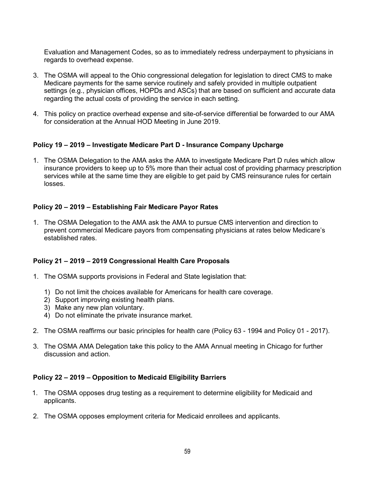Evaluation and Management Codes, so as to immediately redress underpayment to physicians in regards to overhead expense.

- 3. The OSMA will appeal to the Ohio congressional delegation for legislation to direct CMS to make Medicare payments for the same service routinely and safely provided in multiple outpatient settings (e.g., physician offices, HOPDs and ASCs) that are based on sufficient and accurate data regarding the actual costs of providing the service in each setting.
- 4. This policy on practice overhead expense and site-of-service differential be forwarded to our AMA for consideration at the Annual HOD Meeting in June 2019.

## **Policy 19 – 2019 – Investigate Medicare Part D - Insurance Company Upcharge**

1. The OSMA Delegation to the AMA asks the AMA to investigate Medicare Part D rules which allow insurance providers to keep up to 5% more than their actual cost of providing pharmacy prescription services while at the same time they are eligible to get paid by CMS reinsurance rules for certain losses.

## **Policy 20 – 2019 – Establishing Fair Medicare Payor Rates**

1. The OSMA Delegation to the AMA ask the AMA to pursue CMS intervention and direction to prevent commercial Medicare payors from compensating physicians at rates below Medicare's established rates.

### **Policy 21 – 2019 – 2019 Congressional Health Care Proposals**

- 1. The OSMA supports provisions in Federal and State legislation that:
	- 1) Do not limit the choices available for Americans for health care coverage.
	- 2) Support improving existing health plans.
	- 3) Make any new plan voluntary.
	- 4) Do not eliminate the private insurance market.
- 2. The OSMA reaffirms our basic principles for health care (Policy 63 1994 and Policy 01 2017).
- 3. The OSMA AMA Delegation take this policy to the AMA Annual meeting in Chicago for further discussion and action.

### **Policy 22 – 2019 – Opposition to Medicaid Eligibility Barriers**

- 1. The OSMA opposes drug testing as a requirement to determine eligibility for Medicaid and applicants.
- 2. The OSMA opposes employment criteria for Medicaid enrollees and applicants.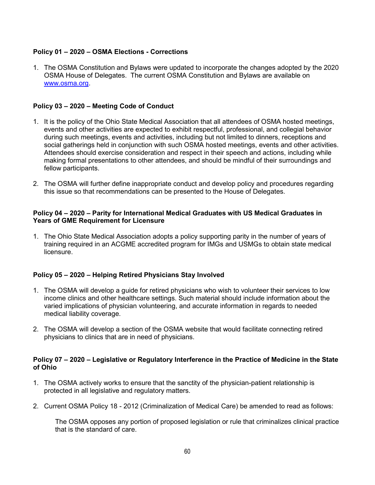## **Policy 01 – 2020 – OSMA Elections - Corrections**

1. The OSMA Constitution and Bylaws were updated to incorporate the changes adopted by the 2020 OSMA House of Delegates. The current OSMA Constitution and Bylaws are available on [www.osma.org.](http://www.osma.org/)

### **Policy 03 – 2020 – Meeting Code of Conduct**

- 1. It is the policy of the Ohio State Medical Association that all attendees of OSMA hosted meetings, events and other activities are expected to exhibit respectful, professional, and collegial behavior during such meetings, events and activities, including but not limited to dinners, receptions and social gatherings held in conjunction with such OSMA hosted meetings, events and other activities. Attendees should exercise consideration and respect in their speech and actions, including while making formal presentations to other attendees, and should be mindful of their surroundings and fellow participants.
- 2. The OSMA will further define inappropriate conduct and develop policy and procedures regarding this issue so that recommendations can be presented to the House of Delegates.

#### **Policy 04 – 2020 – Parity for International Medical Graduates with US Medical Graduates in Years of GME Requirement for Licensure**

1. The Ohio State Medical Association adopts a policy supporting parity in the number of years of training required in an ACGME accredited program for IMGs and USMGs to obtain state medical licensure.

### **Policy 05 – 2020 – Helping Retired Physicians Stay Involved**

- 1. The OSMA will develop a guide for retired physicians who wish to volunteer their services to low income clinics and other healthcare settings. Such material should include information about the varied implications of physician volunteering, and accurate information in regards to needed medical liability coverage.
- 2. The OSMA will develop a section of the OSMA website that would facilitate connecting retired physicians to clinics that are in need of physicians.

### **Policy 07 – 2020 – Legislative or Regulatory Interference in the Practice of Medicine in the State of Ohio**

- 1. The OSMA actively works to ensure that the sanctity of the physician-patient relationship is protected in all legislative and regulatory matters.
- 2. Current OSMA Policy 18 2012 (Criminalization of Medical Care) be amended to read as follows:

The OSMA opposes any portion of proposed legislation or rule that criminalizes clinical practice that is the standard of care.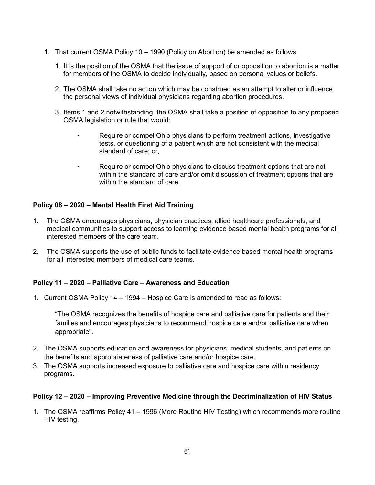- 1. That current OSMA Policy 10 1990 (Policy on Abortion) be amended as follows:
	- 1. It is the position of the OSMA that the issue of support of or opposition to abortion is a matter for members of the OSMA to decide individually, based on personal values or beliefs.
	- 2. The OSMA shall take no action which may be construed as an attempt to alter or influence the personal views of individual physicians regarding abortion procedures.
	- 3. Items 1 and 2 notwithstanding, the OSMA shall take a position of opposition to any proposed OSMA legislation or rule that would:
		- Require or compel Ohio physicians to perform treatment actions, investigative tests, or questioning of a patient which are not consistent with the medical standard of care; or,
		- Require or compel Ohio physicians to discuss treatment options that are not within the standard of care and/or omit discussion of treatment options that are within the standard of care.

# **Policy 08 – 2020 – Mental Health First Aid Training**

- 1. The OSMA encourages physicians, physician practices, allied healthcare professionals, and medical communities to support access to learning evidence based mental health programs for all interested members of the care team.
- 2. The OSMA supports the use of public funds to facilitate evidence based mental health programs for all interested members of medical care teams.

### **Policy 11 – 2020 – Palliative Care – Awareness and Education**

1. Current OSMA Policy 14 – 1994 – Hospice Care is amended to read as follows:

"The OSMA recognizes the benefits of hospice care and palliative care for patients and their families and encourages physicians to recommend hospice care and/or palliative care when appropriate".

- 2. The OSMA supports education and awareness for physicians, medical students, and patients on the benefits and appropriateness of palliative care and/or hospice care.
- 3. The OSMA supports increased exposure to palliative care and hospice care within residency programs.

### **Policy 12 – 2020 – Improving Preventive Medicine through the Decriminalization of HIV Status**

1. The OSMA reaffirms Policy 41 – 1996 (More Routine HIV Testing) which recommends more routine HIV testing.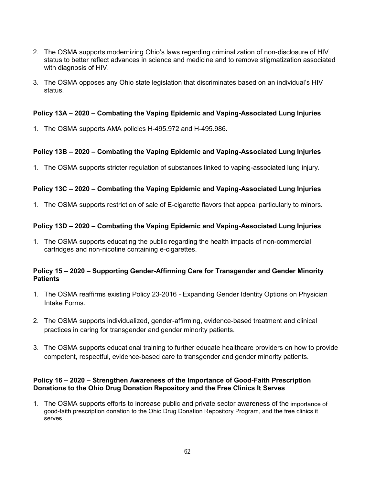- 2. The OSMA supports modernizing Ohio's laws regarding criminalization of non-disclosure of HIV status to better reflect advances in science and medicine and to remove stigmatization associated with diagnosis of HIV.
- 3. The OSMA opposes any Ohio state legislation that discriminates based on an individual's HIV status.

### **Policy 13A – 2020 – Combating the Vaping Epidemic and Vaping-Associated Lung Injuries**

1. The OSMA supports AMA policies H-495.972 and H-495.986.

## **Policy 13B – 2020 – Combating the Vaping Epidemic and Vaping-Associated Lung Injuries**

1. The OSMA supports stricter regulation of substances linked to vaping-associated lung injury.

# **Policy 13C – 2020 – Combating the Vaping Epidemic and Vaping-Associated Lung Injuries**

1. The OSMA supports restriction of sale of E-cigarette flavors that appeal particularly to minors.

## **Policy 13D – 2020 – Combating the Vaping Epidemic and Vaping-Associated Lung Injuries**

1. The OSMA supports educating the public regarding the health impacts of non-commercial cartridges and non-nicotine containing e-cigarettes.

### **Policy 15 – 2020 – Supporting Gender-Affirming Care for Transgender and Gender Minority Patients**

- 1. The OSMA reaffirms existing Policy 23-2016 Expanding Gender Identity Options on Physician Intake Forms.
- 2. The OSMA supports individualized, gender-affirming, evidence-based treatment and clinical practices in caring for transgender and gender minority patients.
- 3. The OSMA supports educational training to further educate healthcare providers on how to provide competent, respectful, evidence-based care to transgender and gender minority patients.

### **Policy 16 – 2020 – Strengthen Awareness of the Importance of Good-Faith Prescription Donations to the Ohio Drug Donation Repository and the Free Clinics It Serves**

1. The OSMA supports efforts to increase public and private sector awareness of the importance of good-faith prescription donation to the Ohio Drug Donation Repository Program, and the free clinics it serves.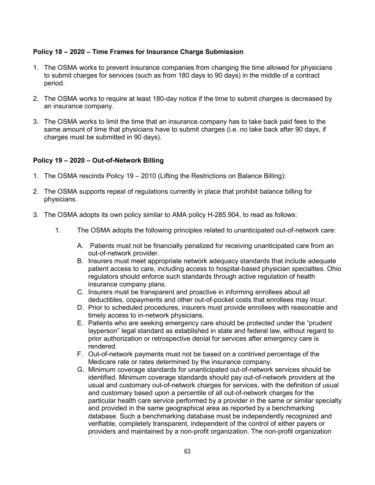## **Policy 18 – 2020 – Time Frames for Insurance Charge Submission**

- 1. The OSMA works to prevent insurance companies from changing the time allowed for physicians to submit charges for services (such as from 180 days to 90 days) in the middle of a contract period.
- 2. The OSMA works to require at least 180-day notice if the time to submit charges is decreased by an insurance company.
- 3. The OSMA works to limit the time that an insurance company has to take back paid fees to the same amount of time that physicians have to submit charges (i.e. no take back after 90 days, if charges must be submitted in 90 days).

## **Policy 19 – 2020 – Out-of-Network Billing**

- 1. The OSMA rescinds Policy 19 2010 (Lifting the Restrictions on Balance Billing):
- 2. The OSMA supports repeal of regulations currently in place that prohibit balance billing for physicians.
- 3. The OSMA adopts its own policy similar to AMA policy H-285.904, to read as follows:
	- 1. The OSMA adopts the following principles related to unanticipated out-of-network care:
		- A. Patients must not be financially penalized for receiving unanticipated care from an out-of-network provider.
		- B. Insurers must meet appropriate network adequacy standards that include adequate patient access to care, including access to hospital-based physician specialties. Ohio regulators should enforce such standards through active regulation of health insurance company plans.
		- C. Insurers must be transparent and proactive in informing enrollees about all deductibles, copayments and other out-of-pocket costs that enrollees may incur.
		- D. Prior to scheduled procedures, insurers must provide enrollees with reasonable and timely access to in-network physicians.
		- E. Patients who are seeking emergency care should be protected under the "prudent layperson" legal standard as established in state and federal law, without regard to prior authorization or retrospective denial for services after emergency care is rendered.
		- F. Out-of-network payments must not be based on a contrived percentage of the Medicare rate or rates determined by the insurance company.
		- G. Minimum coverage standards for unanticipated out-of-network services should be identified. Minimum coverage standards should pay out-of-network providers at the usual and customary out-of-network charges for services, with the definition of usual and customary based upon a percentile of all out-of-network charges for the particular health care service performed by a provider in the same or similar specialty and provided in the same geographical area as reported by a benchmarking database. Such a benchmarking database must be independently recognized and verifiable, completely transparent, independent of the control of either payers or providers and maintained by a non-profit organization. The non-profit organization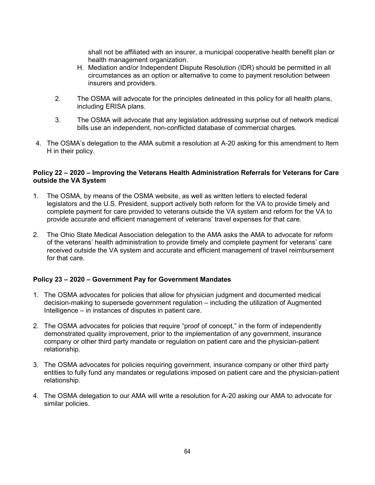shall not be affiliated with an insurer, a municipal cooperative health benefit plan or health management organization.

- H. Mediation and/or Independent Dispute Resolution (IDR) should be permitted in all circumstances as an option or alternative to come to payment resolution between insurers and providers.
- 2. The OSMA will advocate for the principles delineated in this policy for all health plans, including ERISA plans.
- 3. The OSMA will advocate that any legislation addressing surprise out of network medical bills use an independent, non-conflicted database of commercial charges.
- 4. The OSMA's delegation to the AMA submit a resolution at A-20 asking for this amendment to Item H in their policy.

#### **Policy 22 – 2020 – Improving the Veterans Health Administration Referrals for Veterans for Care outside the VA System**

- 1. The OSMA, by means of the OSMA website, as well as written letters to elected federal legislators and the U.S. President, support actively both reform for the VA to provide timely and complete payment for care provided to veterans outside the VA system and reform for the VA to provide accurate and efficient management of veterans' travel expenses for that care.
- 2. The Ohio State Medical Association delegation to the AMA asks the AMA to advocate for reform of the veterans' health administration to provide timely and complete payment for veterans' care received outside the VA system and accurate and efficient management of travel reimbursement for that care.

# **Policy 23 – 2020 – Government Pay for Government Mandates**

- 1. The OSMA advocates for policies that allow for physician judgment and documented medical decision-making to supersede government regulation – including the utilization of Augmented Intelligence – in instances of disputes in patient care.
- 2. The OSMA advocates for policies that require "proof of concept," in the form of independently demonstrated quality improvement, prior to the implementation of any government, insurance company or other third party mandate or regulation on patient care and the physician-patient relationship.
- 3. The OSMA advocates for policies requiring government, insurance company or other third party entities to fully fund any mandates or regulations imposed on patient care and the physician-patient relationship.
- 4. The OSMA delegation to our AMA will write a resolution for A-20 asking our AMA to advocate for similar policies.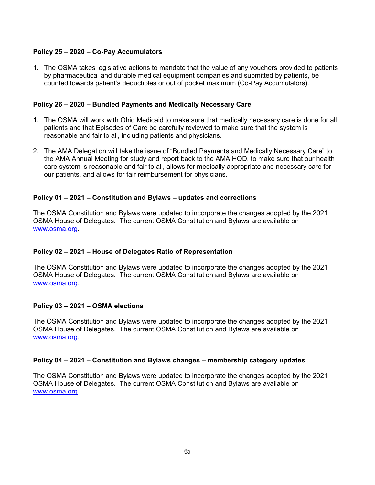## **Policy 25 – 2020 – Co-Pay Accumulators**

1. The OSMA takes legislative actions to mandate that the value of any vouchers provided to patients by pharmaceutical and durable medical equipment companies and submitted by patients, be counted towards patient's deductibles or out of pocket maximum (Co-Pay Accumulators).

### **Policy 26 – 2020 – Bundled Payments and Medically Necessary Care**

- 1. The OSMA will work with Ohio Medicaid to make sure that medically necessary care is done for all patients and that Episodes of Care be carefully reviewed to make sure that the system is reasonable and fair to all, including patients and physicians.
- 2. The AMA Delegation will take the issue of "Bundled Payments and Medically Necessary Care" to the AMA Annual Meeting for study and report back to the AMA HOD, to make sure that our health care system is reasonable and fair to all, allows for medically appropriate and necessary care for our patients, and allows for fair reimbursement for physicians.

### **Policy 01 – 2021 – Constitution and Bylaws – updates and corrections**

The OSMA Constitution and Bylaws were updated to incorporate the changes adopted by the 2021 OSMA House of Delegates. The current OSMA Constitution and Bylaws are available on [www.osma.org.](http://www.osma.org/)

### **Policy 02 – 2021 – House of Delegates Ratio of Representation**

The OSMA Constitution and Bylaws were updated to incorporate the changes adopted by the 2021 OSMA House of Delegates. The current OSMA Constitution and Bylaws are available on [www.osma.org.](http://www.osma.org/)

### **Policy 03 – 2021 – OSMA elections**

The OSMA Constitution and Bylaws were updated to incorporate the changes adopted by the 2021 OSMA House of Delegates. The current OSMA Constitution and Bylaws are available on [www.osma.org.](http://www.osma.org/)

### **Policy 04 – 2021 – Constitution and Bylaws changes – membership category updates**

The OSMA Constitution and Bylaws were updated to incorporate the changes adopted by the 2021 OSMA House of Delegates. The current OSMA Constitution and Bylaws are available on [www.osma.org.](http://www.osma.org/)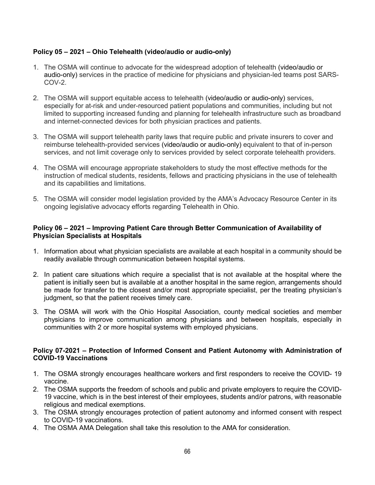# **Policy 05 – 2021 – Ohio Telehealth (video/audio or audio-only)**

- 1. The OSMA will continue to advocate for the widespread adoption of telehealth (video/audio or audio-only) services in the practice of medicine for physicians and physician-led teams post SARS-COV-2.
- 2. The OSMA will support equitable access to telehealth (video/audio or audio-only) services, especially for at-risk and under-resourced patient populations and communities, including but not limited to supporting increased funding and planning for telehealth infrastructure such as broadband and internet-connected devices for both physician practices and patients.
- 3. The OSMA will support telehealth parity laws that require public and private insurers to cover and reimburse telehealth-provided services (video/audio or audio-only) equivalent to that of in-person services, and not limit coverage only to services provided by select corporate telehealth providers.
- 4. The OSMA will encourage appropriate stakeholders to study the most effective methods for the instruction of medical students, residents, fellows and practicing physicians in the use of telehealth and its capabilities and limitations.
- 5. The OSMA will consider model legislation provided by the AMA's Advocacy Resource Center in its ongoing legislative advocacy efforts regarding Telehealth in Ohio.

## **Policy 06 – 2021 – Improving Patient Care through Better Communication of Availability of Physician Specialists at Hospitals**

- 1. Information about what physician specialists are available at each hospital in a community should be readily available through communication between hospital systems.
- 2. In patient care situations which require a specialist that is not available at the hospital where the patient is initially seen but is available at a another hospital in the same region, arrangements should be made for transfer to the closest and/or most appropriate specialist, per the treating physician's judgment, so that the patient receives timely care.
- 3. The OSMA will work with the Ohio Hospital Association, county medical societies and member physicians to improve communication among physicians and between hospitals, especially in communities with 2 or more hospital systems with employed physicians.

### **Policy 07-2021 – Protection of Informed Consent and Patient Autonomy with Administration of COVID-19 Vaccinations**

- 1. The OSMA strongly encourages healthcare workers and first responders to receive the COVID- 19 vaccine.
- 2. The OSMA supports the freedom of schools and public and private employers to require the COVID-19 vaccine, which is in the best interest of their employees, students and/or patrons, with reasonable religious and medical exemptions.
- 3. The OSMA strongly encourages protection of patient autonomy and informed consent with respect to COVID-19 vaccinations.
- 4. The OSMA AMA Delegation shall take this resolution to the AMA for consideration.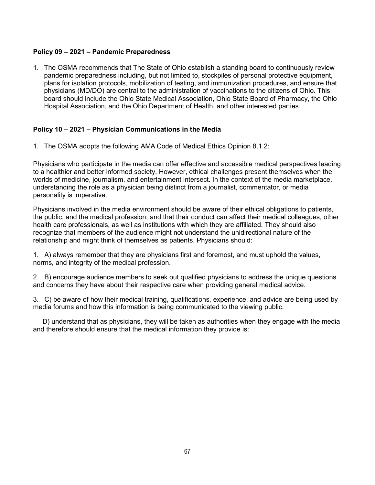# **Policy 09 – 2021 – Pandemic Preparedness**

1. The OSMA recommends that The State of Ohio establish a standing board to continuously review pandemic preparedness including, but not limited to, stockpiles of personal protective equipment, plans for isolation protocols, mobilization of testing, and immunization procedures, and ensure that physicians (MD/DO) are central to the administration of vaccinations to the citizens of Ohio. This board should include the Ohio State Medical Association, Ohio State Board of Pharmacy, the Ohio Hospital Association, and the Ohio Department of Health, and other interested parties.

## **Policy 10 – 2021 – Physician Communications in the Media**

1. The OSMA adopts the following AMA Code of Medical Ethics Opinion 8.1.2:

Physicians who participate in the media can offer effective and accessible medical perspectives leading to a healthier and better informed society. However, ethical challenges present themselves when the worlds of medicine, journalism, and entertainment intersect. In the context of the media marketplace, understanding the role as a physician being distinct from a journalist, commentator, or media personality is imperative.

Physicians involved in the media environment should be aware of their ethical obligations to patients, the public, and the medical profession; and that their conduct can affect their medical colleagues, other health care professionals, as well as institutions with which they are affiliated. They should also recognize that members of the audience might not understand the unidirectional nature of the relationship and might think of themselves as patients. Physicians should:

1. A) always remember that they are physicians first and foremost, and must uphold the values, norms, and integrity of the medical profession.

2. B) encourage audience members to seek out qualified physicians to address the unique questions and concerns they have about their respective care when providing general medical advice.

3. C) be aware of how their medical training, qualifications, experience, and advice are being used by media forums and how this information is being communicated to the viewing public.

D) understand that as physicians, they will be taken as authorities when they engage with the media and therefore should ensure that the medical information they provide is: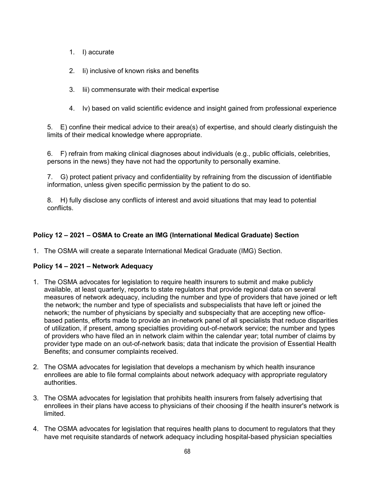- 1. I) accurate
- 2. Ii) inclusive of known risks and benefits
- 3. Iii) commensurate with their medical expertise
- 4. Iv) based on valid scientific evidence and insight gained from professional experience

5. E) confine their medical advice to their area(s) of expertise, and should clearly distinguish the limits of their medical knowledge where appropriate.

6. F) refrain from making clinical diagnoses about individuals (e.g., public officials, celebrities, persons in the news) they have not had the opportunity to personally examine.

7. G) protect patient privacy and confidentiality by refraining from the discussion of identifiable information, unless given specific permission by the patient to do so.

8. H) fully disclose any conflicts of interest and avoid situations that may lead to potential conflicts.

# **Policy 12 – 2021 – OSMA to Create an IMG (International Medical Graduate) Section**

1. The OSMA will create a separate International Medical Graduate (IMG) Section.

# **Policy 14 – 2021 – Network Adequacy**

- 1. The OSMA advocates for legislation to require health insurers to submit and make publicly available, at least quarterly, reports to state regulators that provide regional data on several measures of network adequacy, including the number and type of providers that have joined or left the network; the number and type of specialists and subspecialists that have left or joined the network; the number of physicians by specialty and subspecialty that are accepting new officebased patients, efforts made to provide an in-network panel of all specialists that reduce disparities of utilization, if present, among specialties providing out-of-network service; the number and types of providers who have filed an in network claim within the calendar year; total number of claims by provider type made on an out-of-network basis; data that indicate the provision of Essential Health Benefits; and consumer complaints received.
- 2. The OSMA advocates for legislation that develops a mechanism by which health insurance enrollees are able to file formal complaints about network adequacy with appropriate regulatory authorities.
- 3. The OSMA advocates for legislation that prohibits health insurers from falsely advertising that enrollees in their plans have access to physicians of their choosing if the health insurer's network is limited.
- 4. The OSMA advocates for legislation that requires health plans to document to regulators that they have met requisite standards of network adequacy including hospital-based physician specialties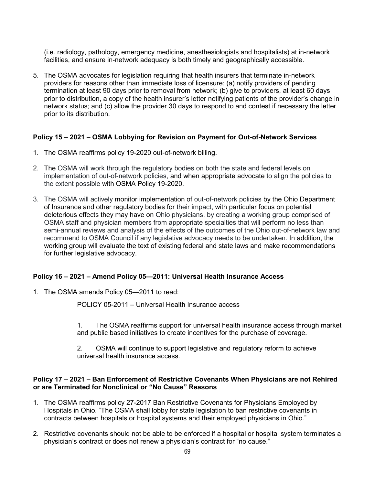(i.e. radiology, pathology, emergency medicine, anesthesiologists and hospitalists) at in-network facilities, and ensure in-network adequacy is both timely and geographically accessible.

5. The OSMA advocates for legislation requiring that health insurers that terminate in-network providers for reasons other than immediate loss of licensure: (a) notify providers of pending termination at least 90 days prior to removal from network; (b) give to providers, at least 60 days prior to distribution, a copy of the health insurer's letter notifying patients of the provider's change in network status; and (c) allow the provider 30 days to respond to and contest if necessary the letter prior to its distribution.

## **Policy 15 – 2021 – OSMA Lobbying for Revision on Payment for Out-of-Network Services**

- 1. The OSMA reaffirms policy 19-2020 out-of-network billing.
- 2. The OSMA will work through the regulatory bodies on both the state and federal levels on implementation of out-of-network policies, and when appropriate advocate to align the policies to the extent possible with OSMA Policy 19-2020.
- 3. The OSMA will actively monitor implementation of out-of-network policies by the Ohio Department of Insurance and other regulatory bodies for their impact, with particular focus on potential deleterious effects they may have on Ohio physicians, by creating a working group comprised of OSMA staff and physician members from appropriate specialties that will perform no less than semi-annual reviews and analysis of the effects of the outcomes of the Ohio out-of-network law and recommend to OSMA Council if any legislative advocacy needs to be undertaken. In addition, the working group will evaluate the text of existing federal and state laws and make recommendations for further legislative advocacy.

### **Policy 16 – 2021 – Amend Policy 05—2011: Universal Health Insurance Access**

1. The OSMA amends Policy 05—2011 to read:

POLICY 05-2011 – Universal Health Insurance access

1. The OSMA reaffirms support for universal health insurance access through market and public based initiatives to create incentives for the purchase of coverage.

2. OSMA will continue to support legislative and regulatory reform to achieve universal health insurance access.

### **Policy 17 – 2021 – Ban Enforcement of Restrictive Covenants When Physicians are not Rehired or are Terminated for Nonclinical or "No Cause" Reasons**

- 1. The OSMA reaffirms policy 27-2017 Ban Restrictive Covenants for Physicians Employed by Hospitals in Ohio. "The OSMA shall lobby for state legislation to ban restrictive covenants in contracts between hospitals or hospital systems and their employed physicians in Ohio."
- 2. Restrictive covenants should not be able to be enforced if a hospital or hospital system terminates a physician's contract or does not renew a physician's contract for "no cause."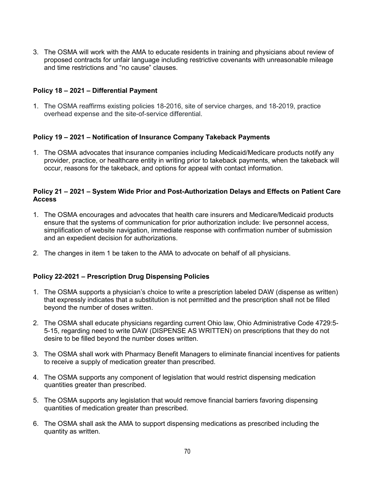3. The OSMA will work with the AMA to educate residents in training and physicians about review of proposed contracts for unfair language including restrictive covenants with unreasonable mileage and time restrictions and "no cause" clauses.

### **Policy 18 – 2021 – Differential Payment**

1. The OSMA reaffirms existing policies 18-2016, site of service charges, and 18-2019, practice overhead expense and the site-of-service differential.

### **Policy 19 – 2021 – Notification of Insurance Company Takeback Payments**

1. The OSMA advocates that insurance companies including Medicaid/Medicare products notify any provider, practice, or healthcare entity in writing prior to takeback payments, when the takeback will occur, reasons for the takeback, and options for appeal with contact information.

#### **Policy 21 – 2021 – System Wide Prior and Post-Authorization Delays and Effects on Patient Care Access**

- 1. The OSMA encourages and advocates that health care insurers and Medicare/Medicaid products ensure that the systems of communication for prior authorization include: live personnel access, simplification of website navigation, immediate response with confirmation number of submission and an expedient decision for authorizations.
- 2. The changes in item 1 be taken to the AMA to advocate on behalf of all physicians.

### **Policy 22-2021 – Prescription Drug Dispensing Policies**

- 1. The OSMA supports a physician's choice to write a prescription labeled DAW (dispense as written) that expressly indicates that a substitution is not permitted and the prescription shall not be filled beyond the number of doses written.
- 2. The OSMA shall educate physicians regarding current Ohio law, Ohio Administrative Code 4729:5- 5-15, regarding need to write DAW (DISPENSE AS WRITTEN) on prescriptions that they do not desire to be filled beyond the number doses written.
- 3. The OSMA shall work with Pharmacy Benefit Managers to eliminate financial incentives for patients to receive a supply of medication greater than prescribed.
- 4. The OSMA supports any component of legislation that would restrict dispensing medication quantities greater than prescribed.
- 5. The OSMA supports any legislation that would remove financial barriers favoring dispensing quantities of medication greater than prescribed.
- 6. The OSMA shall ask the AMA to support dispensing medications as prescribed including the quantity as written.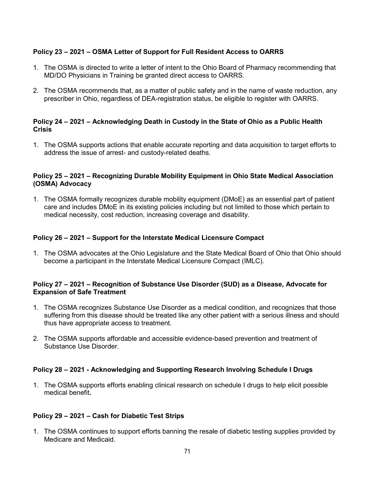# **Policy 23 – 2021 – OSMA Letter of Support for Full Resident Access to OARRS**

- 1. The OSMA is directed to write a letter of intent to the Ohio Board of Pharmacy recommending that MD/DO Physicians in Training be granted direct access to OARRS.
- 2. The OSMA recommends that, as a matter of public safety and in the name of waste reduction, any prescriber in Ohio, regardless of DEA-registration status, be eligible to register with OARRS.

## **Policy 24 – 2021 – Acknowledging Death in Custody in the State of Ohio as a Public Health Crisis**

1. The OSMA supports actions that enable accurate reporting and data acquisition to target efforts to address the issue of arrest- and custody-related deaths.

## **Policy 25 – 2021 – Recognizing Durable Mobility Equipment in Ohio State Medical Association (OSMA) Advocacy**

1. The OSMA formally recognizes durable mobility equipment (DMoE) as an essential part of patient care and includes DMoE in its existing policies including but not limited to those which pertain to medical necessity, cost reduction, increasing coverage and disability.

## **Policy 26 – 2021 – Support for the Interstate Medical Licensure Compact**

1. The OSMA advocates at the Ohio Legislature and the State Medical Board of Ohio that Ohio should become a participant in the Interstate Medical Licensure Compact (IMLC).

### **Policy 27 – 2021 – Recognition of Substance Use Disorder (SUD) as a Disease, Advocate for Expansion of Safe Treatment**

- 1. The OSMA recognizes Substance Use Disorder as a medical condition, and recognizes that those suffering from this disease should be treated like any other patient with a serious illness and should thus have appropriate access to treatment.
- 2. The OSMA supports affordable and accessible evidence-based prevention and treatment of Substance Use Disorder.

# **Policy 28 – 2021 - Acknowledging and Supporting Research Involving Schedule I Drugs**

1. The OSMA supports efforts enabling clinical research on schedule I drugs to help elicit possible medical benefit**.** 

# **Policy 29 – 2021 – Cash for Diabetic Test Strips**

1. The OSMA continues to support efforts banning the resale of diabetic testing supplies provided by Medicare and Medicaid.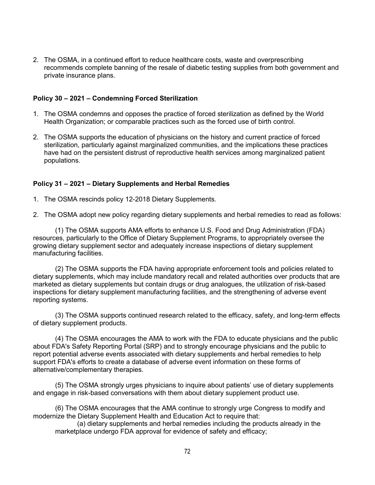2. The OSMA, in a continued effort to reduce healthcare costs, waste and overprescribing recommends complete banning of the resale of diabetic testing supplies from both government and private insurance plans.

### **Policy 30 – 2021 – Condemning Forced Sterilization**

- 1. The OSMA condemns and opposes the practice of forced sterilization as defined by the World Health Organization; or comparable practices such as the forced use of birth control.
- 2. The OSMA supports the education of physicians on the history and current practice of forced sterilization, particularly against marginalized communities, and the implications these practices have had on the persistent distrust of reproductive health services among marginalized patient populations.

## **Policy 31 – 2021 – Dietary Supplements and Herbal Remedies**

1. The OSMA rescinds policy 12-2018 Dietary Supplements.

2. The OSMA adopt new policy regarding dietary supplements and herbal remedies to read as follows:

(1) The OSMA supports AMA efforts to enhance U.S. Food and Drug Administration (FDA) resources, particularly to the Office of Dietary Supplement Programs, to appropriately oversee the growing dietary supplement sector and adequately increase inspections of dietary supplement manufacturing facilities.

(2) The OSMA supports the FDA having appropriate enforcement tools and policies related to dietary supplements, which may include mandatory recall and related authorities over products that are marketed as dietary supplements but contain drugs or drug analogues, the utilization of risk-based inspections for dietary supplement manufacturing facilities, and the strengthening of adverse event reporting systems.

(3) The OSMA supports continued research related to the efficacy, safety, and long-term effects of dietary supplement products.

(4) The OSMA encourages the AMA to work with the FDA to educate physicians and the public about FDA's Safety Reporting Portal (SRP) and to strongly encourage physicians and the public to report potential adverse events associated with dietary supplements and herbal remedies to help support FDA's efforts to create a database of adverse event information on these forms of alternative/complementary therapies.

(5) The OSMA strongly urges physicians to inquire about patients' use of dietary supplements and engage in risk-based conversations with them about dietary supplement product use.

(6) The OSMA encourages that the AMA continue to strongly urge Congress to modify and modernize the Dietary Supplement Health and Education Act to require that:

(a) dietary supplements and herbal remedies including the products already in the marketplace undergo FDA approval for evidence of safety and efficacy;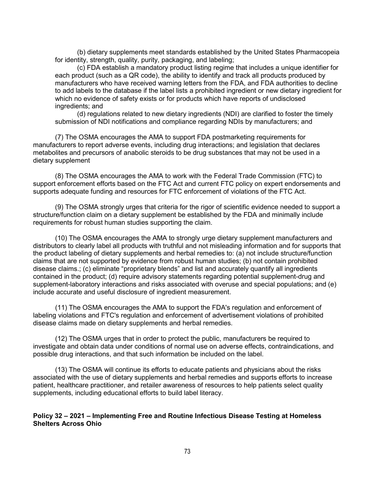(b) dietary supplements meet standards established by the United States Pharmacopeia for identity, strength, quality, purity, packaging, and labeling;

(c) FDA establish a mandatory product listing regime that includes a unique identifier for each product (such as a QR code), the ability to identify and track all products produced by manufacturers who have received warning letters from the FDA, and FDA authorities to decline to add labels to the database if the label lists a prohibited ingredient or new dietary ingredient for which no evidence of safety exists or for products which have reports of undisclosed ingredients; and

(d) regulations related to new dietary ingredients (NDI) are clarified to foster the timely submission of NDI notifications and compliance regarding NDIs by manufacturers; and

(7) The OSMA encourages the AMA to support FDA postmarketing requirements for manufacturers to report adverse events, including drug interactions; and legislation that declares metabolites and precursors of anabolic steroids to be drug substances that may not be used in a dietary supplement

(8) The OSMA encourages the AMA to work with the Federal Trade Commission (FTC) to support enforcement efforts based on the FTC Act and current FTC policy on expert endorsements and supports adequate funding and resources for FTC enforcement of violations of the FTC Act.

(9) The OSMA strongly urges that criteria for the rigor of scientific evidence needed to support a structure/function claim on a dietary supplement be established by the FDA and minimally include requirements for robust human studies supporting the claim.

(10) The OSMA encourages the AMA to strongly urge dietary supplement manufacturers and distributors to clearly label all products with truthful and not misleading information and for supports that the product labeling of dietary supplements and herbal remedies to: (a) not include structure/function claims that are not supported by evidence from robust human studies; (b) not contain prohibited disease claims.; (c) eliminate "proprietary blends" and list and accurately quantify all ingredients contained in the product; (d) require advisory statements regarding potential supplement-drug and supplement-laboratory interactions and risks associated with overuse and special populations; and (e) include accurate and useful disclosure of ingredient measurement.

(11) The OSMA encourages the AMA to support the FDA's regulation and enforcement of labeling violations and FTC's regulation and enforcement of advertisement violations of prohibited disease claims made on dietary supplements and herbal remedies.

(12) The OSMA urges that in order to protect the public, manufacturers be required to investigate and obtain data under conditions of normal use on adverse effects, contraindications, and possible drug interactions, and that such information be included on the label.

(13) The OSMA will continue its efforts to educate patients and physicians about the risks associated with the use of dietary supplements and herbal remedies and supports efforts to increase patient, healthcare practitioner, and retailer awareness of resources to help patients select quality supplements, including educational efforts to build label literacy.

#### **Policy 32 – 2021 – Implementing Free and Routine Infectious Disease Testing at Homeless Shelters Across Ohio**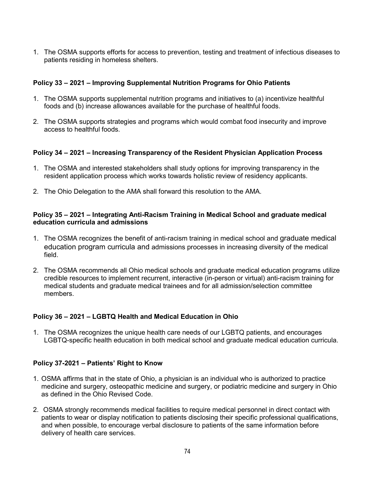1. The OSMA supports efforts for access to prevention, testing and treatment of infectious diseases to patients residing in homeless shelters.

# **Policy 33 – 2021 – Improving Supplemental Nutrition Programs for Ohio Patients**

- 1. The OSMA supports supplemental nutrition programs and initiatives to (a) incentivize healthful foods and (b) increase allowances available for the purchase of healthful foods.
- 2. The OSMA supports strategies and programs which would combat food insecurity and improve access to healthful foods.

# **Policy 34 – 2021 – Increasing Transparency of the Resident Physician Application Process**

- 1. The OSMA and interested stakeholders shall study options for improving transparency in the resident application process which works towards holistic review of residency applicants.
- 2. The Ohio Delegation to the AMA shall forward this resolution to the AMA.

## **Policy 35 – 2021 – Integrating Anti-Racism Training in Medical School and graduate medical education curricula and admissions**

- 1. The OSMA recognizes the benefit of anti-racism training in medical school and graduate medical education program curricula and admissions processes in increasing diversity of the medical field.
- 2. The OSMA recommends all Ohio medical schools and graduate medical education programs utilize credible resources to implement recurrent, interactive (in-person or virtual) anti-racism training for medical students and graduate medical trainees and for all admission/selection committee members.

# **Policy 36 – 2021 – LGBTQ Health and Medical Education in Ohio**

1. The OSMA recognizes the unique health care needs of our LGBTQ patients, and encourages LGBTQ-specific health education in both medical school and graduate medical education curricula.

# **Policy 37-2021 – Patients' Right to Know**

- 1. OSMA affirms that in the state of Ohio, a physician is an individual who is authorized to practice medicine and surgery, osteopathic medicine and surgery, or podiatric medicine and surgery in Ohio as defined in the Ohio Revised Code.
- 2. OSMA strongly recommends medical facilities to require medical personnel in direct contact with patients to wear or display notification to patients disclosing their specific professional qualifications, and when possible, to encourage verbal disclosure to patients of the same information before delivery of health care services.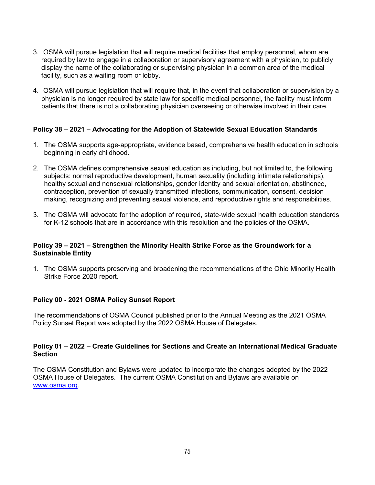- 3. OSMA will pursue legislation that will require medical facilities that employ personnel, whom are required by law to engage in a collaboration or supervisory agreement with a physician, to publicly display the name of the collaborating or supervising physician in a common area of the medical facility, such as a waiting room or lobby.
- 4. OSMA will pursue legislation that will require that, in the event that collaboration or supervision by a physician is no longer required by state law for specific medical personnel, the facility must inform patients that there is not a collaborating physician overseeing or otherwise involved in their care.

## **Policy 38 – 2021 – Advocating for the Adoption of Statewide Sexual Education Standards**

- 1. The OSMA supports age-appropriate, evidence based, comprehensive health education in schools beginning in early childhood.
- 2. The OSMA defines comprehensive sexual education as including, but not limited to, the following subjects: normal reproductive development, human sexuality (including intimate relationships), healthy sexual and nonsexual relationships, gender identity and sexual orientation, abstinence, contraception, prevention of sexually transmitted infections, communication, consent, decision making, recognizing and preventing sexual violence, and reproductive rights and responsibilities.
- 3. The OSMA will advocate for the adoption of required, state-wide sexual health education standards for K-12 schools that are in accordance with this resolution and the policies of the OSMA.

## **Policy 39 – 2021 – Strengthen the Minority Health Strike Force as the Groundwork for a Sustainable Entity**

1. The OSMA supports preserving and broadening the recommendations of the Ohio Minority Health Strike Force 2020 report.

## **Policy 00 - 2021 OSMA Policy Sunset Report**

The recommendations of OSMA Council published prior to the Annual Meeting as the 2021 OSMA Policy Sunset Report was adopted by the 2022 OSMA House of Delegates.

#### **Policy 01 – 2022 – Create Guidelines for Sections and Create an International Medical Graduate Section**

The OSMA Constitution and Bylaws were updated to incorporate the changes adopted by the 2022 OSMA House of Delegates. The current OSMA Constitution and Bylaws are available on [www.osma.org.](http://www.osma.org/)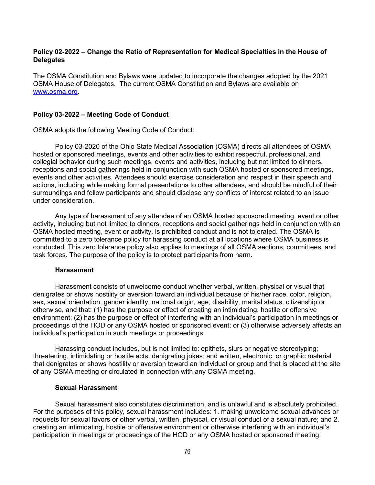#### **Policy 02-2022 – Change the Ratio of Representation for Medical Specialties in the House of Delegates**

The OSMA Constitution and Bylaws were updated to incorporate the changes adopted by the 2021 OSMA House of Delegates. The current OSMA Constitution and Bylaws are available on [www.osma.org.](http://www.osma.org/)

#### **Policy 03-2022 – Meeting Code of Conduct**

OSMA adopts the following Meeting Code of Conduct:

Policy 03-2020 of the Ohio State Medical Association (OSMA) directs all attendees of OSMA hosted or sponsored meetings, events and other activities to exhibit respectful, professional, and collegial behavior during such meetings, events and activities, including but not limited to dinners, receptions and social gatherings held in conjunction with such OSMA hosted or sponsored meetings, events and other activities. Attendees should exercise consideration and respect in their speech and actions, including while making formal presentations to other attendees, and should be mindful of their surroundings and fellow participants and should disclose any conflicts of interest related to an issue under consideration.

Any type of harassment of any attendee of an OSMA hosted sponsored meeting, event or other activity, including but not limited to dinners, receptions and social gatherings held in conjunction with an OSMA hosted meeting, event or activity, is prohibited conduct and is not tolerated. The OSMA is committed to a zero tolerance policy for harassing conduct at all locations where OSMA business is conducted. This zero tolerance policy also applies to meetings of all OSMA sections, committees, and task forces. The purpose of the policy is to protect participants from harm.

#### **Harassment**

Harassment consists of unwelcome conduct whether verbal, written, physical or visual that denigrates or shows hostility or aversion toward an individual because of his/her race, color, religion, sex, sexual orientation, gender identity, national origin, age, disability, marital status, citizenship or otherwise, and that: (1) has the purpose or effect of creating an intimidating, hostile or offensive environment; (2) has the purpose or effect of interfering with an individual's participation in meetings or proceedings of the HOD or any OSMA hosted or sponsored event; or (3) otherwise adversely affects an individual's participation in such meetings or proceedings.

Harassing conduct includes, but is not limited to: epithets, slurs or negative stereotyping; threatening, intimidating or hostile acts; denigrating jokes; and written, electronic, or graphic material that denigrates or shows hostility or aversion toward an individual or group and that is placed at the site of any OSMA meeting or circulated in connection with any OSMA meeting.

#### **Sexual Harassment**

Sexual harassment also constitutes discrimination, and is unlawful and is absolutely prohibited. For the purposes of this policy, sexual harassment includes: 1. making unwelcome sexual advances or requests for sexual favors or other verbal, written, physical, or visual conduct of a sexual nature; and 2. creating an intimidating, hostile or offensive environment or otherwise interfering with an individual's participation in meetings or proceedings of the HOD or any OSMA hosted or sponsored meeting.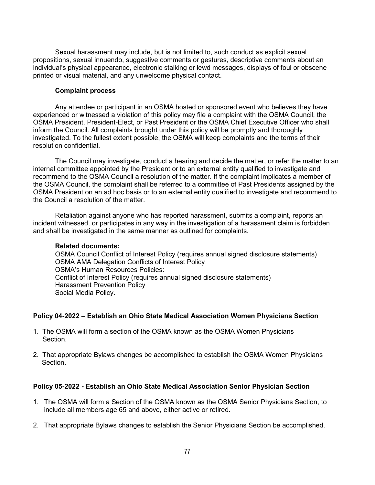Sexual harassment may include, but is not limited to, such conduct as explicit sexual propositions, sexual innuendo, suggestive comments or gestures, descriptive comments about an individual's physical appearance, electronic stalking or lewd messages, displays of foul or obscene printed or visual material, and any unwelcome physical contact.

#### **Complaint process**

Any attendee or participant in an OSMA hosted or sponsored event who believes they have experienced or witnessed a violation of this policy may file a complaint with the OSMA Council, the OSMA President, President-Elect, or Past President or the OSMA Chief Executive Officer who shall inform the Council. All complaints brought under this policy will be promptly and thoroughly investigated. To the fullest extent possible, the OSMA will keep complaints and the terms of their resolution confidential.

The Council may investigate, conduct a hearing and decide the matter, or refer the matter to an internal committee appointed by the President or to an external entity qualified to investigate and recommend to the OSMA Council a resolution of the matter. If the complaint implicates a member of the OSMA Council, the complaint shall be referred to a committee of Past Presidents assigned by the OSMA President on an ad hoc basis or to an external entity qualified to investigate and recommend to the Council a resolution of the matter.

Retaliation against anyone who has reported harassment, submits a complaint, reports an incident witnessed, or participates in any way in the investigation of a harassment claim is forbidden and shall be investigated in the same manner as outlined for complaints.

## **Related documents:**

OSMA Council Conflict of Interest Policy (requires annual signed disclosure statements) OSMA AMA Delegation Conflicts of Interest Policy OSMA's Human Resources Policies: Conflict of Interest Policy (requires annual signed disclosure statements) Harassment Prevention Policy Social Media Policy.

## **Policy 04-2022 – Establish an Ohio State Medical Association Women Physicians Section**

- 1. The OSMA will form a section of the OSMA known as the OSMA Women Physicians Section.
- 2. That appropriate Bylaws changes be accomplished to establish the OSMA Women Physicians **Section**

## **Policy 05-2022 - Establish an Ohio State Medical Association Senior Physician Section**

- 1. The OSMA will form a Section of the OSMA known as the OSMA Senior Physicians Section, to include all members age 65 and above, either active or retired.
- 2. That appropriate Bylaws changes to establish the Senior Physicians Section be accomplished.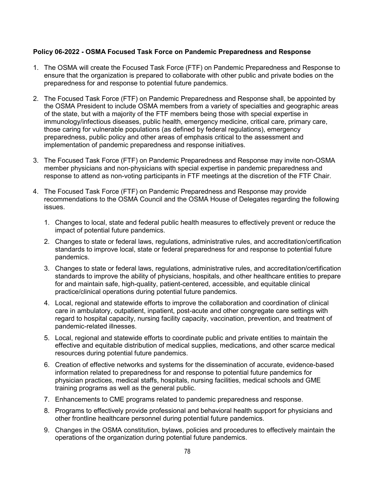## **Policy 06-2022 - OSMA Focused Task Force on Pandemic Preparedness and Response**

- 1. The OSMA will create the Focused Task Force (FTF) on Pandemic Preparedness and Response to ensure that the organization is prepared to collaborate with other public and private bodies on the preparedness for and response to potential future pandemics.
- 2. The Focused Task Force (FTF) on Pandemic Preparedness and Response shall, be appointed by the OSMA President to include OSMA members from a variety of specialties and geographic areas of the state, but with a majority of the FTF members being those with special expertise in immunology/infectious diseases, public health, emergency medicine, critical care, primary care, those caring for vulnerable populations (as defined by federal regulations), emergency preparedness, public policy and other areas of emphasis critical to the assessment and implementation of pandemic preparedness and response initiatives.
- 3. The Focused Task Force (FTF) on Pandemic Preparedness and Response may invite non-OSMA member physicians and non-physicians with special expertise in pandemic preparedness and response to attend as non-voting participants in FTF meetings at the discretion of the FTF Chair.
- 4. The Focused Task Force (FTF) on Pandemic Preparedness and Response may provide recommendations to the OSMA Council and the OSMA House of Delegates regarding the following issues.
	- 1. Changes to local, state and federal public health measures to effectively prevent or reduce the impact of potential future pandemics.
	- 2. Changes to state or federal laws, regulations, administrative rules, and accreditation/certification standards to improve local, state or federal preparedness for and response to potential future pandemics.
	- 3. Changes to state or federal laws, regulations, administrative rules, and accreditation/certification standards to improve the ability of physicians, hospitals, and other healthcare entities to prepare for and maintain safe, high-quality, patient-centered, accessible, and equitable clinical practice/clinical operations during potential future pandemics.
	- 4. Local, regional and statewide efforts to improve the collaboration and coordination of clinical care in ambulatory, outpatient, inpatient, post-acute and other congregate care settings with regard to hospital capacity, nursing facility capacity, vaccination, prevention, and treatment of pandemic-related illnesses.
	- 5. Local, regional and statewide efforts to coordinate public and private entities to maintain the effective and equitable distribution of medical supplies, medications, and other scarce medical resources during potential future pandemics.
	- 6. Creation of effective networks and systems for the dissemination of accurate, evidence-based information related to preparedness for and response to potential future pandemics for physician practices, medical staffs, hospitals, nursing facilities, medical schools and GME training programs as well as the general public.
	- 7. Enhancements to CME programs related to pandemic preparedness and response.
	- 8. Programs to effectively provide professional and behavioral health support for physicians and other frontline healthcare personnel during potential future pandemics.
	- 9. Changes in the OSMA constitution, bylaws, policies and procedures to effectively maintain the operations of the organization during potential future pandemics.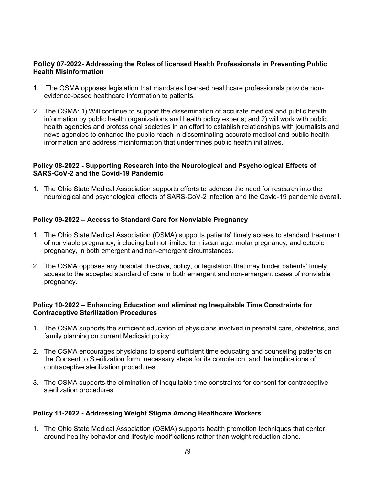## **Policy 07-2022- Addressing the Roles of licensed Health Professionals in Preventing Public Health Misinformation**

- 1. The OSMA opposes legislation that mandates licensed healthcare professionals provide nonevidence-based healthcare information to patients.
- 2. The OSMA: 1) Will continue to support the dissemination of accurate medical and public health information by public health organizations and health policy experts; and 2) will work with public health agencies and professional societies in an effort to establish relationships with journalists and news agencies to enhance the public reach in disseminating accurate medical and public health information and address misinformation that undermines public health initiatives.

## **Policy 08-2022 - Supporting Research into the Neurological and Psychological Effects of SARS-CoV-2 and the Covid-19 Pandemic**

1. The Ohio State Medical Association supports efforts to address the need for research into the neurological and psychological effects of SARS-CoV-2 infection and the Covid-19 pandemic overall.

## **Policy 09-2022 – Access to Standard Care for Nonviable Pregnancy**

- 1. The Ohio State Medical Association (OSMA) supports patients' timely access to standard treatment of nonviable pregnancy, including but not limited to miscarriage, molar pregnancy, and ectopic pregnancy, in both emergent and non-emergent circumstances.
- 2. The OSMA opposes any hospital directive, policy, or legislation that may hinder patients' timely access to the accepted standard of care in both emergent and non-emergent cases of nonviable pregnancy.

## **Policy 10-2022 – Enhancing Education and eliminating Inequitable Time Constraints for Contraceptive Sterilization Procedures**

- 1. The OSMA supports the sufficient education of physicians involved in prenatal care, obstetrics, and family planning on current Medicaid policy.
- 2. The OSMA encourages physicians to spend sufficient time educating and counseling patients on the Consent to Sterilization form, necessary steps for its completion, and the implications of contraceptive sterilization procedures.
- 3. The OSMA supports the elimination of inequitable time constraints for consent for contraceptive sterilization procedures.

## **Policy 11-2022 - Addressing Weight Stigma Among Healthcare Workers**

1. The Ohio State Medical Association (OSMA) supports health promotion techniques that center around healthy behavior and lifestyle modifications rather than weight reduction alone.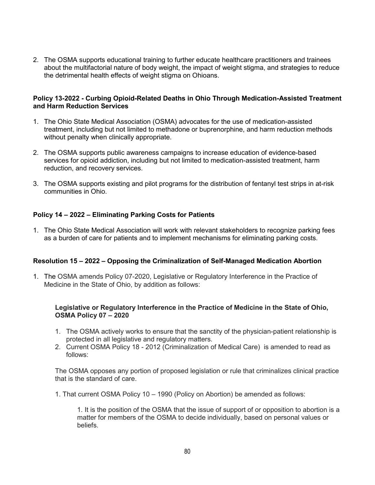2. The OSMA supports educational training to further educate healthcare practitioners and trainees about the multifactorial nature of body weight, the impact of weight stigma, and strategies to reduce the detrimental health effects of weight stigma on Ohioans.

#### **Policy 13-2022 - Curbing Opioid-Related Deaths in Ohio Through Medication-Assisted Treatment and Harm Reduction Services**

- 1. The Ohio State Medical Association (OSMA) advocates for the use of medication-assisted treatment, including but not limited to methadone or buprenorphine, and harm reduction methods without penalty when clinically appropriate.
- 2. The OSMA supports public awareness campaigns to increase education of evidence-based services for opioid addiction, including but not limited to medication-assisted treatment, harm reduction, and recovery services.
- 3. The OSMA supports existing and pilot programs for the distribution of fentanyl test strips in at-risk communities in Ohio.

## **Policy 14 – 2022 – Eliminating Parking Costs for Patients**

1. The Ohio State Medical Association will work with relevant stakeholders to recognize parking fees as a burden of care for patients and to implement mechanisms for eliminating parking costs.

## **Resolution 15 – 2022 – Opposing the Criminalization of Self-Managed Medication Abortion**

1. The OSMA amends Policy 07-2020, Legislative or Regulatory Interference in the Practice of Medicine in the State of Ohio, by addition as follows:

#### **Legislative or Regulatory Interference in the Practice of Medicine in the State of Ohio, OSMA Policy 07 – 2020**

- 1. The OSMA actively works to ensure that the sanctity of the physician-patient relationship is protected in all legislative and regulatory matters.
- 2. Current OSMA Policy 18 2012 (Criminalization of Medical Care) is amended to read as follows:

The OSMA opposes any portion of proposed legislation or rule that criminalizes clinical practice that is the standard of care.

1. That current OSMA Policy 10 – 1990 (Policy on Abortion) be amended as follows:

1. It is the position of the OSMA that the issue of support of or opposition to abortion is a matter for members of the OSMA to decide individually, based on personal values or beliefs.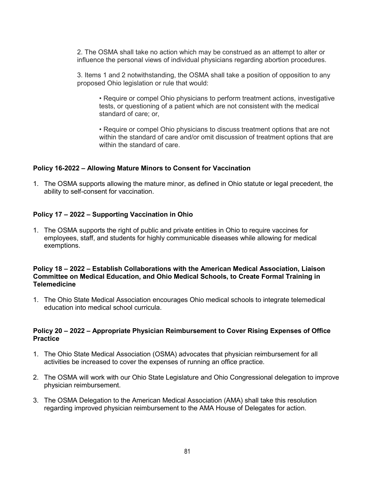2. The OSMA shall take no action which may be construed as an attempt to alter or influence the personal views of individual physicians regarding abortion procedures.

3. Items 1 and 2 notwithstanding, the OSMA shall take a position of opposition to any proposed Ohio legislation or rule that would:

• Require or compel Ohio physicians to perform treatment actions, investigative tests, or questioning of a patient which are not consistent with the medical standard of care; or,

• Require or compel Ohio physicians to discuss treatment options that are not within the standard of care and/or omit discussion of treatment options that are within the standard of care.

## **Policy 16-2022 – Allowing Mature Minors to Consent for Vaccination**

1. The OSMA supports allowing the mature minor, as defined in Ohio statute or legal precedent, the ability to self-consent for vaccination.

#### **Policy 17 – 2022 – Supporting Vaccination in Ohio**

1. The OSMA supports the right of public and private entities in Ohio to require vaccines for employees, staff, and students for highly communicable diseases while allowing for medical exemptions.

#### **Policy 18 – 2022 – Establish Collaborations with the American Medical Association, Liaison Committee on Medical Education, and Ohio Medical Schools, to Create Formal Training in Telemedicine**

1. The Ohio State Medical Association encourages Ohio medical schools to integrate telemedical education into medical school curricula.

#### **Policy 20 – 2022 – Appropriate Physician Reimbursement to Cover Rising Expenses of Office Practice**

- 1. The Ohio State Medical Association (OSMA) advocates that physician reimbursement for all activities be increased to cover the expenses of running an office practice.
- 2. The OSMA will work with our Ohio State Legislature and Ohio Congressional delegation to improve physician reimbursement.
- 3. The OSMA Delegation to the American Medical Association (AMA) shall take this resolution regarding improved physician reimbursement to the AMA House of Delegates for action.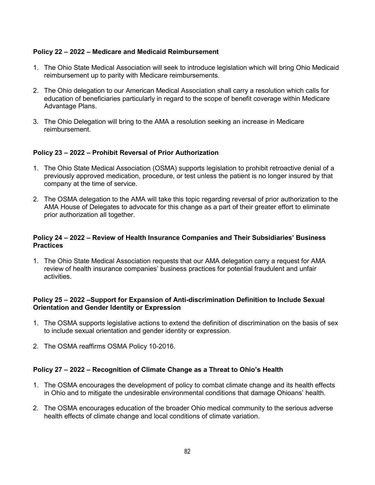## **Policy 22 – 2022 – Medicare and Medicaid Reimbursement**

- 1. The Ohio State Medical Association will seek to introduce legislation which will bring Ohio Medicaid reimbursement up to parity with Medicare reimbursements.
- 2. The Ohio delegation to our American Medical Association shall carry a resolution which calls for education of beneficiaries particularly in regard to the scope of benefit coverage within Medicare Advantage Plans.
- 3. The Ohio Delegation will bring to the AMA a resolution seeking an increase in Medicare reimbursement.

## **Policy 23 – 2022 – Prohibit Reversal of Prior Authorization**

- 1. The Ohio State Medical Association (OSMA) supports legislation to prohibit retroactive denial of a previously approved medication, procedure, or test unless the patient is no longer insured by that company at the time of service.
- 2. The OSMA delegation to the AMA will take this topic regarding reversal of prior authorization to the AMA House of Delegates to advocate for this change as a part of their greater effort to eliminate prior authorization all together.

## **Policy 24 – 2022 – Review of Health Insurance Companies and Their Subsidiaries' Business Practices**

1. The Ohio State Medical Association requests that our AMA delegation carry a request for AMA review of health insurance companies' business practices for potential fraudulent and unfair activities.

## **Policy 25 – 2022 –Support for Expansion of Anti-discrimination Definition to Include Sexual Orientation and Gender Identity or Expression**

- 1. The OSMA supports legislative actions to extend the definition of discrimination on the basis of sex to include sexual orientation and gender identity or expression.
- 2. The OSMA reaffirms OSMA Policy 10-2016.

## **Policy 27 – 2022 – Recognition of Climate Change as a Threat to Ohio's Health**

- 1. The OSMA encourages the development of policy to combat climate change and its health effects in Ohio and to mitigate the undesirable environmental conditions that damage Ohioans' health.
- 2. The OSMA encourages education of the broader Ohio medical community to the serious adverse health effects of climate change and local conditions of climate variation.